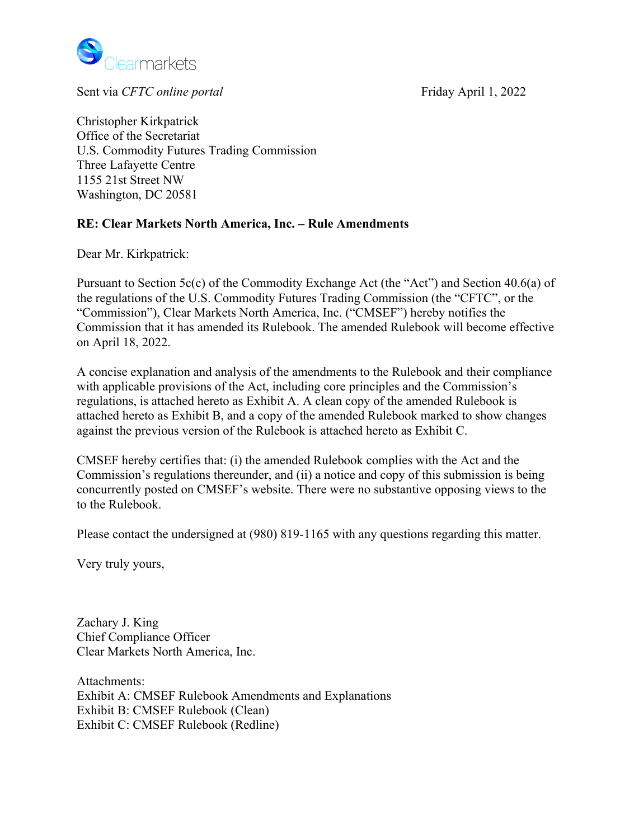

Sent via *CFTC online portal* Friday April 1, 2022

Christopher Kirkpatrick Office of the Secretariat U.S. Commodity Futures Trading Commission Three Lafayette Centre 1155 21st Street NW Washington, DC 20581

# **RE: Clear Markets North America, Inc. – Rule Amendments**

Dear Mr. Kirkpatrick:

Pursuant to Section 5c(c) of the Commodity Exchange Act (the "Act") and Section 40.6(a) of the regulations of the U.S. Commodity Futures Trading Commission (the "CFTC", or the "Commission"), Clear Markets North America, Inc. ("CMSEF") hereby notifies the Commission that it has amended its Rulebook. The amended Rulebook will become effective on April 18, 2022.

A concise explanation and analysis of the amendments to the Rulebook and their compliance with applicable provisions of the Act, including core principles and the Commission's regulations, is attached hereto as Exhibit A. A clean copy of the amended Rulebook is attached hereto as Exhibit B, and a copy of the amended Rulebook marked to show changes against the previous version of the Rulebook is attached hereto as Exhibit C.

CMSEF hereby certifies that: (i) the amended Rulebook complies with the Act and the Commission's regulations thereunder, and (ii) a notice and copy of this submission is being concurrently posted on CMSEF's website. There were no substantive opposing views to the to the Rulebook.

Please contact the undersigned at (980) 819-1165 with any questions regarding this matter.

Very truly yours,

Zachary J. King Chief Compliance Officer Clear Markets North America, Inc.

Attachments: Exhibit A: CMSEF Rulebook Amendments and Explanations Exhibit B: CMSEF Rulebook (Clean) Exhibit C: CMSEF Rulebook (Redline)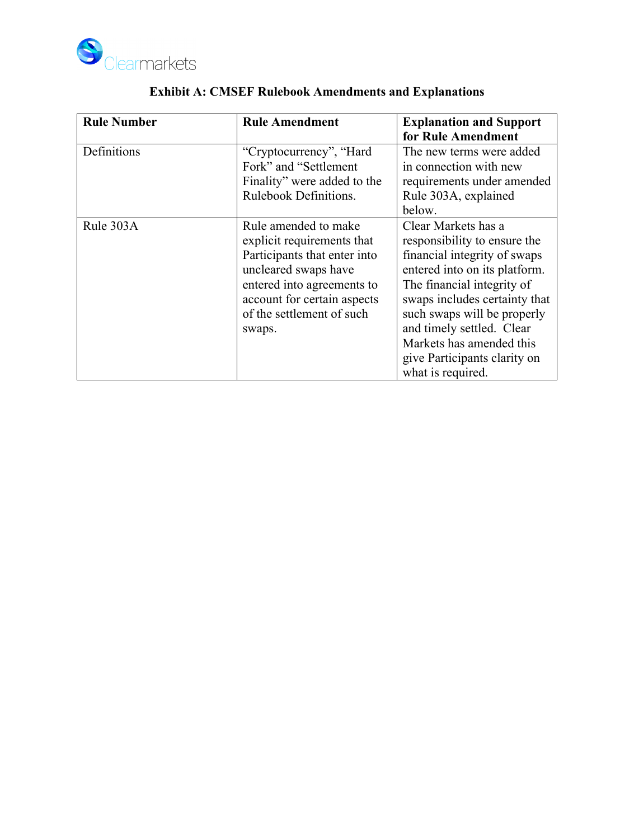

| <b>Rule Number</b> | <b>Rule Amendment</b>                                                                                                                                                                                          | <b>Explanation and Support</b>                                                                                                                                                                                                                                                                                                   |  |
|--------------------|----------------------------------------------------------------------------------------------------------------------------------------------------------------------------------------------------------------|----------------------------------------------------------------------------------------------------------------------------------------------------------------------------------------------------------------------------------------------------------------------------------------------------------------------------------|--|
|                    |                                                                                                                                                                                                                | for Rule Amendment                                                                                                                                                                                                                                                                                                               |  |
| Definitions        | "Cryptocurrency", "Hard"<br>Fork" and "Settlement"<br>Finality" were added to the<br>Rulebook Definitions.                                                                                                     | The new terms were added<br>in connection with new<br>requirements under amended<br>Rule 303A, explained<br>below.                                                                                                                                                                                                               |  |
| Rule 303A          | Rule amended to make<br>explicit requirements that<br>Participants that enter into<br>uncleared swaps have<br>entered into agreements to<br>account for certain aspects<br>of the settlement of such<br>swaps. | Clear Markets has a<br>responsibility to ensure the<br>financial integrity of swaps<br>entered into on its platform.<br>The financial integrity of<br>swaps includes certainty that<br>such swaps will be properly<br>and timely settled. Clear<br>Markets has amended this<br>give Participants clarity on<br>what is required. |  |

# **Exhibit A: CMSEF Rulebook Amendments and Explanations**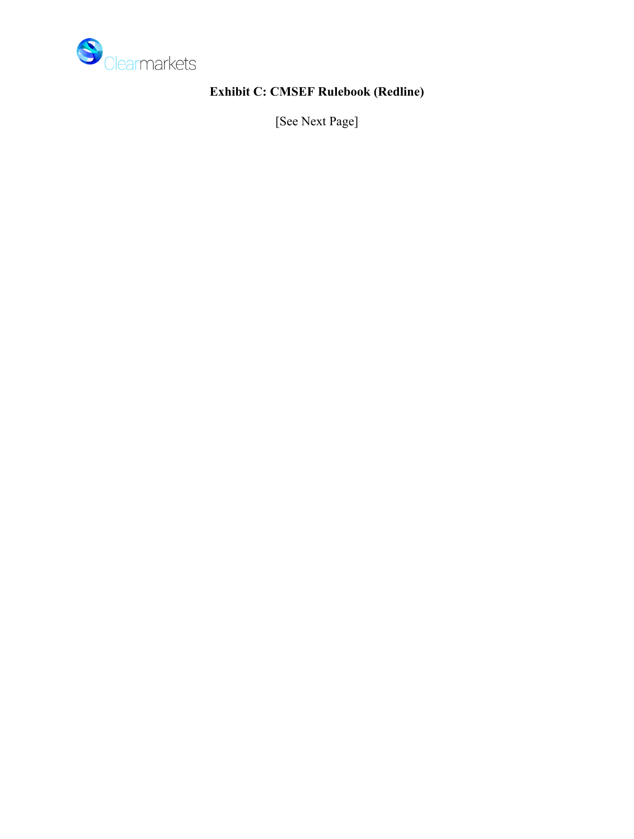

# **Exhibit C: CMSEF Rulebook (Redline)**

[See Next Page]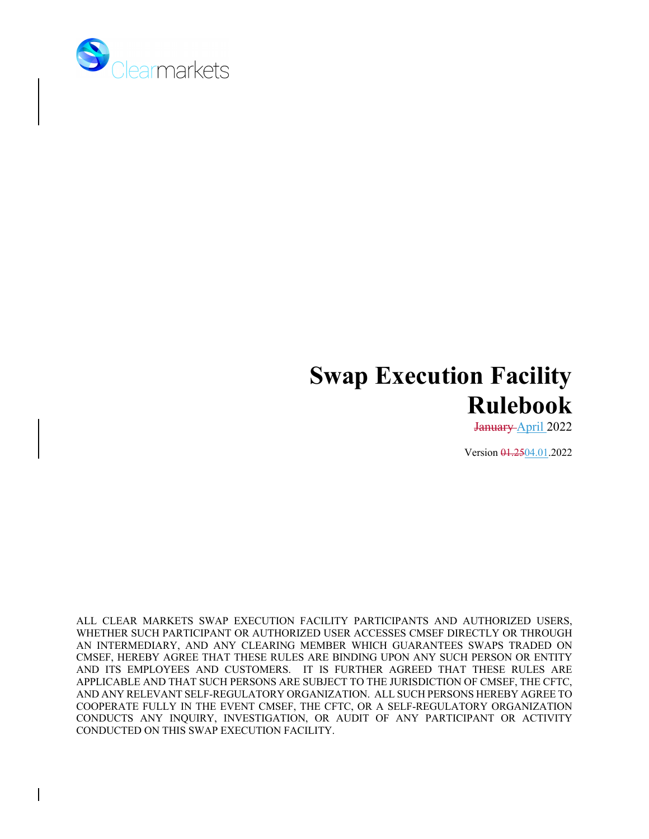

# **Swap Execution Facility Rulebook**

January April 2022

Version  $\frac{0.2504}{0.012022}$ 

ALL CLEAR MARKETS SWAP EXECUTION FACILITY PARTICIPANTS AND AUTHORIZED USERS, WHETHER SUCH PARTICIPANT OR AUTHORIZED USER ACCESSES CMSEF DIRECTLY OR THROUGH AN INTERMEDIARY, AND ANY CLEARING MEMBER WHICH GUARANTEES SWAPS TRADED ON CMSEF, HEREBY AGREE THAT THESE RULES ARE BINDING UPON ANY SUCH PERSON OR ENTITY AND ITS EMPLOYEES AND CUSTOMERS. IT IS FURTHER AGREED THAT THESE RULES ARE APPLICABLE AND THAT SUCH PERSONS ARE SUBJECT TO THE JURISDICTION OF CMSEF, THE CFTC, AND ANY RELEVANT SELF-REGULATORY ORGANIZATION. ALL SUCH PERSONS HEREBY AGREE TO COOPERATE FULLY IN THE EVENT CMSEF, THE CFTC, OR A SELF-REGULATORY ORGANIZATION CONDUCTS ANY INQUIRY, INVESTIGATION, OR AUDIT OF ANY PARTICIPANT OR ACTIVITY CONDUCTED ON THIS SWAP EXECUTION FACILITY.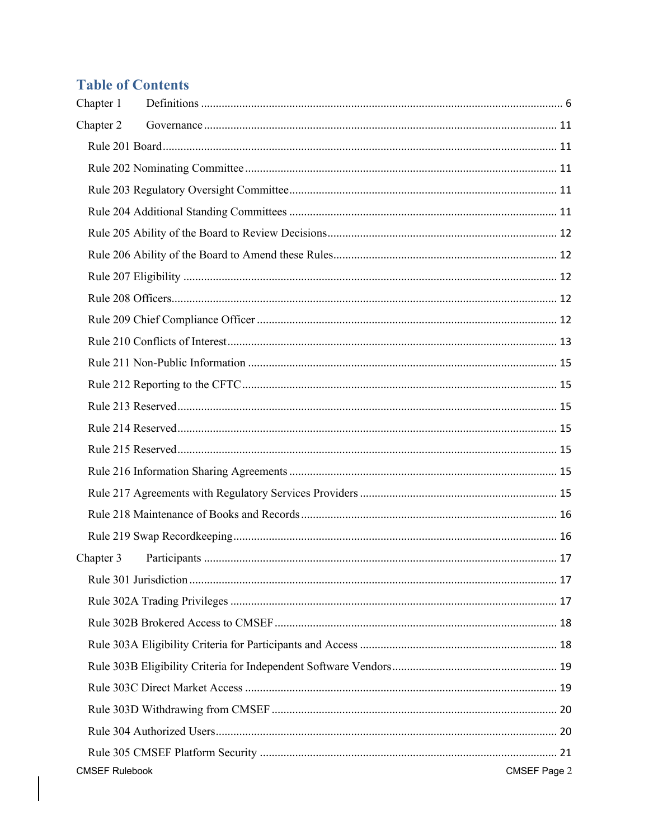# **Table of Contents**

| Chapter 1             |              |
|-----------------------|--------------|
| Chapter 2             |              |
|                       |              |
|                       |              |
|                       |              |
|                       |              |
|                       |              |
|                       |              |
|                       |              |
|                       |              |
|                       |              |
|                       |              |
|                       |              |
|                       |              |
|                       |              |
|                       |              |
|                       |              |
|                       |              |
|                       |              |
|                       |              |
|                       |              |
| Chapter 3             |              |
|                       |              |
|                       |              |
|                       |              |
|                       |              |
|                       |              |
|                       |              |
|                       |              |
|                       |              |
|                       |              |
| <b>CMSEF Rulebook</b> | CMSEF Page 2 |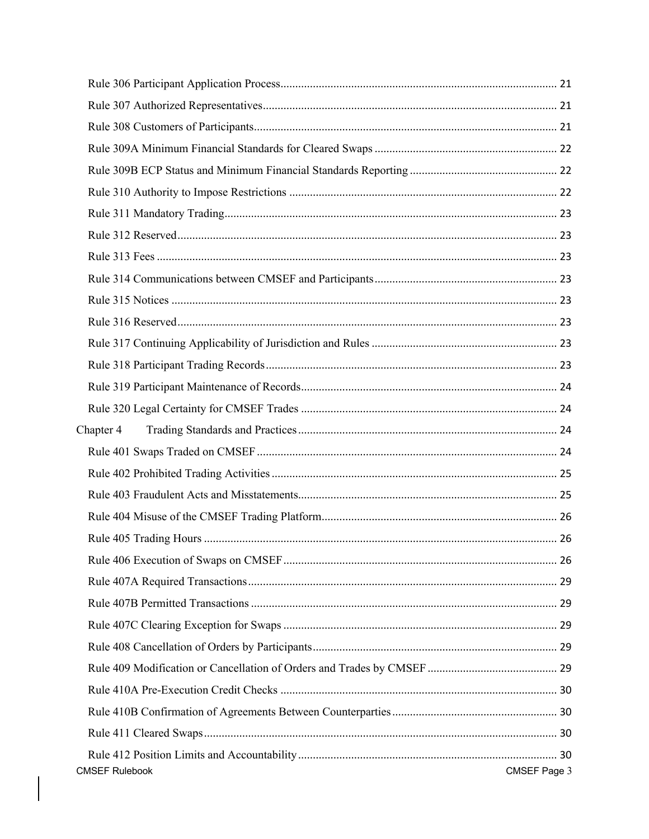| Chapter 4             |              |
|-----------------------|--------------|
|                       |              |
|                       |              |
|                       |              |
|                       |              |
|                       |              |
|                       |              |
|                       |              |
|                       |              |
|                       |              |
|                       |              |
|                       |              |
|                       |              |
|                       |              |
|                       |              |
|                       |              |
| <b>CMSEF Rulebook</b> | CMSEF Page 3 |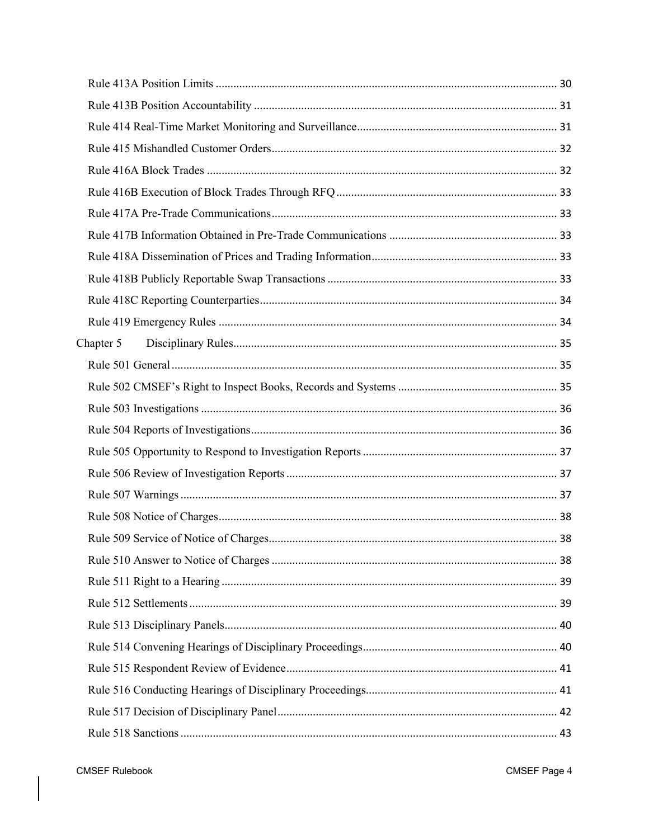| Chapter 5 |  |
|-----------|--|
|           |  |
|           |  |
|           |  |
|           |  |
|           |  |
|           |  |
|           |  |
|           |  |
|           |  |
|           |  |
|           |  |
|           |  |
|           |  |
|           |  |
|           |  |
|           |  |
|           |  |
|           |  |
|           |  |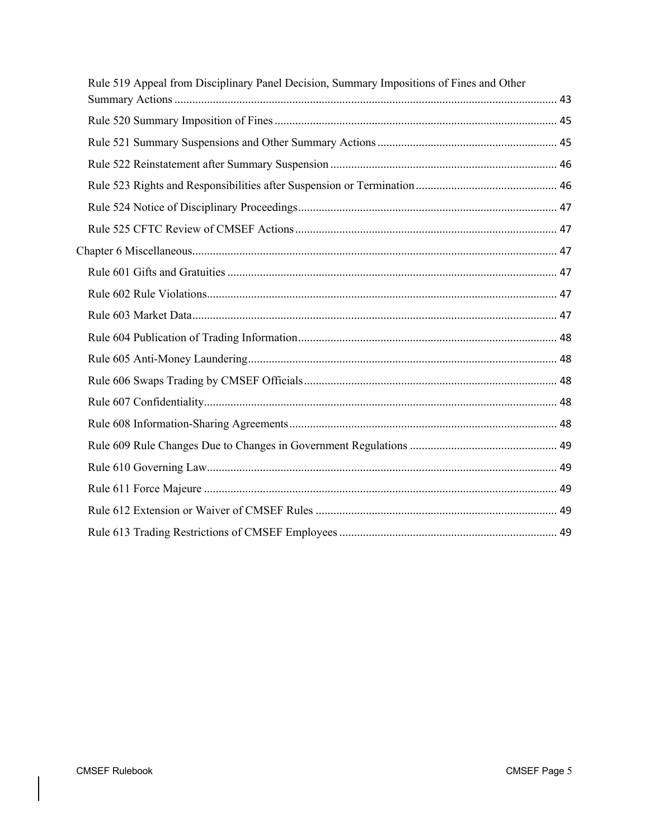| Rule 519 Appeal from Disciplinary Panel Decision, Summary Impositions of Fines and Other |
|------------------------------------------------------------------------------------------|
|                                                                                          |
|                                                                                          |
|                                                                                          |
|                                                                                          |
|                                                                                          |
|                                                                                          |
|                                                                                          |
|                                                                                          |
|                                                                                          |
|                                                                                          |
|                                                                                          |
|                                                                                          |
|                                                                                          |
|                                                                                          |
|                                                                                          |
|                                                                                          |
|                                                                                          |
|                                                                                          |
|                                                                                          |
|                                                                                          |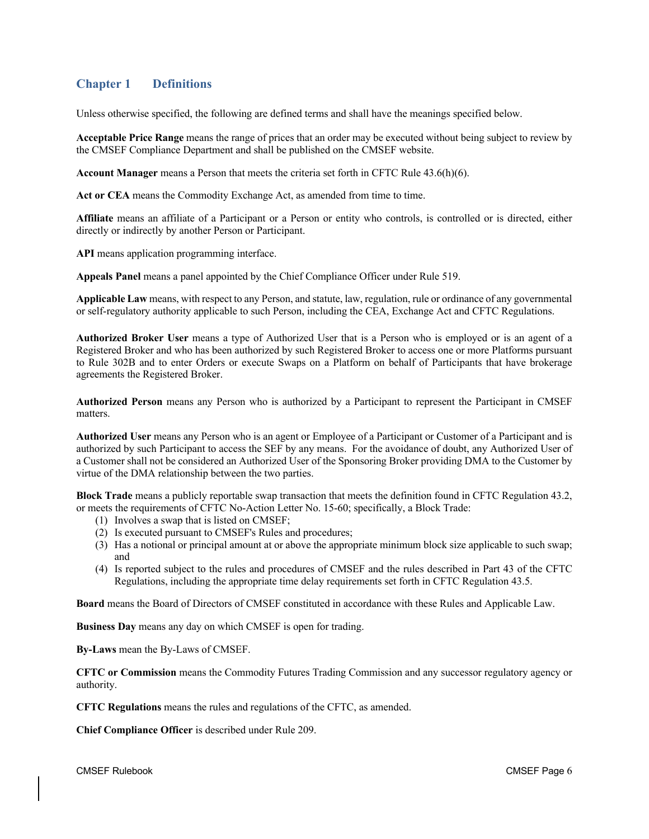# **Chapter 1 Definitions**

Unless otherwise specified, the following are defined terms and shall have the meanings specified below.

**Acceptable Price Range** means the range of prices that an order may be executed without being subject to review by the CMSEF Compliance Department and shall be published on the CMSEF website.

**Account Manager** means a Person that meets the criteria set forth in CFTC Rule 43.6(h)(6).

**Act or CEA** means the Commodity Exchange Act, as amended from time to time.

**Affiliate** means an affiliate of a Participant or a Person or entity who controls, is controlled or is directed, either directly or indirectly by another Person or Participant.

**API** means application programming interface.

**Appeals Panel** means a panel appointed by the Chief Compliance Officer under Rule 519.

**Applicable Law** means, with respect to any Person, and statute, law, regulation, rule or ordinance of any governmental or self-regulatory authority applicable to such Person, including the CEA, Exchange Act and CFTC Regulations.

**Authorized Broker User** means a type of Authorized User that is a Person who is employed or is an agent of a Registered Broker and who has been authorized by such Registered Broker to access one or more Platforms pursuant to Rule 302B and to enter Orders or execute Swaps on a Platform on behalf of Participants that have brokerage agreements the Registered Broker.

**Authorized Person** means any Person who is authorized by a Participant to represent the Participant in CMSEF matters.

**Authorized User** means any Person who is an agent or Employee of a Participant or Customer of a Participant and is authorized by such Participant to access the SEF by any means. For the avoidance of doubt, any Authorized User of a Customer shall not be considered an Authorized User of the Sponsoring Broker providing DMA to the Customer by virtue of the DMA relationship between the two parties.

**Block Trade** means a publicly reportable swap transaction that meets the definition found in CFTC Regulation 43.2, or meets the requirements of CFTC No-Action Letter No. 15-60; specifically, a Block Trade:

- (1) Involves a swap that is listed on CMSEF;
- (2) Is executed pursuant to CMSEF's Rules and procedures;
- (3) Has a notional or principal amount at or above the appropriate minimum block size applicable to such swap; and
- (4) Is reported subject to the rules and procedures of CMSEF and the rules described in Part 43 of the CFTC Regulations, including the appropriate time delay requirements set forth in CFTC Regulation 43.5.

**Board** means the Board of Directors of CMSEF constituted in accordance with these Rules and Applicable Law.

**Business Day** means any day on which CMSEF is open for trading.

**By-Laws** mean the By-Laws of CMSEF.

**CFTC or Commission** means the Commodity Futures Trading Commission and any successor regulatory agency or authority.

**CFTC Regulations** means the rules and regulations of the CFTC, as amended.

**Chief Compliance Officer** is described under Rule 209.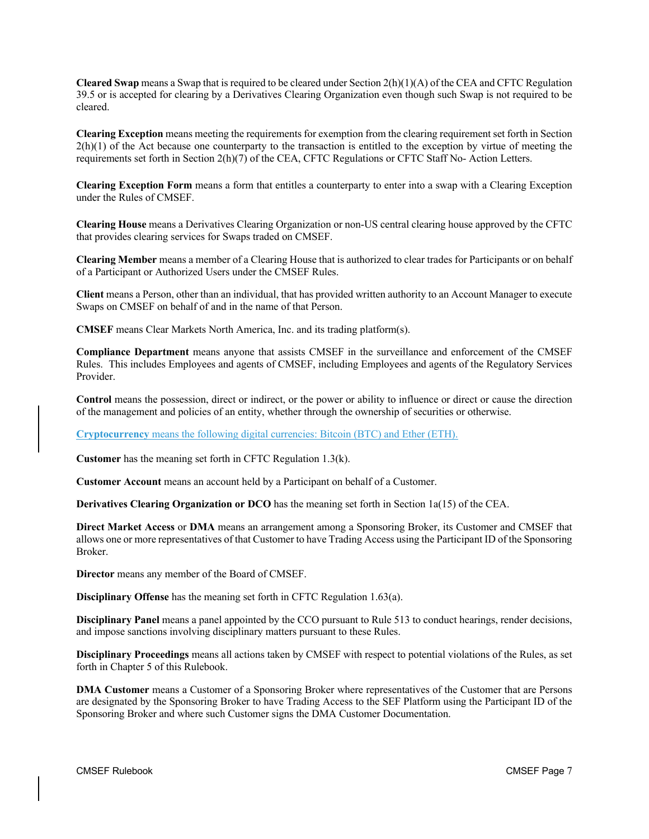**Cleared Swap** means a Swap that is required to be cleared under Section 2(h)(1)(A) of the CEA and CFTC Regulation 39.5 or is accepted for clearing by a Derivatives Clearing Organization even though such Swap is not required to be cleared.

**Clearing Exception** means meeting the requirements for exemption from the clearing requirement set forth in Section  $2(h)(1)$  of the Act because one counterparty to the transaction is entitled to the exception by virtue of meeting the requirements set forth in Section 2(h)(7) of the CEA, CFTC Regulations or CFTC Staff No- Action Letters.

**Clearing Exception Form** means a form that entitles a counterparty to enter into a swap with a Clearing Exception under the Rules of CMSEF.

**Clearing House** means a Derivatives Clearing Organization or non-US central clearing house approved by the CFTC that provides clearing services for Swaps traded on CMSEF.

**Clearing Member** means a member of a Clearing House that is authorized to clear trades for Participants or on behalf of a Participant or Authorized Users under the CMSEF Rules.

**Client** means a Person, other than an individual, that has provided written authority to an Account Manager to execute Swaps on CMSEF on behalf of and in the name of that Person.

**CMSEF** means Clear Markets North America, Inc. and its trading platform(s).

**Compliance Department** means anyone that assists CMSEF in the surveillance and enforcement of the CMSEF Rules. This includes Employees and agents of CMSEF, including Employees and agents of the Regulatory Services Provider.

**Control** means the possession, direct or indirect, or the power or ability to influence or direct or cause the direction of the management and policies of an entity, whether through the ownership of securities or otherwise.

**Cryptocurrency** means the following digital currencies: Bitcoin (BTC) and Ether (ETH).

**Customer** has the meaning set forth in CFTC Regulation 1.3(k).

**Customer Account** means an account held by a Participant on behalf of a Customer.

**Derivatives Clearing Organization or DCO** has the meaning set forth in Section 1a(15) of the CEA.

**Direct Market Access** or **DMA** means an arrangement among a Sponsoring Broker, its Customer and CMSEF that allows one or more representatives of that Customer to have Trading Access using the Participant ID of the Sponsoring Broker.

**Director** means any member of the Board of CMSEF.

**Disciplinary Offense** has the meaning set forth in CFTC Regulation 1.63(a).

**Disciplinary Panel** means a panel appointed by the CCO pursuant to Rule 513 to conduct hearings, render decisions, and impose sanctions involving disciplinary matters pursuant to these Rules.

**Disciplinary Proceedings** means all actions taken by CMSEF with respect to potential violations of the Rules, as set forth in Chapter 5 of this Rulebook.

**DMA Customer** means a Customer of a Sponsoring Broker where representatives of the Customer that are Persons are designated by the Sponsoring Broker to have Trading Access to the SEF Platform using the Participant ID of the Sponsoring Broker and where such Customer signs the DMA Customer Documentation.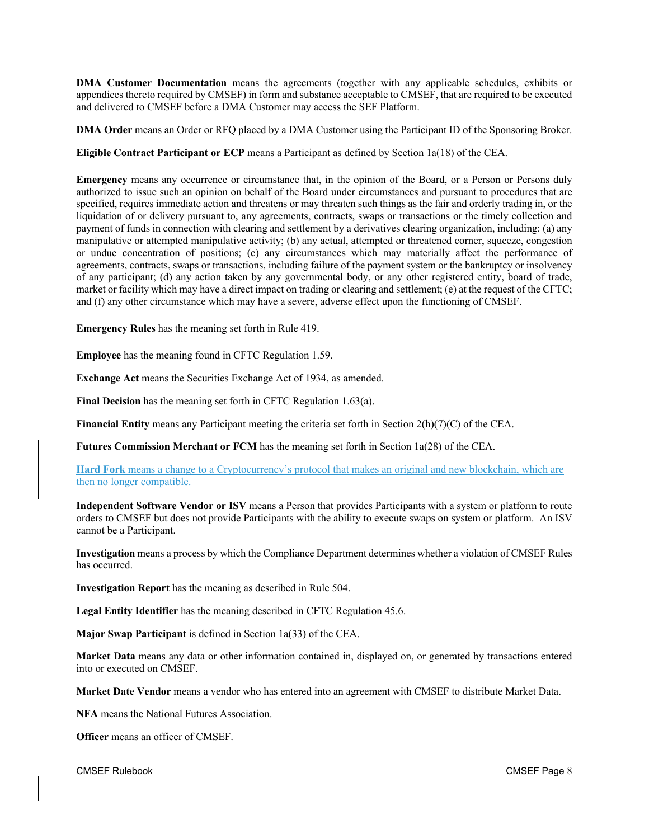**DMA Customer Documentation** means the agreements (together with any applicable schedules, exhibits or appendices thereto required by CMSEF) in form and substance acceptable to CMSEF, that are required to be executed and delivered to CMSEF before a DMA Customer may access the SEF Platform.

**DMA Order** means an Order or RFQ placed by a DMA Customer using the Participant ID of the Sponsoring Broker.

**Eligible Contract Participant or ECP** means a Participant as defined by Section 1a(18) of the CEA.

**Emergency** means any occurrence or circumstance that, in the opinion of the Board, or a Person or Persons duly authorized to issue such an opinion on behalf of the Board under circumstances and pursuant to procedures that are specified, requires immediate action and threatens or may threaten such things as the fair and orderly trading in, or the liquidation of or delivery pursuant to, any agreements, contracts, swaps or transactions or the timely collection and payment of funds in connection with clearing and settlement by a derivatives clearing organization, including: (a) any manipulative or attempted manipulative activity; (b) any actual, attempted or threatened corner, squeeze, congestion or undue concentration of positions; (c) any circumstances which may materially affect the performance of agreements, contracts, swaps or transactions, including failure of the payment system or the bankruptcy or insolvency of any participant; (d) any action taken by any governmental body, or any other registered entity, board of trade, market or facility which may have a direct impact on trading or clearing and settlement; (e) at the request of the CFTC; and (f) any other circumstance which may have a severe, adverse effect upon the functioning of CMSEF.

**Emergency Rules** has the meaning set forth in Rule 419.

**Employee** has the meaning found in CFTC Regulation 1.59.

**Exchange Act** means the Securities Exchange Act of 1934, as amended.

**Final Decision** has the meaning set forth in CFTC Regulation 1.63(a).

**Financial Entity** means any Participant meeting the criteria set forth in Section 2(h)(7)(C) of the CEA.

**Futures Commission Merchant or FCM** has the meaning set forth in Section 1a(28) of the CEA.

**Hard Fork** means a change to a Cryptocurrency's protocol that makes an original and new blockchain, which are then no longer compatible.

**Independent Software Vendor or ISV** means a Person that provides Participants with a system or platform to route orders to CMSEF but does not provide Participants with the ability to execute swaps on system or platform. An ISV cannot be a Participant.

**Investigation** means a process by which the Compliance Department determines whether a violation of CMSEF Rules has occurred.

**Investigation Report** has the meaning as described in Rule 504.

**Legal Entity Identifier** has the meaning described in CFTC Regulation 45.6.

**Major Swap Participant** is defined in Section 1a(33) of the CEA.

**Market Data** means any data or other information contained in, displayed on, or generated by transactions entered into or executed on CMSEF.

**Market Date Vendor** means a vendor who has entered into an agreement with CMSEF to distribute Market Data.

**NFA** means the National Futures Association.

**Officer** means an officer of CMSEF.

CMSEF Rulebook CMSEF Page 8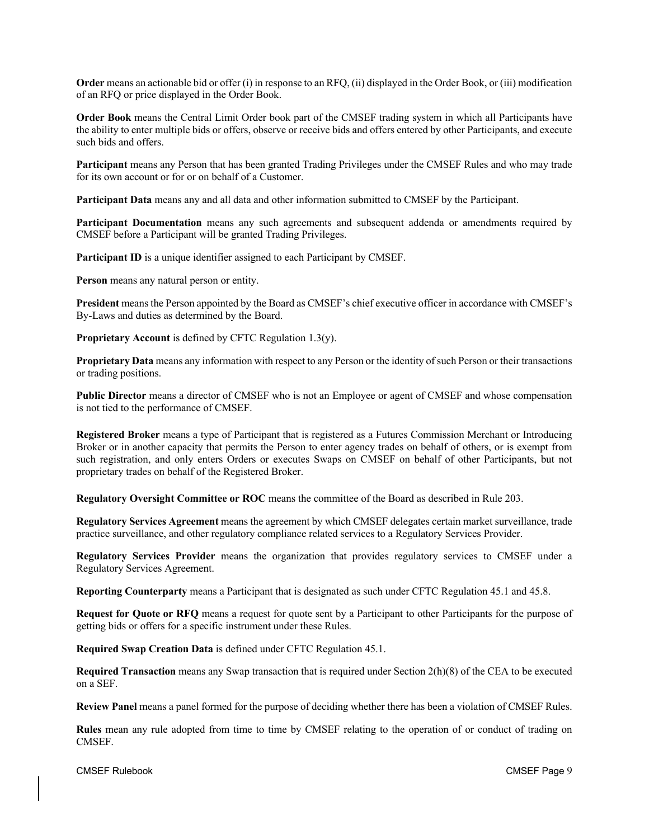**Order** means an actionable bid or offer (i) in response to an RFQ, (ii) displayed in the Order Book, or (iii) modification of an RFQ or price displayed in the Order Book.

**Order Book** means the Central Limit Order book part of the CMSEF trading system in which all Participants have the ability to enter multiple bids or offers, observe or receive bids and offers entered by other Participants, and execute such bids and offers.

**Participant** means any Person that has been granted Trading Privileges under the CMSEF Rules and who may trade for its own account or for or on behalf of a Customer.

**Participant Data** means any and all data and other information submitted to CMSEF by the Participant.

**Participant Documentation** means any such agreements and subsequent addenda or amendments required by CMSEF before a Participant will be granted Trading Privileges.

**Participant ID** is a unique identifier assigned to each Participant by CMSEF.

**Person** means any natural person or entity.

**President** means the Person appointed by the Board as CMSEF's chief executive officer in accordance with CMSEF's By-Laws and duties as determined by the Board.

**Proprietary Account** is defined by CFTC Regulation 1.3(y).

**Proprietary Data** means any information with respect to any Person or the identity of such Person or their transactions or trading positions.

**Public Director** means a director of CMSEF who is not an Employee or agent of CMSEF and whose compensation is not tied to the performance of CMSEF.

**Registered Broker** means a type of Participant that is registered as a Futures Commission Merchant or Introducing Broker or in another capacity that permits the Person to enter agency trades on behalf of others, or is exempt from such registration, and only enters Orders or executes Swaps on CMSEF on behalf of other Participants, but not proprietary trades on behalf of the Registered Broker.

**Regulatory Oversight Committee or ROC** means the committee of the Board as described in Rule 203.

**Regulatory Services Agreement** means the agreement by which CMSEF delegates certain market surveillance, trade practice surveillance, and other regulatory compliance related services to a Regulatory Services Provider.

**Regulatory Services Provider** means the organization that provides regulatory services to CMSEF under a Regulatory Services Agreement.

**Reporting Counterparty** means a Participant that is designated as such under CFTC Regulation 45.1 and 45.8.

**Request for Quote or RFQ** means a request for quote sent by a Participant to other Participants for the purpose of getting bids or offers for a specific instrument under these Rules.

**Required Swap Creation Data** is defined under CFTC Regulation 45.1.

**Required Transaction** means any Swap transaction that is required under Section 2(h)(8) of the CEA to be executed on a SEF.

**Review Panel** means a panel formed for the purpose of deciding whether there has been a violation of CMSEF Rules.

**Rules** mean any rule adopted from time to time by CMSEF relating to the operation of or conduct of trading on CMSEF.

CMSEF Rulebook CMSEF Page 9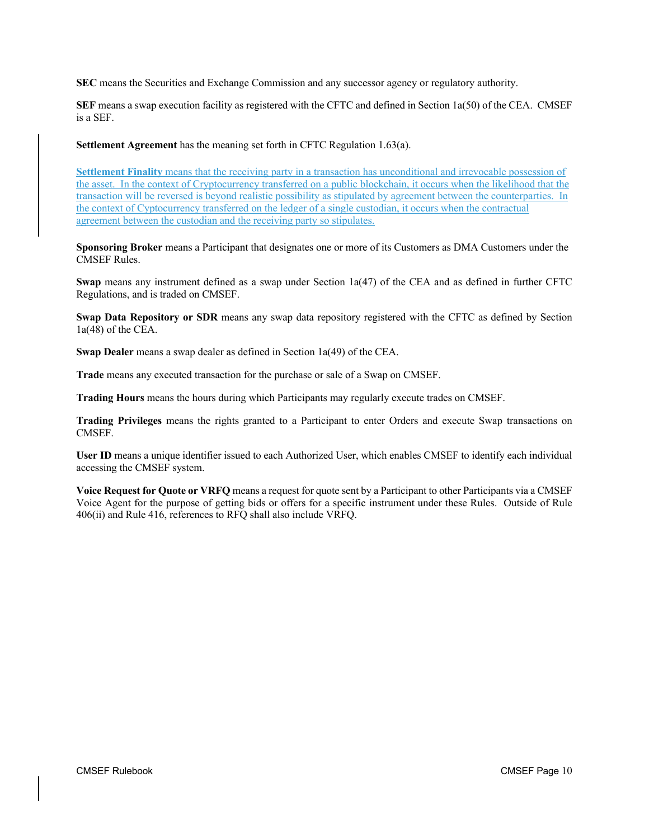**SEC** means the Securities and Exchange Commission and any successor agency or regulatory authority.

**SEF** means a swap execution facility as registered with the CFTC and defined in Section 1a(50) of the CEA. CMSEF is a SEF.

**Settlement Agreement** has the meaning set forth in CFTC Regulation 1.63(a).

**Settlement Finality** means that the receiving party in a transaction has unconditional and irrevocable possession of the asset. In the context of Cryptocurrency transferred on a public blockchain, it occurs when the likelihood that the transaction will be reversed is beyond realistic possibility as stipulated by agreement between the counterparties. In the context of Cyptocurrency transferred on the ledger of a single custodian, it occurs when the contractual agreement between the custodian and the receiving party so stipulates.

**Sponsoring Broker** means a Participant that designates one or more of its Customers as DMA Customers under the CMSEF Rules.

**Swap** means any instrument defined as a swap under Section 1a(47) of the CEA and as defined in further CFTC Regulations, and is traded on CMSEF.

**Swap Data Repository or SDR** means any swap data repository registered with the CFTC as defined by Section 1a(48) of the CEA.

**Swap Dealer** means a swap dealer as defined in Section 1a(49) of the CEA.

**Trade** means any executed transaction for the purchase or sale of a Swap on CMSEF.

**Trading Hours** means the hours during which Participants may regularly execute trades on CMSEF.

**Trading Privileges** means the rights granted to a Participant to enter Orders and execute Swap transactions on CMSEF.

**User ID** means a unique identifier issued to each Authorized User, which enables CMSEF to identify each individual accessing the CMSEF system.

**Voice Request for Quote or VRFQ** means a request for quote sent by a Participant to other Participants via a CMSEF Voice Agent for the purpose of getting bids or offers for a specific instrument under these Rules. Outside of Rule 406(ii) and Rule 416, references to RFQ shall also include VRFQ.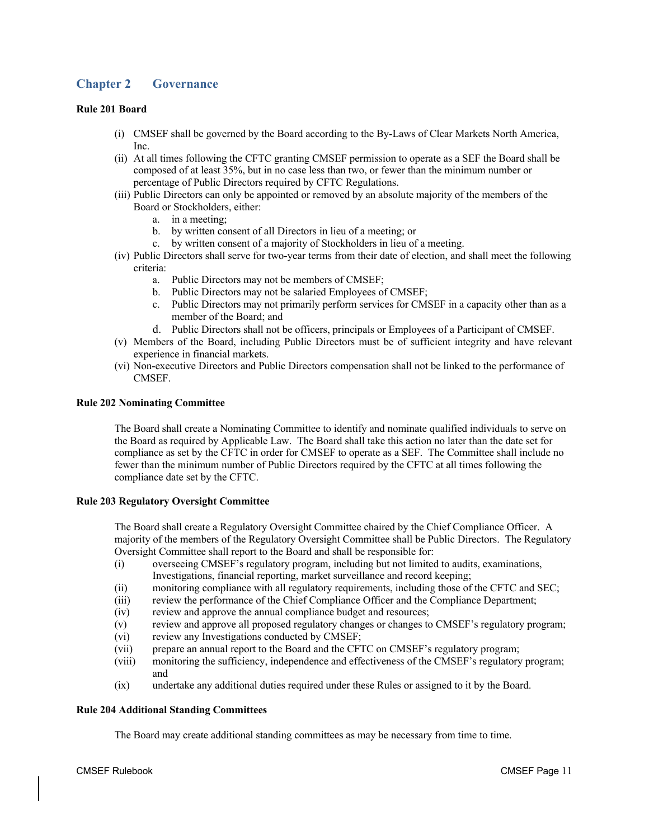# **Chapter 2 Governance**

# **Rule 201 Board**

- (i) CMSEF shall be governed by the Board according to the By-Laws of Clear Markets North America, Inc.
- (ii) At all times following the CFTC granting CMSEF permission to operate as a SEF the Board shall be composed of at least 35%, but in no case less than two, or fewer than the minimum number or percentage of Public Directors required by CFTC Regulations.
- (iii) Public Directors can only be appointed or removed by an absolute majority of the members of the Board or Stockholders, either:
	- a. in a meeting;
	- b. by written consent of all Directors in lieu of a meeting; or
	- c. by written consent of a majority of Stockholders in lieu of a meeting.
- (iv) Public Directors shall serve for two-year terms from their date of election, and shall meet the following criteria:
	- a. Public Directors may not be members of CMSEF;
	- b. Public Directors may not be salaried Employees of CMSEF;
	- c. Public Directors may not primarily perform services for CMSEF in a capacity other than as a member of the Board; and
	- d. Public Directors shall not be officers, principals or Employees of a Participant of CMSEF.
- (v) Members of the Board, including Public Directors must be of sufficient integrity and have relevant experience in financial markets.
- (vi) Non-executive Directors and Public Directors compensation shall not be linked to the performance of CMSEF.

# **Rule 202 Nominating Committee**

The Board shall create a Nominating Committee to identify and nominate qualified individuals to serve on the Board as required by Applicable Law. The Board shall take this action no later than the date set for compliance as set by the CFTC in order for CMSEF to operate as a SEF. The Committee shall include no fewer than the minimum number of Public Directors required by the CFTC at all times following the compliance date set by the CFTC.

# **Rule 203 Regulatory Oversight Committee**

The Board shall create a Regulatory Oversight Committee chaired by the Chief Compliance Officer. A majority of the members of the Regulatory Oversight Committee shall be Public Directors. The Regulatory Oversight Committee shall report to the Board and shall be responsible for:

- (i) overseeing CMSEF's regulatory program, including but not limited to audits, examinations, Investigations, financial reporting, market surveillance and record keeping;
- (ii) monitoring compliance with all regulatory requirements, including those of the CFTC and SEC;
- (iii) review the performance of the Chief Compliance Officer and the Compliance Department;
- (iv) review and approve the annual compliance budget and resources;
- (v) review and approve all proposed regulatory changes or changes to CMSEF's regulatory program;
- (vi) review any Investigations conducted by CMSEF;
- (vii) prepare an annual report to the Board and the CFTC on CMSEF's regulatory program;
- (viii) monitoring the sufficiency, independence and effectiveness of the CMSEF's regulatory program; and
- (ix) undertake any additional duties required under these Rules or assigned to it by the Board.

# **Rule 204 Additional Standing Committees**

The Board may create additional standing committees as may be necessary from time to time.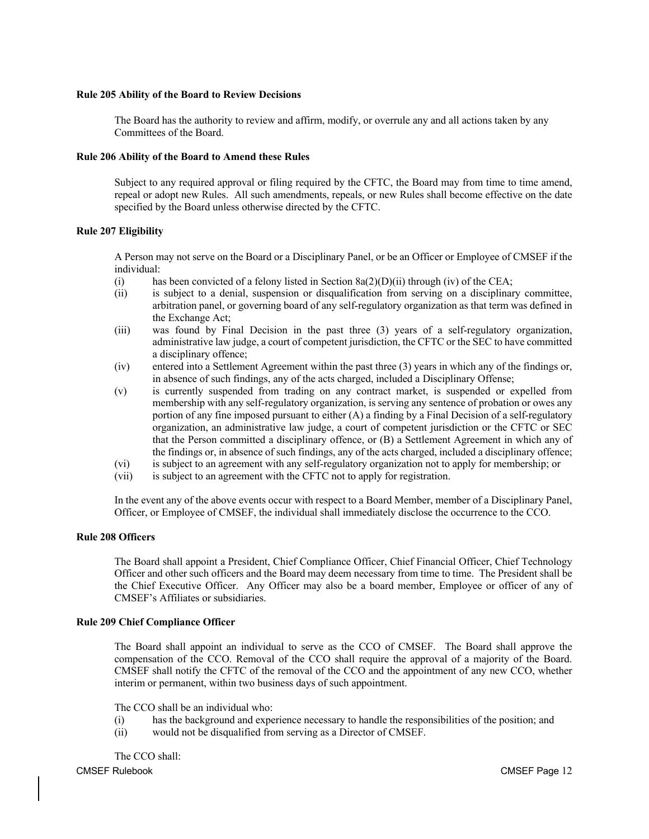## **Rule 205 Ability of the Board to Review Decisions**

The Board has the authority to review and affirm, modify, or overrule any and all actions taken by any Committees of the Board.

# **Rule 206 Ability of the Board to Amend these Rules**

Subject to any required approval or filing required by the CFTC, the Board may from time to time amend, repeal or adopt new Rules. All such amendments, repeals, or new Rules shall become effective on the date specified by the Board unless otherwise directed by the CFTC.

# **Rule 207 Eligibility**

A Person may not serve on the Board or a Disciplinary Panel, or be an Officer or Employee of CMSEF if the individual:

- (i) has been convicted of a felony listed in Section  $8a(2)(D)(ii)$  through (iv) of the CEA;
- (ii) is subject to a denial, suspension or disqualification from serving on a disciplinary committee, arbitration panel, or governing board of any self-regulatory organization as that term was defined in the Exchange Act;
- (iii) was found by Final Decision in the past three (3) years of a self-regulatory organization, administrative law judge, a court of competent jurisdiction, the CFTC or the SEC to have committed a disciplinary offence;
- (iv) entered into a Settlement Agreement within the past three (3) years in which any of the findings or, in absence of such findings, any of the acts charged, included a Disciplinary Offense;
- (v) is currently suspended from trading on any contract market, is suspended or expelled from membership with any self-regulatory organization, is serving any sentence of probation or owes any portion of any fine imposed pursuant to either (A) a finding by a Final Decision of a self-regulatory organization, an administrative law judge, a court of competent jurisdiction or the CFTC or SEC that the Person committed a disciplinary offence, or (B) a Settlement Agreement in which any of the findings or, in absence of such findings, any of the acts charged, included a disciplinary offence;
- (vi) is subject to an agreement with any self-regulatory organization not to apply for membership; or
- (vii) is subject to an agreement with the CFTC not to apply for registration.

In the event any of the above events occur with respect to a Board Member, member of a Disciplinary Panel, Officer, or Employee of CMSEF, the individual shall immediately disclose the occurrence to the CCO.

# **Rule 208 Officers**

The Board shall appoint a President, Chief Compliance Officer, Chief Financial Officer, Chief Technology Officer and other such officers and the Board may deem necessary from time to time. The President shall be the Chief Executive Officer. Any Officer may also be a board member, Employee or officer of any of CMSEF's Affiliates or subsidiaries.

# **Rule 209 Chief Compliance Officer**

The Board shall appoint an individual to serve as the CCO of CMSEF. The Board shall approve the compensation of the CCO. Removal of the CCO shall require the approval of a majority of the Board. CMSEF shall notify the CFTC of the removal of the CCO and the appointment of any new CCO, whether interim or permanent, within two business days of such appointment.

The CCO shall be an individual who:

- (i) has the background and experience necessary to handle the responsibilities of the position; and
- (ii) would not be disqualified from serving as a Director of CMSEF.

CMSEF Rulebook CMSEF Page 12 The CCO shall: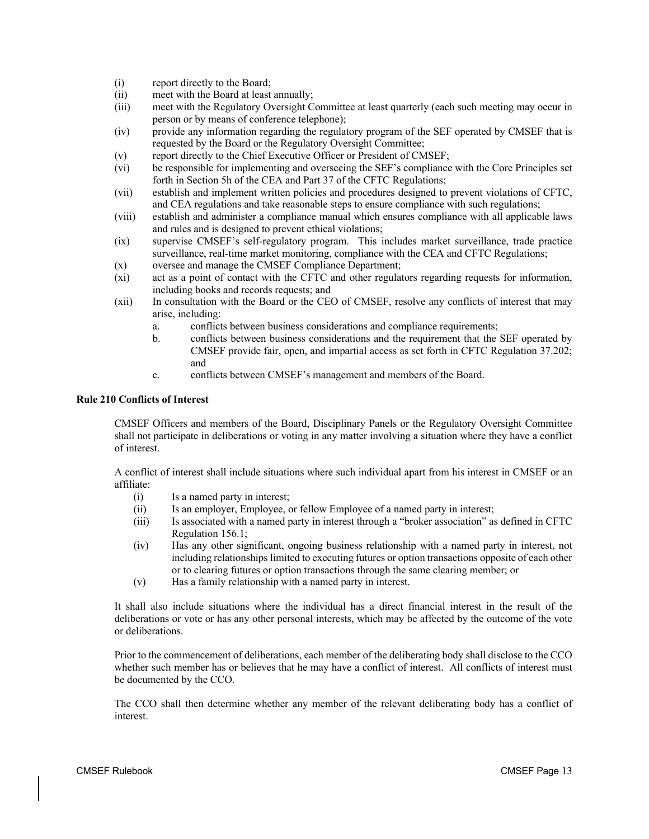- (i) report directly to the Board;
- (ii) meet with the Board at least annually;
- (iii) meet with the Regulatory Oversight Committee at least quarterly (each such meeting may occur in person or by means of conference telephone);
- (iv) provide any information regarding the regulatory program of the SEF operated by CMSEF that is requested by the Board or the Regulatory Oversight Committee;
- (v) report directly to the Chief Executive Officer or President of CMSEF;
- (vi) be responsible for implementing and overseeing the SEF's compliance with the Core Principles set forth in Section 5h of the CEA and Part 37 of the CFTC Regulations;
- (vii) establish and implement written policies and procedures designed to prevent violations of CFTC, and CEA regulations and take reasonable steps to ensure compliance with such regulations;
- (viii) establish and administer a compliance manual which ensures compliance with all applicable laws and rules and is designed to prevent ethical violations;
- (ix) supervise CMSEF's self-regulatory program. This includes market surveillance, trade practice surveillance, real-time market monitoring, compliance with the CEA and CFTC Regulations;
- (x) oversee and manage the CMSEF Compliance Department;
- (xi) act as a point of contact with the CFTC and other regulators regarding requests for information, including books and records requests; and
- (xii) In consultation with the Board or the CEO of CMSEF, resolve any conflicts of interest that may arise, including:
	- a. conflicts between business considerations and compliance requirements;
	- b. conflicts between business considerations and the requirement that the SEF operated by CMSEF provide fair, open, and impartial access as set forth in CFTC Regulation 37.202; and
	- c. conflicts between CMSEF's management and members of the Board.

# **Rule 210 Conflicts of Interest**

CMSEF Officers and members of the Board, Disciplinary Panels or the Regulatory Oversight Committee shall not participate in deliberations or voting in any matter involving a situation where they have a conflict of interest.

A conflict of interest shall include situations where such individual apart from his interest in CMSEF or an affiliate:

- (i) Is a named party in interest;
- (ii) Is an employer, Employee, or fellow Employee of a named party in interest;
- (iii) Is associated with a named party in interest through a "broker association" as defined in CFTC Regulation 156.1;
- (iv) Has any other significant, ongoing business relationship with a named party in interest, not including relationships limited to executing futures or option transactions opposite of each other or to clearing futures or option transactions through the same clearing member; or
- (v) Has a family relationship with a named party in interest.

It shall also include situations where the individual has a direct financial interest in the result of the deliberations or vote or has any other personal interests, which may be affected by the outcome of the vote or deliberations.

Prior to the commencement of deliberations, each member of the deliberating body shall disclose to the CCO whether such member has or believes that he may have a conflict of interest. All conflicts of interest must be documented by the CCO.

The CCO shall then determine whether any member of the relevant deliberating body has a conflict of interest.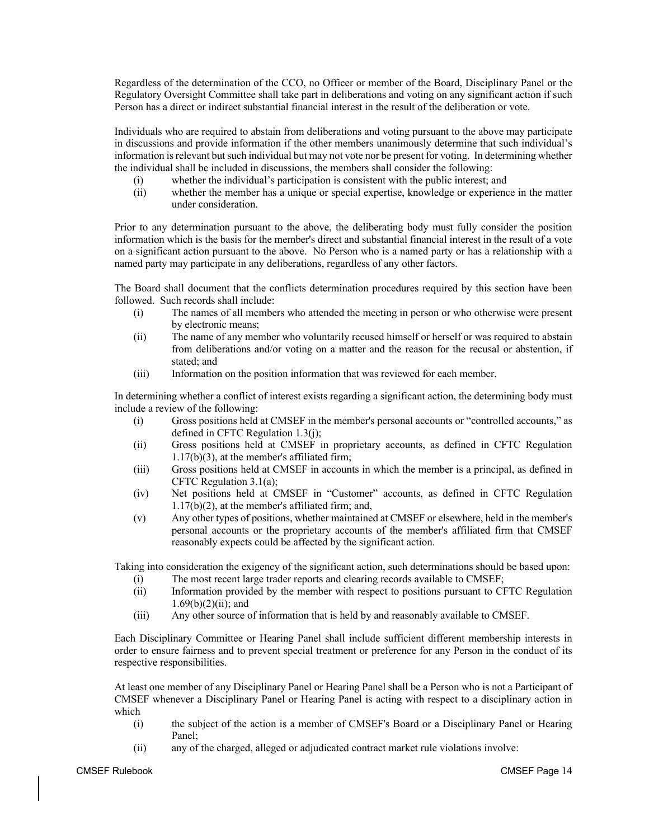Regardless of the determination of the CCO, no Officer or member of the Board, Disciplinary Panel or the Regulatory Oversight Committee shall take part in deliberations and voting on any significant action if such Person has a direct or indirect substantial financial interest in the result of the deliberation or vote.

Individuals who are required to abstain from deliberations and voting pursuant to the above may participate in discussions and provide information if the other members unanimously determine that such individual's information is relevant but such individual but may not vote nor be present for voting. In determining whether the individual shall be included in discussions, the members shall consider the following:

- (i) whether the individual's participation is consistent with the public interest; and
- (ii) whether the member has a unique or special expertise, knowledge or experience in the matter under consideration.

Prior to any determination pursuant to the above, the deliberating body must fully consider the position information which is the basis for the member's direct and substantial financial interest in the result of a vote on a significant action pursuant to the above. No Person who is a named party or has a relationship with a named party may participate in any deliberations, regardless of any other factors.

The Board shall document that the conflicts determination procedures required by this section have been followed. Such records shall include:

- (i) The names of all members who attended the meeting in person or who otherwise were present by electronic means;
- (ii) The name of any member who voluntarily recused himself or herself or was required to abstain from deliberations and/or voting on a matter and the reason for the recusal or abstention, if stated; and
- (iii) Information on the position information that was reviewed for each member.

In determining whether a conflict of interest exists regarding a significant action, the determining body must include a review of the following:

- (i) Gross positions held at CMSEF in the member's personal accounts or "controlled accounts," as defined in CFTC Regulation 1.3(j);
- (ii) Gross positions held at CMSEF in proprietary accounts, as defined in CFTC Regulation 1.17(b)(3), at the member's affiliated firm;
- (iii) Gross positions held at CMSEF in accounts in which the member is a principal, as defined in CFTC Regulation 3.1(a);
- (iv) Net positions held at CMSEF in "Customer" accounts, as defined in CFTC Regulation 1.17(b)(2), at the member's affiliated firm; and,
- (v) Any other types of positions, whether maintained at CMSEF or elsewhere, held in the member's personal accounts or the proprietary accounts of the member's affiliated firm that CMSEF reasonably expects could be affected by the significant action.

Taking into consideration the exigency of the significant action, such determinations should be based upon:

- (i) The most recent large trader reports and clearing records available to CMSEF;
- (ii) Information provided by the member with respect to positions pursuant to CFTC Regulation  $1.69(b)(2)(ii)$ ; and
- (iii) Any other source of information that is held by and reasonably available to CMSEF.

Each Disciplinary Committee or Hearing Panel shall include sufficient different membership interests in order to ensure fairness and to prevent special treatment or preference for any Person in the conduct of its respective responsibilities.

At least one member of any Disciplinary Panel or Hearing Panel shall be a Person who is not a Participant of CMSEF whenever a Disciplinary Panel or Hearing Panel is acting with respect to a disciplinary action in which

- (i) the subject of the action is a member of CMSEF's Board or a Disciplinary Panel or Hearing Panel;
- (ii) any of the charged, alleged or adjudicated contract market rule violations involve: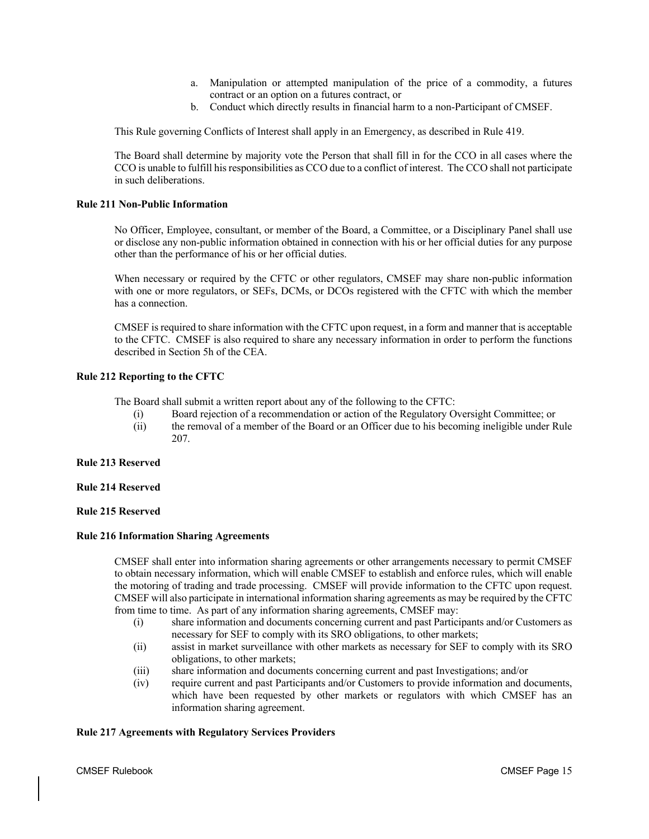- a. Manipulation or attempted manipulation of the price of a commodity, a futures contract or an option on a futures contract, or
- b. Conduct which directly results in financial harm to a non-Participant of CMSEF.

This Rule governing Conflicts of Interest shall apply in an Emergency, as described in Rule 419.

The Board shall determine by majority vote the Person that shall fill in for the CCO in all cases where the CCO is unable to fulfill his responsibilities as CCO due to a conflict of interest. The CCO shall not participate in such deliberations.

# **Rule 211 Non-Public Information**

No Officer, Employee, consultant, or member of the Board, a Committee, or a Disciplinary Panel shall use or disclose any non-public information obtained in connection with his or her official duties for any purpose other than the performance of his or her official duties.

When necessary or required by the CFTC or other regulators, CMSEF may share non-public information with one or more regulators, or SEFs, DCMs, or DCOs registered with the CFTC with which the member has a connection.

CMSEF is required to share information with the CFTC upon request, in a form and manner that is acceptable to the CFTC. CMSEF is also required to share any necessary information in order to perform the functions described in Section 5h of the CEA.

# **Rule 212 Reporting to the CFTC**

The Board shall submit a written report about any of the following to the CFTC:

- (i) Board rejection of a recommendation or action of the Regulatory Oversight Committee; or
- (ii) the removal of a member of the Board or an Officer due to his becoming ineligible under Rule 207.

# **Rule 213 Reserved**

# **Rule 214 Reserved**

# **Rule 215 Reserved**

# **Rule 216 Information Sharing Agreements**

CMSEF shall enter into information sharing agreements or other arrangements necessary to permit CMSEF to obtain necessary information, which will enable CMSEF to establish and enforce rules, which will enable the motoring of trading and trade processing. CMSEF will provide information to the CFTC upon request. CMSEF will also participate in international information sharing agreements as may be required by the CFTC from time to time. As part of any information sharing agreements, CMSEF may:

- (i) share information and documents concerning current and past Participants and/or Customers as necessary for SEF to comply with its SRO obligations, to other markets;
- (ii) assist in market surveillance with other markets as necessary for SEF to comply with its SRO obligations, to other markets;
- (iii) share information and documents concerning current and past Investigations; and/or
- (iv) require current and past Participants and/or Customers to provide information and documents, which have been requested by other markets or regulators with which CMSEF has an information sharing agreement.

# **Rule 217 Agreements with Regulatory Services Providers**

CMSEF Rulebook CMSEF Page 15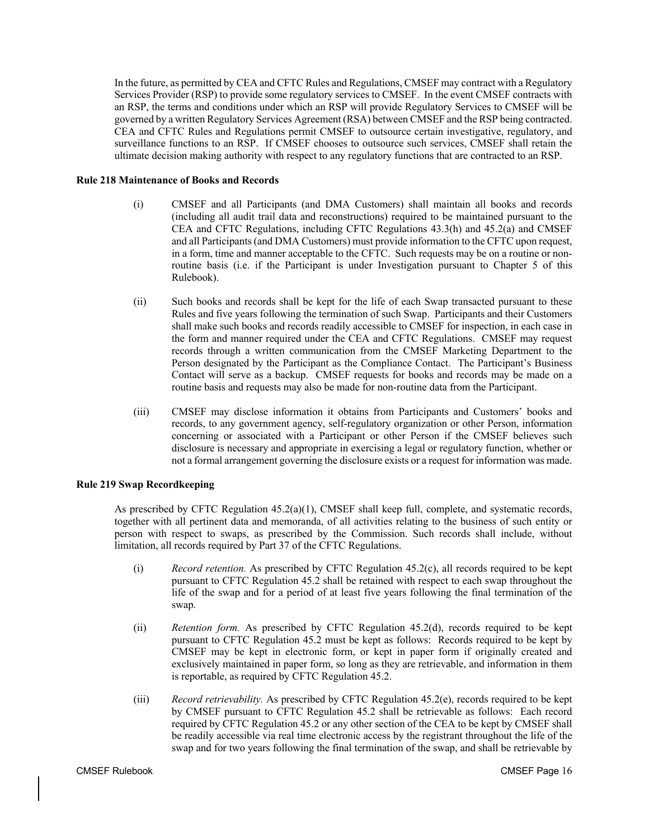In the future, as permitted by CEA and CFTC Rules and Regulations, CMSEF may contract with a Regulatory Services Provider (RSP) to provide some regulatory services to CMSEF. In the event CMSEF contracts with an RSP, the terms and conditions under which an RSP will provide Regulatory Services to CMSEF will be governed by a written Regulatory Services Agreement (RSA) between CMSEF and the RSP being contracted. CEA and CFTC Rules and Regulations permit CMSEF to outsource certain investigative, regulatory, and surveillance functions to an RSP. If CMSEF chooses to outsource such services, CMSEF shall retain the ultimate decision making authority with respect to any regulatory functions that are contracted to an RSP.

# **Rule 218 Maintenance of Books and Records**

- (i) CMSEF and all Participants (and DMA Customers) shall maintain all books and records (including all audit trail data and reconstructions) required to be maintained pursuant to the CEA and CFTC Regulations, including CFTC Regulations 43.3(h) and 45.2(a) and CMSEF and all Participants (and DMA Customers) must provide information to the CFTC upon request, in a form, time and manner acceptable to the CFTC. Such requests may be on a routine or nonroutine basis (i.e. if the Participant is under Investigation pursuant to Chapter 5 of this Rulebook).
- (ii) Such books and records shall be kept for the life of each Swap transacted pursuant to these Rules and five years following the termination of such Swap. Participants and their Customers shall make such books and records readily accessible to CMSEF for inspection, in each case in the form and manner required under the CEA and CFTC Regulations. CMSEF may request records through a written communication from the CMSEF Marketing Department to the Person designated by the Participant as the Compliance Contact. The Participant's Business Contact will serve as a backup. CMSEF requests for books and records may be made on a routine basis and requests may also be made for non-routine data from the Participant.
- (iii) CMSEF may disclose information it obtains from Participants and Customers' books and records, to any government agency, self-regulatory organization or other Person, information concerning or associated with a Participant or other Person if the CMSEF believes such disclosure is necessary and appropriate in exercising a legal or regulatory function, whether or not a formal arrangement governing the disclosure exists or a request for information was made.

# **Rule 219 Swap Recordkeeping**

As prescribed by CFTC Regulation 45.2(a)(1), CMSEF shall keep full, complete, and systematic records, together with all pertinent data and memoranda, of all activities relating to the business of such entity or person with respect to swaps, as prescribed by the Commission. Such records shall include, without limitation, all records required by Part 37 of the CFTC Regulations.

- (i) *Record retention.* As prescribed by CFTC Regulation 45.2(c), all records required to be kept pursuant to CFTC Regulation 45.2 shall be retained with respect to each swap throughout the life of the swap and for a period of at least five years following the final termination of the swap.
- (ii) *Retention form.* As prescribed by CFTC Regulation 45.2(d), records required to be kept pursuant to CFTC Regulation 45.2 must be kept as follows: Records required to be kept by CMSEF may be kept in electronic form, or kept in paper form if originally created and exclusively maintained in paper form, so long as they are retrievable, and information in them is reportable, as required by CFTC Regulation 45.2.
- (iii) *Record retrievability.* As prescribed by CFTC Regulation 45.2(e), records required to be kept by CMSEF pursuant to CFTC Regulation 45.2 shall be retrievable as follows: Each record required by CFTC Regulation 45.2 or any other section of the CEA to be kept by CMSEF shall be readily accessible via real time electronic access by the registrant throughout the life of the swap and for two years following the final termination of the swap, and shall be retrievable by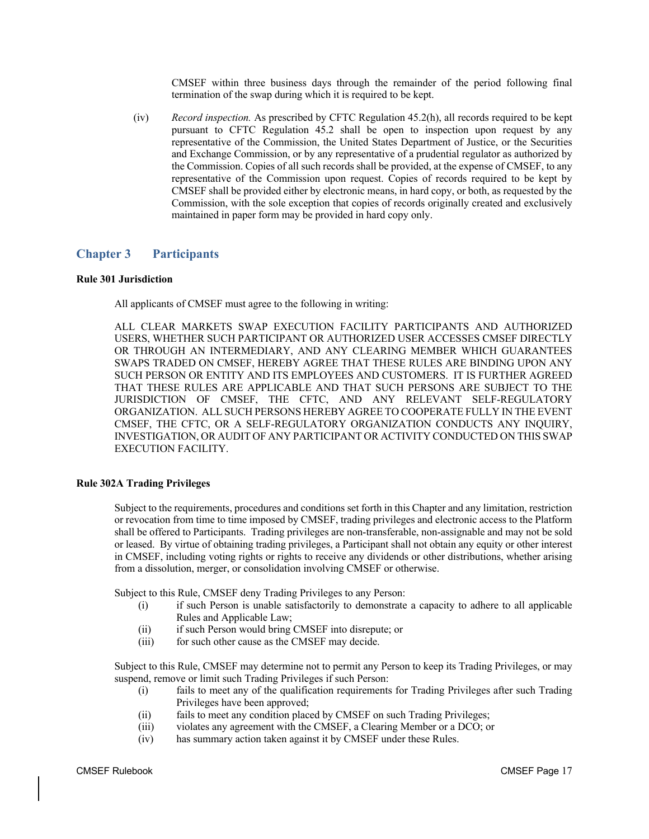CMSEF within three business days through the remainder of the period following final termination of the swap during which it is required to be kept.

(iv) *Record inspection.* As prescribed by CFTC Regulation 45.2(h), all records required to be kept pursuant to CFTC Regulation 45.2 shall be open to inspection upon request by any representative of the Commission, the United States Department of Justice, or the Securities and Exchange Commission, or by any representative of a prudential regulator as authorized by the Commission. Copies of all such records shall be provided, at the expense of CMSEF, to any representative of the Commission upon request. Copies of records required to be kept by CMSEF shall be provided either by electronic means, in hard copy, or both, as requested by the Commission, with the sole exception that copies of records originally created and exclusively maintained in paper form may be provided in hard copy only.

# **Chapter 3 Participants**

# **Rule 301 Jurisdiction**

All applicants of CMSEF must agree to the following in writing:

ALL CLEAR MARKETS SWAP EXECUTION FACILITY PARTICIPANTS AND AUTHORIZED USERS, WHETHER SUCH PARTICIPANT OR AUTHORIZED USER ACCESSES CMSEF DIRECTLY OR THROUGH AN INTERMEDIARY, AND ANY CLEARING MEMBER WHICH GUARANTEES SWAPS TRADED ON CMSEF, HEREBY AGREE THAT THESE RULES ARE BINDING UPON ANY SUCH PERSON OR ENTITY AND ITS EMPLOYEES AND CUSTOMERS. IT IS FURTHER AGREED THAT THESE RULES ARE APPLICABLE AND THAT SUCH PERSONS ARE SUBJECT TO THE JURISDICTION OF CMSEF, THE CFTC, AND ANY RELEVANT SELF-REGULATORY ORGANIZATION. ALL SUCH PERSONS HEREBY AGREE TO COOPERATE FULLY IN THE EVENT CMSEF, THE CFTC, OR A SELF-REGULATORY ORGANIZATION CONDUCTS ANY INQUIRY, INVESTIGATION, OR AUDIT OF ANY PARTICIPANT OR ACTIVITY CONDUCTED ON THIS SWAP EXECUTION FACILITY.

# **Rule 302A Trading Privileges**

Subject to the requirements, procedures and conditions set forth in this Chapter and any limitation, restriction or revocation from time to time imposed by CMSEF, trading privileges and electronic access to the Platform shall be offered to Participants. Trading privileges are non-transferable, non-assignable and may not be sold or leased. By virtue of obtaining trading privileges, a Participant shall not obtain any equity or other interest in CMSEF, including voting rights or rights to receive any dividends or other distributions, whether arising from a dissolution, merger, or consolidation involving CMSEF or otherwise.

Subject to this Rule, CMSEF deny Trading Privileges to any Person:

- (i) if such Person is unable satisfactorily to demonstrate a capacity to adhere to all applicable Rules and Applicable Law;
- (ii) if such Person would bring CMSEF into disrepute; or
- (iii) for such other cause as the CMSEF may decide.

Subject to this Rule, CMSEF may determine not to permit any Person to keep its Trading Privileges, or may suspend, remove or limit such Trading Privileges if such Person:

- (i) fails to meet any of the qualification requirements for Trading Privileges after such Trading Privileges have been approved;
- (ii) fails to meet any condition placed by CMSEF on such Trading Privileges;
- (iii) violates any agreement with the CMSEF, a Clearing Member or a DCO; or
- (iv) has summary action taken against it by CMSEF under these Rules.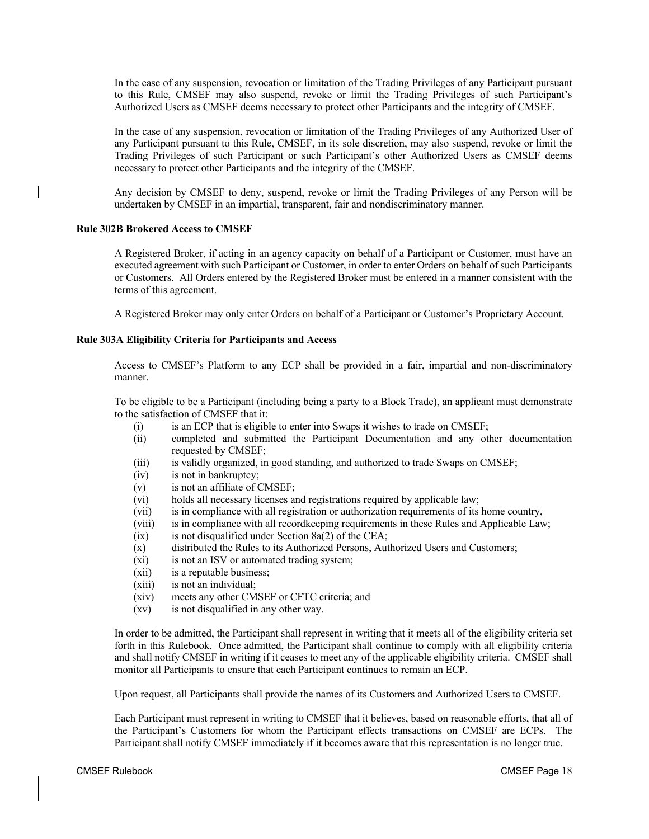In the case of any suspension, revocation or limitation of the Trading Privileges of any Participant pursuant to this Rule, CMSEF may also suspend, revoke or limit the Trading Privileges of such Participant's Authorized Users as CMSEF deems necessary to protect other Participants and the integrity of CMSEF.

In the case of any suspension, revocation or limitation of the Trading Privileges of any Authorized User of any Participant pursuant to this Rule, CMSEF, in its sole discretion, may also suspend, revoke or limit the Trading Privileges of such Participant or such Participant's other Authorized Users as CMSEF deems necessary to protect other Participants and the integrity of the CMSEF.

Any decision by CMSEF to deny, suspend, revoke or limit the Trading Privileges of any Person will be undertaken by CMSEF in an impartial, transparent, fair and nondiscriminatory manner.

#### **Rule 302B Brokered Access to CMSEF**

A Registered Broker, if acting in an agency capacity on behalf of a Participant or Customer, must have an executed agreement with such Participant or Customer, in order to enter Orders on behalf of such Participants or Customers. All Orders entered by the Registered Broker must be entered in a manner consistent with the terms of this agreement.

A Registered Broker may only enter Orders on behalf of a Participant or Customer's Proprietary Account.

#### **Rule 303A Eligibility Criteria for Participants and Access**

Access to CMSEF's Platform to any ECP shall be provided in a fair, impartial and non-discriminatory manner.

To be eligible to be a Participant (including being a party to a Block Trade), an applicant must demonstrate to the satisfaction of CMSEF that it:

- (i) is an ECP that is eligible to enter into Swaps it wishes to trade on CMSEF;
- (ii) completed and submitted the Participant Documentation and any other documentation requested by CMSEF;
- (iii) is validly organized, in good standing, and authorized to trade Swaps on CMSEF;
- (iv) is not in bankruptcy;
- (v) is not an affiliate of CMSEF;
- (vi) holds all necessary licenses and registrations required by applicable law;
- (vii) is in compliance with all registration or authorization requirements of its home country,
- (viii) is in compliance with all recordkeeping requirements in these Rules and Applicable Law;
- $(ix)$  is not disqualified under Section 8a(2) of the CEA;
- (x) distributed the Rules to its Authorized Persons, Authorized Users and Customers;
- (xi) is not an ISV or automated trading system;
- (xii) is a reputable business;
- (xiii) is not an individual;
- (xiv) meets any other CMSEF or CFTC criteria; and
- (xv) is not disqualified in any other way.

In order to be admitted, the Participant shall represent in writing that it meets all of the eligibility criteria set forth in this Rulebook. Once admitted, the Participant shall continue to comply with all eligibility criteria and shall notify CMSEF in writing if it ceases to meet any of the applicable eligibility criteria. CMSEF shall monitor all Participants to ensure that each Participant continues to remain an ECP.

Upon request, all Participants shall provide the names of its Customers and Authorized Users to CMSEF.

Each Participant must represent in writing to CMSEF that it believes, based on reasonable efforts, that all of the Participant's Customers for whom the Participant effects transactions on CMSEF are ECPs. The Participant shall notify CMSEF immediately if it becomes aware that this representation is no longer true.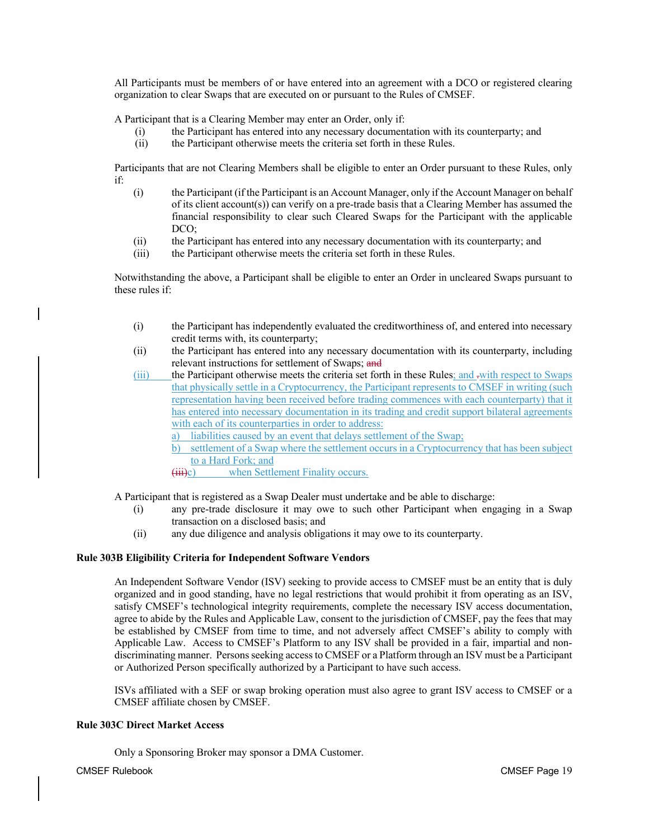All Participants must be members of or have entered into an agreement with a DCO or registered clearing organization to clear Swaps that are executed on or pursuant to the Rules of CMSEF.

A Participant that is a Clearing Member may enter an Order, only if:

- (i) the Participant has entered into any necessary documentation with its counterparty; and
- (ii) the Participant otherwise meets the criteria set forth in these Rules.

Participants that are not Clearing Members shall be eligible to enter an Order pursuant to these Rules, only if:

- (i) the Participant (if the Participant is an Account Manager, only if the Account Manager on behalf of its client account(s)) can verify on a pre-trade basis that a Clearing Member has assumed the financial responsibility to clear such Cleared Swaps for the Participant with the applicable DCO;
- (ii) the Participant has entered into any necessary documentation with its counterparty; and
- (iii) the Participant otherwise meets the criteria set forth in these Rules.

Notwithstanding the above, a Participant shall be eligible to enter an Order in uncleared Swaps pursuant to these rules if:

- (i) the Participant has independently evaluated the creditworthiness of, and entered into necessary credit terms with, its counterparty;
- (ii) the Participant has entered into any necessary documentation with its counterparty, including relevant instructions for settlement of Swaps; and
- (iii) the Participant otherwise meets the criteria set forth in these Rules; and -with respect to Swaps that physically settle in a Cryptocurrency, the Participant represents to CMSEF in writing (such representation having been received before trading commences with each counterparty) that it has entered into necessary documentation in its trading and credit support bilateral agreements with each of its counterparties in order to address:
	- liabilities caused by an event that delays settlement of the Swap;
	- b) settlement of a Swap where the settlement occurs in a Cryptocurrency that has been subject to a Hard Fork; and
	- (iii)c) when Settlement Finality occurs.

A Participant that is registered as a Swap Dealer must undertake and be able to discharge:

- (i) any pre-trade disclosure it may owe to such other Participant when engaging in a Swap transaction on a disclosed basis; and
- (ii) any due diligence and analysis obligations it may owe to its counterparty.

# **Rule 303B Eligibility Criteria for Independent Software Vendors**

An Independent Software Vendor (ISV) seeking to provide access to CMSEF must be an entity that is duly organized and in good standing, have no legal restrictions that would prohibit it from operating as an ISV, satisfy CMSEF's technological integrity requirements, complete the necessary ISV access documentation, agree to abide by the Rules and Applicable Law, consent to the jurisdiction of CMSEF, pay the fees that may be established by CMSEF from time to time, and not adversely affect CMSEF's ability to comply with Applicable Law. Access to CMSEF's Platform to any ISV shall be provided in a fair, impartial and nondiscriminating manner. Persons seeking access to CMSEF or a Platform through an ISV must be a Participant or Authorized Person specifically authorized by a Participant to have such access.

ISVs affiliated with a SEF or swap broking operation must also agree to grant ISV access to CMSEF or a CMSEF affiliate chosen by CMSEF.

# **Rule 303C Direct Market Access**

Only a Sponsoring Broker may sponsor a DMA Customer.

CMSEF Rulebook CMSEF Page 19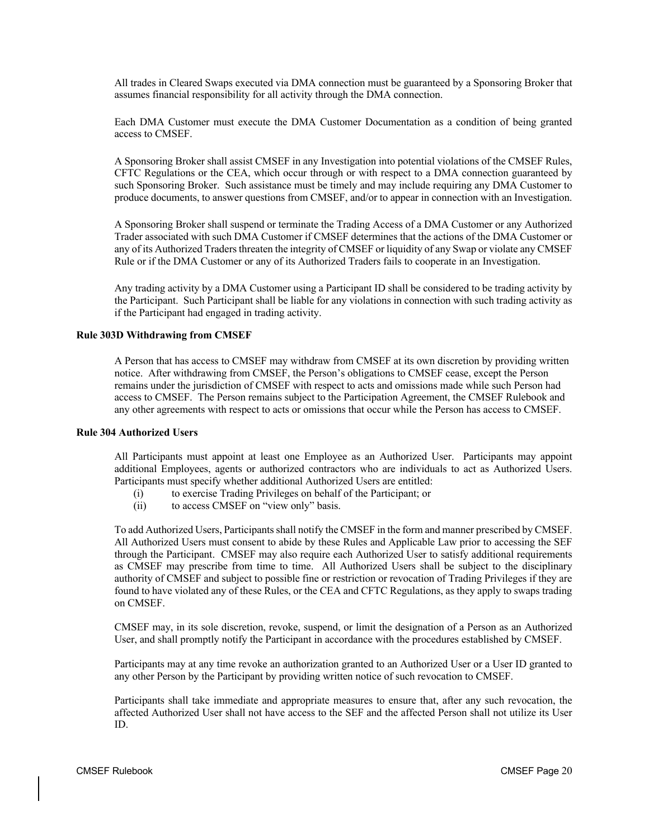All trades in Cleared Swaps executed via DMA connection must be guaranteed by a Sponsoring Broker that assumes financial responsibility for all activity through the DMA connection.

Each DMA Customer must execute the DMA Customer Documentation as a condition of being granted access to CMSEF.

A Sponsoring Broker shall assist CMSEF in any Investigation into potential violations of the CMSEF Rules, CFTC Regulations or the CEA, which occur through or with respect to a DMA connection guaranteed by such Sponsoring Broker. Such assistance must be timely and may include requiring any DMA Customer to produce documents, to answer questions from CMSEF, and/or to appear in connection with an Investigation.

A Sponsoring Broker shall suspend or terminate the Trading Access of a DMA Customer or any Authorized Trader associated with such DMA Customer if CMSEF determines that the actions of the DMA Customer or any of its Authorized Traders threaten the integrity of CMSEF or liquidity of any Swap or violate any CMSEF Rule or if the DMA Customer or any of its Authorized Traders fails to cooperate in an Investigation.

Any trading activity by a DMA Customer using a Participant ID shall be considered to be trading activity by the Participant. Such Participant shall be liable for any violations in connection with such trading activity as if the Participant had engaged in trading activity.

# **Rule 303D Withdrawing from CMSEF**

A Person that has access to CMSEF may withdraw from CMSEF at its own discretion by providing written notice. After withdrawing from CMSEF, the Person's obligations to CMSEF cease, except the Person remains under the jurisdiction of CMSEF with respect to acts and omissions made while such Person had access to CMSEF. The Person remains subject to the Participation Agreement, the CMSEF Rulebook and any other agreements with respect to acts or omissions that occur while the Person has access to CMSEF.

# **Rule 304 Authorized Users**

All Participants must appoint at least one Employee as an Authorized User. Participants may appoint additional Employees, agents or authorized contractors who are individuals to act as Authorized Users. Participants must specify whether additional Authorized Users are entitled:

- (i) to exercise Trading Privileges on behalf of the Participant; or
- (ii) to access CMSEF on "view only" basis.

To add Authorized Users, Participants shall notify the CMSEF in the form and manner prescribed by CMSEF. All Authorized Users must consent to abide by these Rules and Applicable Law prior to accessing the SEF through the Participant. CMSEF may also require each Authorized User to satisfy additional requirements as CMSEF may prescribe from time to time. All Authorized Users shall be subject to the disciplinary authority of CMSEF and subject to possible fine or restriction or revocation of Trading Privileges if they are found to have violated any of these Rules, or the CEA and CFTC Regulations, as they apply to swaps trading on CMSEF.

CMSEF may, in its sole discretion, revoke, suspend, or limit the designation of a Person as an Authorized User, and shall promptly notify the Participant in accordance with the procedures established by CMSEF.

Participants may at any time revoke an authorization granted to an Authorized User or a User ID granted to any other Person by the Participant by providing written notice of such revocation to CMSEF.

Participants shall take immediate and appropriate measures to ensure that, after any such revocation, the affected Authorized User shall not have access to the SEF and the affected Person shall not utilize its User ID.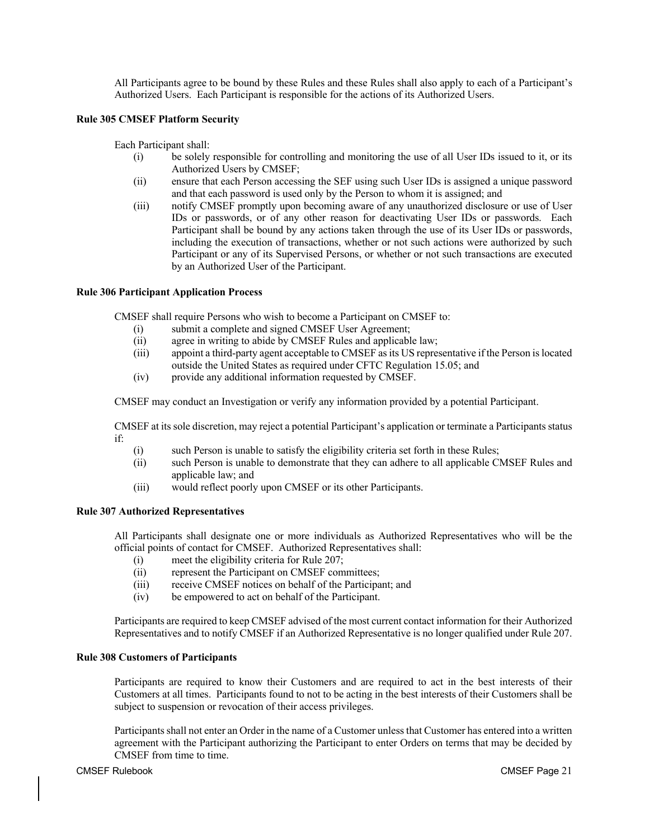All Participants agree to be bound by these Rules and these Rules shall also apply to each of a Participant's Authorized Users. Each Participant is responsible for the actions of its Authorized Users.

# **Rule 305 CMSEF Platform Security**

Each Participant shall:

- (i) be solely responsible for controlling and monitoring the use of all User IDs issued to it, or its Authorized Users by CMSEF;
- (ii) ensure that each Person accessing the SEF using such User IDs is assigned a unique password and that each password is used only by the Person to whom it is assigned; and
- (iii) notify CMSEF promptly upon becoming aware of any unauthorized disclosure or use of User IDs or passwords, or of any other reason for deactivating User IDs or passwords. Each Participant shall be bound by any actions taken through the use of its User IDs or passwords, including the execution of transactions, whether or not such actions were authorized by such Participant or any of its Supervised Persons, or whether or not such transactions are executed by an Authorized User of the Participant.

# **Rule 306 Participant Application Process**

CMSEF shall require Persons who wish to become a Participant on CMSEF to:

- (i) submit a complete and signed CMSEF User Agreement;
- (ii) agree in writing to abide by CMSEF Rules and applicable law;
- (iii) appoint a third-party agent acceptable to CMSEF as its US representative if the Person is located outside the United States as required under CFTC Regulation 15.05; and
- (iv) provide any additional information requested by CMSEF.

CMSEF may conduct an Investigation or verify any information provided by a potential Participant.

CMSEF at its sole discretion, may reject a potential Participant's application or terminate a Participants status if:

- (i) such Person is unable to satisfy the eligibility criteria set forth in these Rules;
- (ii) such Person is unable to demonstrate that they can adhere to all applicable CMSEF Rules and applicable law; and
- (iii) would reflect poorly upon CMSEF or its other Participants.

# **Rule 307 Authorized Representatives**

All Participants shall designate one or more individuals as Authorized Representatives who will be the official points of contact for CMSEF. Authorized Representatives shall:

- (i) meet the eligibility criteria for Rule 207;
- (ii) represent the Participant on CMSEF committees;
- (iii) receive CMSEF notices on behalf of the Participant; and
- (iv) be empowered to act on behalf of the Participant.

Participants are required to keep CMSEF advised of the most current contact information for their Authorized Representatives and to notify CMSEF if an Authorized Representative is no longer qualified under Rule 207.

# **Rule 308 Customers of Participants**

Participants are required to know their Customers and are required to act in the best interests of their Customers at all times. Participants found to not to be acting in the best interests of their Customers shall be subject to suspension or revocation of their access privileges.

Participants shall not enter an Order in the name of a Customer unless that Customer has entered into a written agreement with the Participant authorizing the Participant to enter Orders on terms that may be decided by CMSEF from time to time.

## CMSEF Rulebook CMSEF Page 21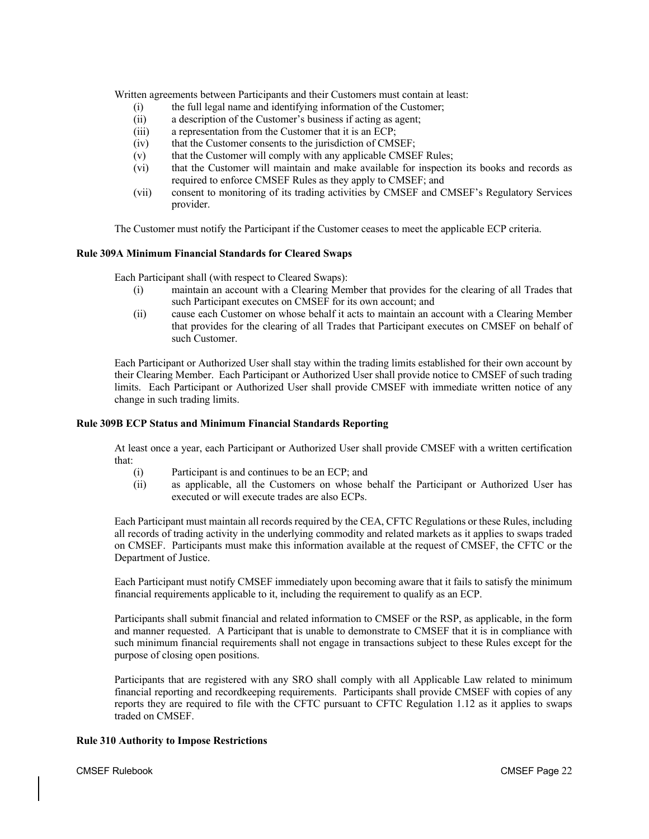Written agreements between Participants and their Customers must contain at least:

- (i) the full legal name and identifying information of the Customer;
- (ii) a description of the Customer's business if acting as agent;
- (iii) a representation from the Customer that it is an ECP;
- (iv) that the Customer consents to the jurisdiction of CMSEF;
- (v) that the Customer will comply with any applicable CMSEF Rules;
- (vi) that the Customer will maintain and make available for inspection its books and records as required to enforce CMSEF Rules as they apply to CMSEF; and
- (vii) consent to monitoring of its trading activities by CMSEF and CMSEF's Regulatory Services provider.

The Customer must notify the Participant if the Customer ceases to meet the applicable ECP criteria.

# **Rule 309A Minimum Financial Standards for Cleared Swaps**

Each Participant shall (with respect to Cleared Swaps):

- (i) maintain an account with a Clearing Member that provides for the clearing of all Trades that such Participant executes on CMSEF for its own account; and
- (ii) cause each Customer on whose behalf it acts to maintain an account with a Clearing Member that provides for the clearing of all Trades that Participant executes on CMSEF on behalf of such Customer.

Each Participant or Authorized User shall stay within the trading limits established for their own account by their Clearing Member. Each Participant or Authorized User shall provide notice to CMSEF of such trading limits. Each Participant or Authorized User shall provide CMSEF with immediate written notice of any change in such trading limits.

# **Rule 309B ECP Status and Minimum Financial Standards Reporting**

At least once a year, each Participant or Authorized User shall provide CMSEF with a written certification that:

- (i) Participant is and continues to be an ECP; and
- (ii) as applicable, all the Customers on whose behalf the Participant or Authorized User has executed or will execute trades are also ECPs.

Each Participant must maintain all records required by the CEA, CFTC Regulations or these Rules, including all records of trading activity in the underlying commodity and related markets as it applies to swaps traded on CMSEF. Participants must make this information available at the request of CMSEF, the CFTC or the Department of Justice.

Each Participant must notify CMSEF immediately upon becoming aware that it fails to satisfy the minimum financial requirements applicable to it, including the requirement to qualify as an ECP.

Participants shall submit financial and related information to CMSEF or the RSP, as applicable, in the form and manner requested. A Participant that is unable to demonstrate to CMSEF that it is in compliance with such minimum financial requirements shall not engage in transactions subject to these Rules except for the purpose of closing open positions.

Participants that are registered with any SRO shall comply with all Applicable Law related to minimum financial reporting and recordkeeping requirements. Participants shall provide CMSEF with copies of any reports they are required to file with the CFTC pursuant to CFTC Regulation 1.12 as it applies to swaps traded on CMSEF.

# **Rule 310 Authority to Impose Restrictions**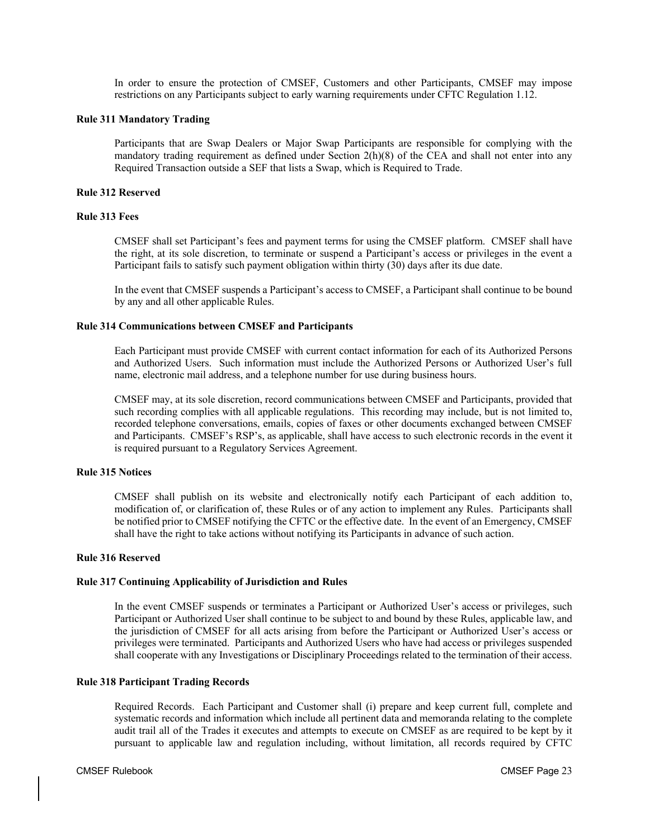In order to ensure the protection of CMSEF, Customers and other Participants, CMSEF may impose restrictions on any Participants subject to early warning requirements under CFTC Regulation 1.12.

## **Rule 311 Mandatory Trading**

Participants that are Swap Dealers or Major Swap Participants are responsible for complying with the mandatory trading requirement as defined under Section 2(h)(8) of the CEA and shall not enter into any Required Transaction outside a SEF that lists a Swap, which is Required to Trade.

# **Rule 312 Reserved**

# **Rule 313 Fees**

CMSEF shall set Participant's fees and payment terms for using the CMSEF platform. CMSEF shall have the right, at its sole discretion, to terminate or suspend a Participant's access or privileges in the event a Participant fails to satisfy such payment obligation within thirty (30) days after its due date.

In the event that CMSEF suspends a Participant's access to CMSEF, a Participant shall continue to be bound by any and all other applicable Rules.

# **Rule 314 Communications between CMSEF and Participants**

Each Participant must provide CMSEF with current contact information for each of its Authorized Persons and Authorized Users. Such information must include the Authorized Persons or Authorized User's full name, electronic mail address, and a telephone number for use during business hours.

CMSEF may, at its sole discretion, record communications between CMSEF and Participants, provided that such recording complies with all applicable regulations. This recording may include, but is not limited to, recorded telephone conversations, emails, copies of faxes or other documents exchanged between CMSEF and Participants. CMSEF's RSP's, as applicable, shall have access to such electronic records in the event it is required pursuant to a Regulatory Services Agreement.

# **Rule 315 Notices**

CMSEF shall publish on its website and electronically notify each Participant of each addition to, modification of, or clarification of, these Rules or of any action to implement any Rules. Participants shall be notified prior to CMSEF notifying the CFTC or the effective date. In the event of an Emergency, CMSEF shall have the right to take actions without notifying its Participants in advance of such action.

# **Rule 316 Reserved**

# **Rule 317 Continuing Applicability of Jurisdiction and Rules**

In the event CMSEF suspends or terminates a Participant or Authorized User's access or privileges, such Participant or Authorized User shall continue to be subject to and bound by these Rules, applicable law, and the jurisdiction of CMSEF for all acts arising from before the Participant or Authorized User's access or privileges were terminated. Participants and Authorized Users who have had access or privileges suspended shall cooperate with any Investigations or Disciplinary Proceedings related to the termination of their access.

# **Rule 318 Participant Trading Records**

Required Records. Each Participant and Customer shall (i) prepare and keep current full, complete and systematic records and information which include all pertinent data and memoranda relating to the complete audit trail all of the Trades it executes and attempts to execute on CMSEF as are required to be kept by it pursuant to applicable law and regulation including, without limitation, all records required by CFTC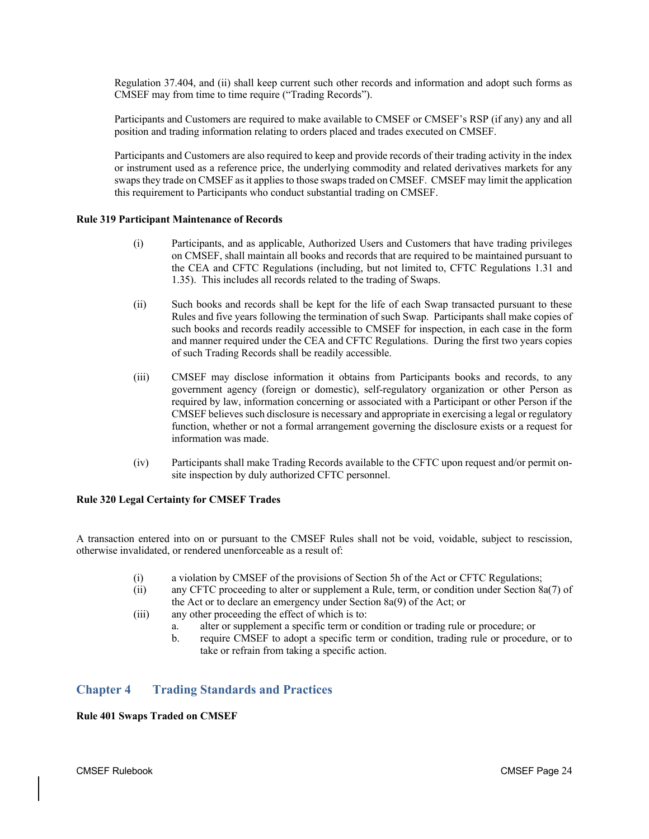Regulation 37.404, and (ii) shall keep current such other records and information and adopt such forms as CMSEF may from time to time require ("Trading Records").

Participants and Customers are required to make available to CMSEF or CMSEF's RSP (if any) any and all position and trading information relating to orders placed and trades executed on CMSEF.

Participants and Customers are also required to keep and provide records of their trading activity in the index or instrument used as a reference price, the underlying commodity and related derivatives markets for any swaps they trade on CMSEF as it applies to those swaps traded on CMSEF. CMSEF may limit the application this requirement to Participants who conduct substantial trading on CMSEF.

# **Rule 319 Participant Maintenance of Records**

- (i) Participants, and as applicable, Authorized Users and Customers that have trading privileges on CMSEF, shall maintain all books and records that are required to be maintained pursuant to the CEA and CFTC Regulations (including, but not limited to, CFTC Regulations 1.31 and 1.35). This includes all records related to the trading of Swaps.
- (ii) Such books and records shall be kept for the life of each Swap transacted pursuant to these Rules and five years following the termination of such Swap. Participants shall make copies of such books and records readily accessible to CMSEF for inspection, in each case in the form and manner required under the CEA and CFTC Regulations. During the first two years copies of such Trading Records shall be readily accessible.
- (iii) CMSEF may disclose information it obtains from Participants books and records, to any government agency (foreign or domestic), self-regulatory organization or other Person as required by law, information concerning or associated with a Participant or other Person if the CMSEF believes such disclosure is necessary and appropriate in exercising a legal or regulatory function, whether or not a formal arrangement governing the disclosure exists or a request for information was made.
- (iv) Participants shall make Trading Records available to the CFTC upon request and/or permit onsite inspection by duly authorized CFTC personnel.

# **Rule 320 Legal Certainty for CMSEF Trades**

A transaction entered into on or pursuant to the CMSEF Rules shall not be void, voidable, subject to rescission, otherwise invalidated, or rendered unenforceable as a result of:

- (i) a violation by CMSEF of the provisions of Section 5h of the Act or CFTC Regulations;
- (ii) any CFTC proceeding to alter or supplement a Rule, term, or condition under Section 8a(7) of the Act or to declare an emergency under Section 8a(9) of the Act; or
- (iii) any other proceeding the effect of which is to:
	- a. alter or supplement a specific term or condition or trading rule or procedure; or
	- b. require CMSEF to adopt a specific term or condition, trading rule or procedure, or to take or refrain from taking a specific action.

# **Chapter 4 Trading Standards and Practices**

# **Rule 401 Swaps Traded on CMSEF**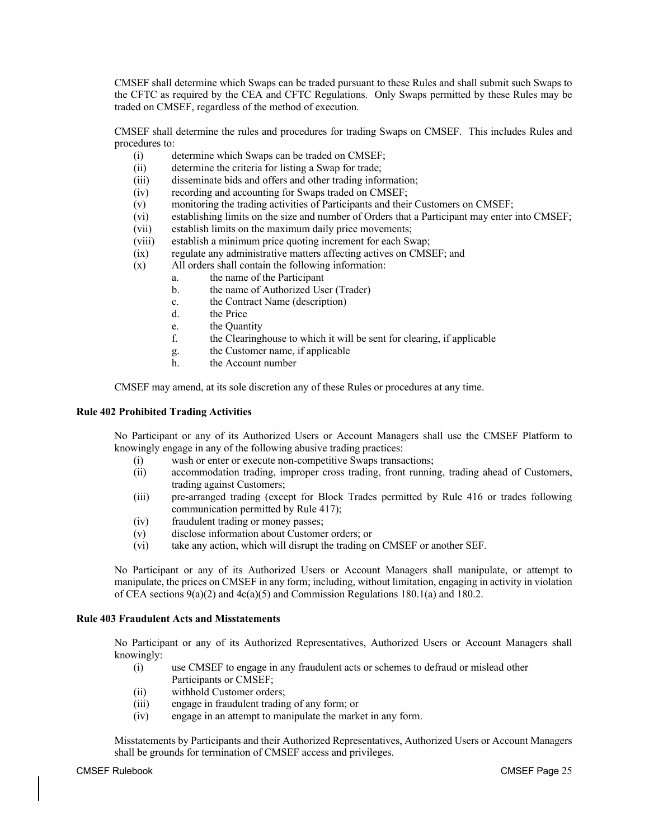CMSEF shall determine which Swaps can be traded pursuant to these Rules and shall submit such Swaps to the CFTC as required by the CEA and CFTC Regulations. Only Swaps permitted by these Rules may be traded on CMSEF, regardless of the method of execution.

CMSEF shall determine the rules and procedures for trading Swaps on CMSEF. This includes Rules and procedures to:

- (i) determine which Swaps can be traded on CMSEF;
- (ii) determine the criteria for listing a Swap for trade;
- (iii) disseminate bids and offers and other trading information;
- (iv) recording and accounting for Swaps traded on CMSEF;<br>(v) monitoring the trading activities of Participants and their
- monitoring the trading activities of Participants and their Customers on CMSEF;
- (vi) establishing limits on the size and number of Orders that a Participant may enter into CMSEF;
- (vii) establish limits on the maximum daily price movements;
- (viii) establish a minimum price quoting increment for each Swap;
- (ix) regulate any administrative matters affecting actives on CMSEF; and
- (x) All orders shall contain the following information:
	- a. the name of the Participant
	- b. the name of Authorized User (Trader)
	- c. the Contract Name (description)
	- d. the Price
	- e. the Quantity
	- f. the Clearinghouse to which it will be sent for clearing, if applicable
	- g. the Customer name, if applicable
	- h. the Account number

CMSEF may amend, at its sole discretion any of these Rules or procedures at any time.

# **Rule 402 Prohibited Trading Activities**

No Participant or any of its Authorized Users or Account Managers shall use the CMSEF Platform to knowingly engage in any of the following abusive trading practices:

- (i) wash or enter or execute non-competitive Swaps transactions;
- (ii) accommodation trading, improper cross trading, front running, trading ahead of Customers, trading against Customers;
- (iii) pre-arranged trading (except for Block Trades permitted by Rule 416 or trades following communication permitted by Rule 417);
- (iv) fraudulent trading or money passes;
- (v) disclose information about Customer orders; or
- (vi) take any action, which will disrupt the trading on CMSEF or another SEF.

No Participant or any of its Authorized Users or Account Managers shall manipulate, or attempt to manipulate, the prices on CMSEF in any form; including, without limitation, engaging in activity in violation of CEA sections  $9(a)(2)$  and  $4c(a)(5)$  and Commission Regulations 180.1(a) and 180.2.

# **Rule 403 Fraudulent Acts and Misstatements**

No Participant or any of its Authorized Representatives, Authorized Users or Account Managers shall knowingly:

- (i) use CMSEF to engage in any fraudulent acts or schemes to defraud or mislead other Participants or CMSEF;
- (ii) withhold Customer orders;
- (iii) engage in fraudulent trading of any form; or
- (iv) engage in an attempt to manipulate the market in any form.

Misstatements by Participants and their Authorized Representatives, Authorized Users or Account Managers shall be grounds for termination of CMSEF access and privileges.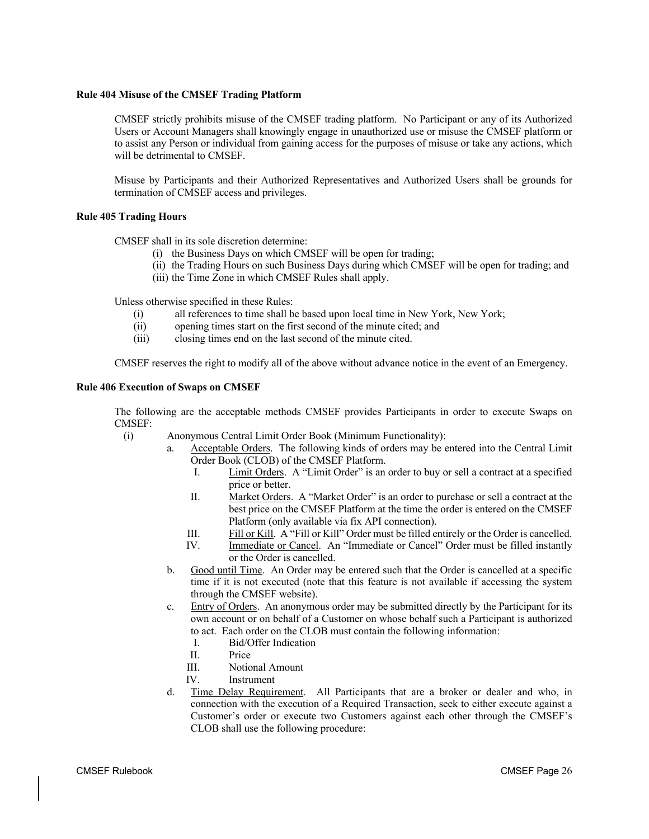#### **Rule 404 Misuse of the CMSEF Trading Platform**

CMSEF strictly prohibits misuse of the CMSEF trading platform. No Participant or any of its Authorized Users or Account Managers shall knowingly engage in unauthorized use or misuse the CMSEF platform or to assist any Person or individual from gaining access for the purposes of misuse or take any actions, which will be detrimental to CMSEF.

Misuse by Participants and their Authorized Representatives and Authorized Users shall be grounds for termination of CMSEF access and privileges.

## **Rule 405 Trading Hours**

CMSEF shall in its sole discretion determine:

- (i) the Business Days on which CMSEF will be open for trading;
- (ii) the Trading Hours on such Business Days during which CMSEF will be open for trading; and
- (iii) the Time Zone in which CMSEF Rules shall apply.

Unless otherwise specified in these Rules:

- (i) all references to time shall be based upon local time in New York, New York;
- (ii) opening times start on the first second of the minute cited; and
- (iii) closing times end on the last second of the minute cited.

CMSEF reserves the right to modify all of the above without advance notice in the event of an Emergency.

#### **Rule 406 Execution of Swaps on CMSEF**

The following are the acceptable methods CMSEF provides Participants in order to execute Swaps on CMSEF:

- (i) Anonymous Central Limit Order Book (Minimum Functionality):
	- a. Acceptable Orders. The following kinds of orders may be entered into the Central Limit Order Book (CLOB) of the CMSEF Platform.
		- I. Limit Orders. A "Limit Order" is an order to buy or sell a contract at a specified price or better.
		- II. Market Orders. A "Market Order" is an order to purchase or sell a contract at the best price on the CMSEF Platform at the time the order is entered on the CMSEF Platform (only available via fix API connection).
		- III. Fill or Kill. A "Fill or Kill" Order must be filled entirely or the Order is cancelled.
		- IV. Immediate or Cancel. An "Immediate or Cancel" Order must be filled instantly
			- or the Order is cancelled.
	- b. Good until Time. An Order may be entered such that the Order is cancelled at a specific time if it is not executed (note that this feature is not available if accessing the system through the CMSEF website).
	- c. Entry of Orders. An anonymous order may be submitted directly by the Participant for its own account or on behalf of a Customer on whose behalf such a Participant is authorized to act. Each order on the CLOB must contain the following information:
		- I. Bid/Offer Indication
		- II. Price
		- III. Notional Amount
		- IV. Instrument
	- d. Time Delay Requirement. All Participants that are a broker or dealer and who, in connection with the execution of a Required Transaction, seek to either execute against a Customer's order or execute two Customers against each other through the CMSEF's CLOB shall use the following procedure: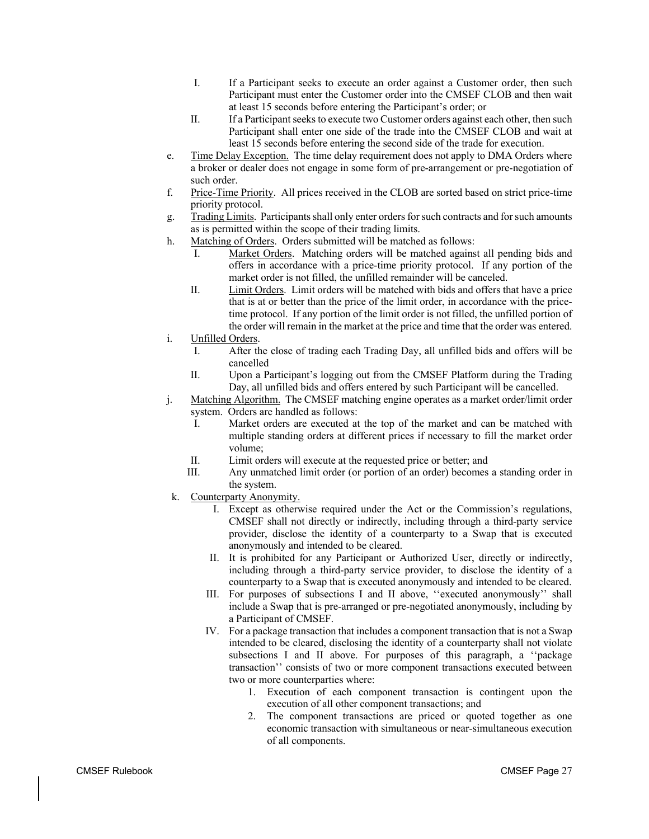- I. If a Participant seeks to execute an order against a Customer order, then such Participant must enter the Customer order into the CMSEF CLOB and then wait at least 15 seconds before entering the Participant's order; or
- II. If a Participant seeks to execute two Customer orders against each other, then such Participant shall enter one side of the trade into the CMSEF CLOB and wait at least 15 seconds before entering the second side of the trade for execution.
- e. Time Delay Exception. The time delay requirement does not apply to DMA Orders where a broker or dealer does not engage in some form of pre-arrangement or pre-negotiation of such order.
- f. Price-Time Priority. All prices received in the CLOB are sorted based on strict price-time priority protocol.
- g. Trading Limits. Participants shall only enter orders for such contracts and for such amounts as is permitted within the scope of their trading limits.
- h. Matching of Orders. Orders submitted will be matched as follows:
	- I. Market Orders. Matching orders will be matched against all pending bids and offers in accordance with a price-time priority protocol. If any portion of the market order is not filled, the unfilled remainder will be canceled.
	- II. Limit Orders. Limit orders will be matched with bids and offers that have a price that is at or better than the price of the limit order, in accordance with the pricetime protocol. If any portion of the limit order is not filled, the unfilled portion of the order will remain in the market at the price and time that the order was entered.
- i. Unfilled Orders.
	- I. After the close of trading each Trading Day, all unfilled bids and offers will be cancelled
	- II. Upon a Participant's logging out from the CMSEF Platform during the Trading Day, all unfilled bids and offers entered by such Participant will be cancelled.
- j. Matching Algorithm. The CMSEF matching engine operates as a market order/limit order system. Orders are handled as follows:
	- I. Market orders are executed at the top of the market and can be matched with multiple standing orders at different prices if necessary to fill the market order volume;
	- II. Limit orders will execute at the requested price or better; and
	- III. Any unmatched limit order (or portion of an order) becomes a standing order in the system.
- k. Counterparty Anonymity.
	- I. Except as otherwise required under the Act or the Commission's regulations, CMSEF shall not directly or indirectly, including through a third-party service provider, disclose the identity of a counterparty to a Swap that is executed anonymously and intended to be cleared.
	- II. It is prohibited for any Participant or Authorized User, directly or indirectly, including through a third-party service provider, to disclose the identity of a counterparty to a Swap that is executed anonymously and intended to be cleared.
	- III. For purposes of subsections I and II above, ''executed anonymously'' shall include a Swap that is pre-arranged or pre-negotiated anonymously, including by a Participant of CMSEF.
	- IV. For a package transaction that includes a component transaction that is not a Swap intended to be cleared, disclosing the identity of a counterparty shall not violate subsections I and II above. For purposes of this paragraph, a ''package transaction'' consists of two or more component transactions executed between two or more counterparties where:
		- 1. Execution of each component transaction is contingent upon the execution of all other component transactions; and
		- 2. The component transactions are priced or quoted together as one economic transaction with simultaneous or near-simultaneous execution of all components.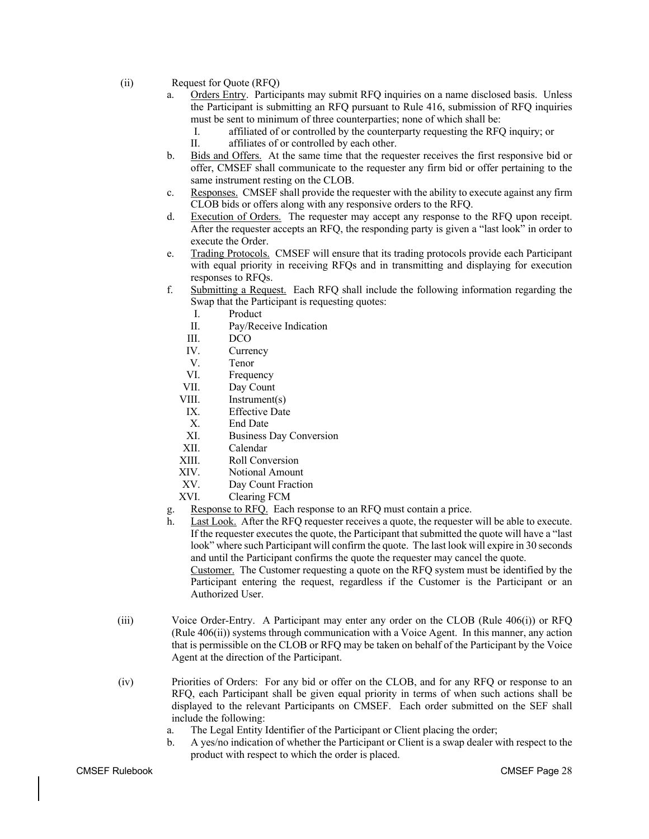- (ii) Request for Quote (RFQ)
	- a. Orders Entry. Participants may submit RFQ inquiries on a name disclosed basis. Unless the Participant is submitting an RFQ pursuant to Rule 416, submission of RFQ inquiries must be sent to minimum of three counterparties; none of which shall be:
		- I. affiliated of or controlled by the counterparty requesting the RFQ inquiry; or
		- II. affiliates of or controlled by each other.
	- b. Bids and Offers. At the same time that the requester receives the first responsive bid or offer, CMSEF shall communicate to the requester any firm bid or offer pertaining to the same instrument resting on the CLOB.
	- c. Responses. CMSEF shall provide the requester with the ability to execute against any firm CLOB bids or offers along with any responsive orders to the RFQ.
	- d. Execution of Orders. The requester may accept any response to the RFQ upon receipt. After the requester accepts an RFQ, the responding party is given a "last look" in order to execute the Order.
	- e. Trading Protocols. CMSEF will ensure that its trading protocols provide each Participant with equal priority in receiving RFQs and in transmitting and displaying for execution responses to RFQs.
	- f. Submitting a Request. Each RFQ shall include the following information regarding the Swap that the Participant is requesting quotes:
		- I. Product
		- II. Pay/Receive Indication
		- III. DCO
		- IV. Currency
		- V. Tenor
		- VI. Frequency
		- VII. Day Count
		- VIII. Instrument(s)
		- IX. Effective Date
		- X. End Date
		- XI. Business Day Conversion
		- XII. Calendar
		- XIII. Roll Conversion
		- XIV. Notional Amount
		- XV. Day Count Fraction
		- XVI. Clearing FCM
	- g. Response to RFQ. Each response to an RFQ must contain a price.
	- h. Last Look. After the RFQ requester receives a quote, the requester will be able to execute. If the requester executes the quote, the Participant that submitted the quote will have a "last look" where such Participant will confirm the quote. The last look will expire in 30 seconds and until the Participant confirms the quote the requester may cancel the quote. Customer. The Customer requesting a quote on the RFQ system must be identified by the

Participant entering the request, regardless if the Customer is the Participant or an Authorized User.

- (iii) Voice Order-Entry. A Participant may enter any order on the CLOB (Rule 406(i)) or RFQ (Rule 406(ii)) systems through communication with a Voice Agent. In this manner, any action that is permissible on the CLOB or RFQ may be taken on behalf of the Participant by the Voice Agent at the direction of the Participant.
- (iv) Priorities of Orders: For any bid or offer on the CLOB, and for any RFQ or response to an RFQ, each Participant shall be given equal priority in terms of when such actions shall be displayed to the relevant Participants on CMSEF. Each order submitted on the SEF shall include the following:
	- a. The Legal Entity Identifier of the Participant or Client placing the order;
	- b. A yes/no indication of whether the Participant or Client is a swap dealer with respect to the product with respect to which the order is placed.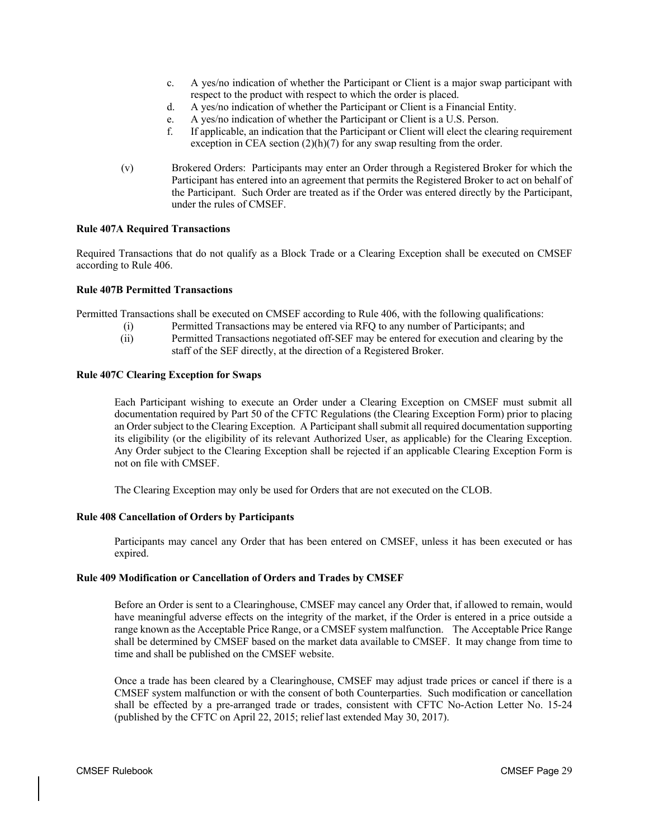- c. A yes/no indication of whether the Participant or Client is a major swap participant with respect to the product with respect to which the order is placed.
- d. A yes/no indication of whether the Participant or Client is a Financial Entity.
- e. A yes/no indication of whether the Participant or Client is a U.S. Person.
- f. If applicable, an indication that the Participant or Client will elect the clearing requirement exception in CEA section  $(2)(h)(7)$  for any swap resulting from the order.
- (v) Brokered Orders: Participants may enter an Order through a Registered Broker for which the Participant has entered into an agreement that permits the Registered Broker to act on behalf of the Participant. Such Order are treated as if the Order was entered directly by the Participant, under the rules of CMSEF.

# **Rule 407A Required Transactions**

Required Transactions that do not qualify as a Block Trade or a Clearing Exception shall be executed on CMSEF according to Rule 406.

# **Rule 407B Permitted Transactions**

Permitted Transactions shall be executed on CMSEF according to Rule 406, with the following qualifications:

- (i) Permitted Transactions may be entered via RFQ to any number of Participants; and
	- (ii) Permitted Transactions negotiated off-SEF may be entered for execution and clearing by the staff of the SEF directly, at the direction of a Registered Broker.

# **Rule 407C Clearing Exception for Swaps**

Each Participant wishing to execute an Order under a Clearing Exception on CMSEF must submit all documentation required by Part 50 of the CFTC Regulations (the Clearing Exception Form) prior to placing an Order subject to the Clearing Exception. A Participant shall submit all required documentation supporting its eligibility (or the eligibility of its relevant Authorized User, as applicable) for the Clearing Exception. Any Order subject to the Clearing Exception shall be rejected if an applicable Clearing Exception Form is not on file with CMSEF.

The Clearing Exception may only be used for Orders that are not executed on the CLOB.

# **Rule 408 Cancellation of Orders by Participants**

Participants may cancel any Order that has been entered on CMSEF, unless it has been executed or has expired.

# **Rule 409 Modification or Cancellation of Orders and Trades by CMSEF**

Before an Order is sent to a Clearinghouse, CMSEF may cancel any Order that, if allowed to remain, would have meaningful adverse effects on the integrity of the market, if the Order is entered in a price outside a range known as the Acceptable Price Range, or a CMSEF system malfunction. The Acceptable Price Range shall be determined by CMSEF based on the market data available to CMSEF. It may change from time to time and shall be published on the CMSEF website.

Once a trade has been cleared by a Clearinghouse, CMSEF may adjust trade prices or cancel if there is a CMSEF system malfunction or with the consent of both Counterparties. Such modification or cancellation shall be effected by a pre-arranged trade or trades, consistent with CFTC No-Action Letter No. 15-24 (published by the CFTC on April 22, 2015; relief last extended May 30, 2017).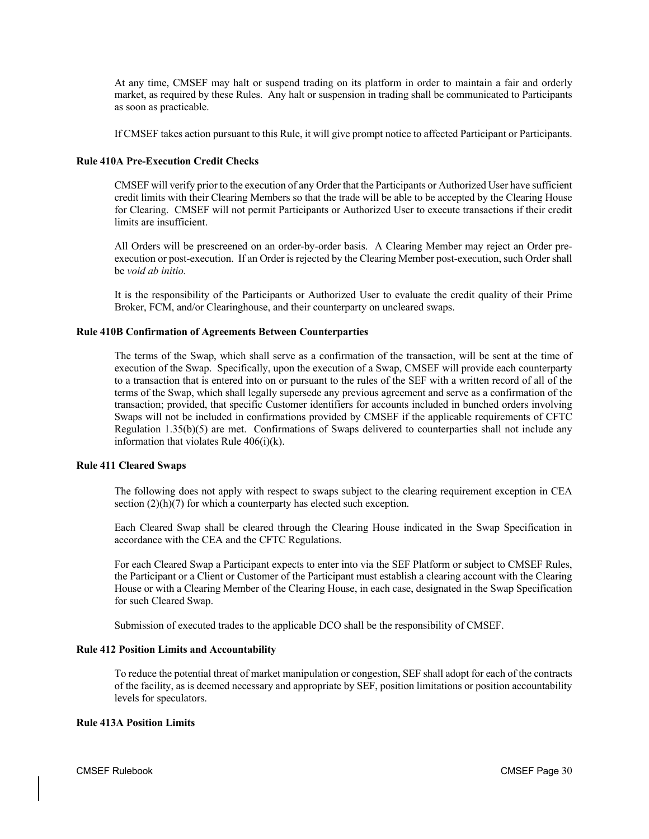At any time, CMSEF may halt or suspend trading on its platform in order to maintain a fair and orderly market, as required by these Rules. Any halt or suspension in trading shall be communicated to Participants as soon as practicable.

If CMSEF takes action pursuant to this Rule, it will give prompt notice to affected Participant or Participants.

# **Rule 410A Pre-Execution Credit Checks**

CMSEF will verify prior to the execution of any Order that the Participants or Authorized User have sufficient credit limits with their Clearing Members so that the trade will be able to be accepted by the Clearing House for Clearing. CMSEF will not permit Participants or Authorized User to execute transactions if their credit limits are insufficient.

All Orders will be prescreened on an order-by-order basis. A Clearing Member may reject an Order preexecution or post-execution. If an Order is rejected by the Clearing Member post-execution, such Order shall be *void ab initio.*

It is the responsibility of the Participants or Authorized User to evaluate the credit quality of their Prime Broker, FCM, and/or Clearinghouse, and their counterparty on uncleared swaps.

# **Rule 410B Confirmation of Agreements Between Counterparties**

The terms of the Swap, which shall serve as a confirmation of the transaction, will be sent at the time of execution of the Swap. Specifically, upon the execution of a Swap, CMSEF will provide each counterparty to a transaction that is entered into on or pursuant to the rules of the SEF with a written record of all of the terms of the Swap, which shall legally supersede any previous agreement and serve as a confirmation of the transaction; provided, that specific Customer identifiers for accounts included in bunched orders involving Swaps will not be included in confirmations provided by CMSEF if the applicable requirements of CFTC Regulation 1.35(b)(5) are met. Confirmations of Swaps delivered to counterparties shall not include any information that violates Rule  $406(i)(k)$ .

# **Rule 411 Cleared Swaps**

The following does not apply with respect to swaps subject to the clearing requirement exception in CEA section  $(2)(h)(7)$  for which a counterparty has elected such exception.

Each Cleared Swap shall be cleared through the Clearing House indicated in the Swap Specification in accordance with the CEA and the CFTC Regulations.

For each Cleared Swap a Participant expects to enter into via the SEF Platform or subject to CMSEF Rules, the Participant or a Client or Customer of the Participant must establish a clearing account with the Clearing House or with a Clearing Member of the Clearing House, in each case, designated in the Swap Specification for such Cleared Swap.

Submission of executed trades to the applicable DCO shall be the responsibility of CMSEF.

# **Rule 412 Position Limits and Accountability**

To reduce the potential threat of market manipulation or congestion, SEF shall adopt for each of the contracts of the facility, as is deemed necessary and appropriate by SEF, position limitations or position accountability levels for speculators.

# **Rule 413A Position Limits**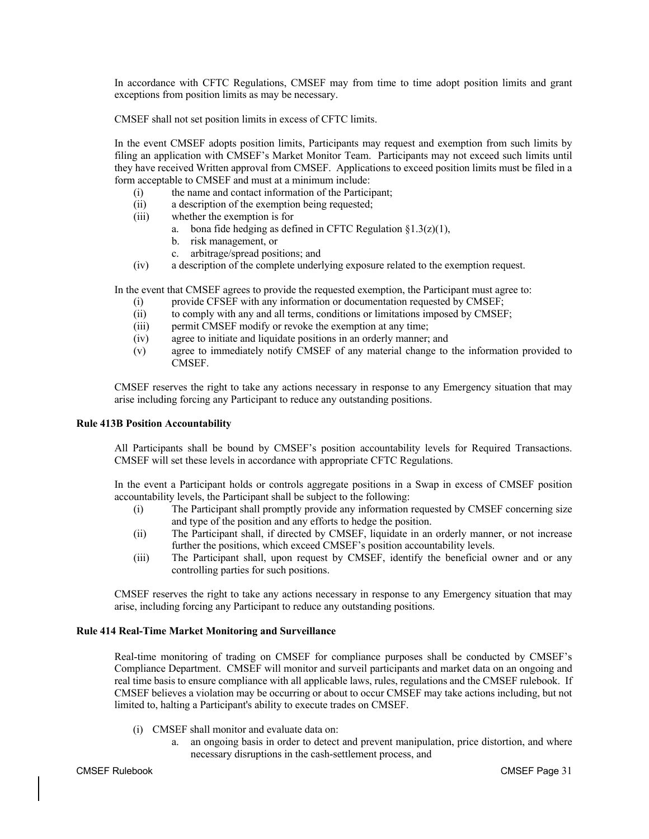In accordance with CFTC Regulations, CMSEF may from time to time adopt position limits and grant exceptions from position limits as may be necessary.

CMSEF shall not set position limits in excess of CFTC limits.

In the event CMSEF adopts position limits, Participants may request and exemption from such limits by filing an application with CMSEF's Market Monitor Team. Participants may not exceed such limits until they have received Written approval from CMSEF. Applications to exceed position limits must be filed in a form acceptable to CMSEF and must at a minimum include:

- (i) the name and contact information of the Participant;
- (ii) a description of the exemption being requested;
- (iii) whether the exemption is for
	- a. bona fide hedging as defined in CFTC Regulation  $\S1.3(z)(1)$ ,
	- b. risk management, or
	- c. arbitrage/spread positions; and
- (iv) a description of the complete underlying exposure related to the exemption request.

In the event that CMSEF agrees to provide the requested exemption, the Participant must agree to:

- (i) provide CFSEF with any information or documentation requested by CMSEF;
- (ii) to comply with any and all terms, conditions or limitations imposed by CMSEF;
- (iii) permit CMSEF modify or revoke the exemption at any time;
- (iv) agree to initiate and liquidate positions in an orderly manner; and
- (v) agree to immediately notify CMSEF of any material change to the information provided to CMSEF.

CMSEF reserves the right to take any actions necessary in response to any Emergency situation that may arise including forcing any Participant to reduce any outstanding positions.

# **Rule 413B Position Accountability**

All Participants shall be bound by CMSEF's position accountability levels for Required Transactions. CMSEF will set these levels in accordance with appropriate CFTC Regulations.

In the event a Participant holds or controls aggregate positions in a Swap in excess of CMSEF position accountability levels, the Participant shall be subject to the following:

- (i) The Participant shall promptly provide any information requested by CMSEF concerning size and type of the position and any efforts to hedge the position.
- (ii) The Participant shall, if directed by CMSEF, liquidate in an orderly manner, or not increase further the positions, which exceed CMSEF's position accountability levels.
- (iii) The Participant shall, upon request by CMSEF, identify the beneficial owner and or any controlling parties for such positions.

CMSEF reserves the right to take any actions necessary in response to any Emergency situation that may arise, including forcing any Participant to reduce any outstanding positions.

# **Rule 414 Real-Time Market Monitoring and Surveillance**

Real-time monitoring of trading on CMSEF for compliance purposes shall be conducted by CMSEF's Compliance Department. CMSEF will monitor and surveil participants and market data on an ongoing and real time basis to ensure compliance with all applicable laws, rules, regulations and the CMSEF rulebook. If CMSEF believes a violation may be occurring or about to occur CMSEF may take actions including, but not limited to, halting a Participant's ability to execute trades on CMSEF.

- (i) CMSEF shall monitor and evaluate data on:
	- a. an ongoing basis in order to detect and prevent manipulation, price distortion, and where necessary disruptions in the cash-settlement process, and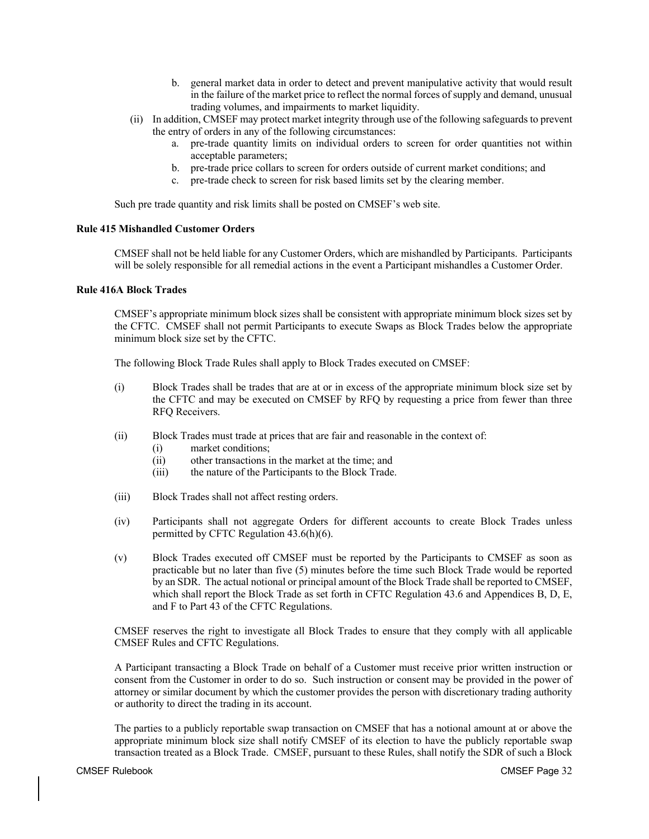- b. general market data in order to detect and prevent manipulative activity that would result in the failure of the market price to reflect the normal forces of supply and demand, unusual trading volumes, and impairments to market liquidity.
- (ii) In addition, CMSEF may protect market integrity through use of the following safeguards to prevent the entry of orders in any of the following circumstances:
	- a. pre-trade quantity limits on individual orders to screen for order quantities not within acceptable parameters;
	- b. pre-trade price collars to screen for orders outside of current market conditions; and
	- c. pre-trade check to screen for risk based limits set by the clearing member.

Such pre trade quantity and risk limits shall be posted on CMSEF's web site.

# **Rule 415 Mishandled Customer Orders**

CMSEF shall not be held liable for any Customer Orders, which are mishandled by Participants. Participants will be solely responsible for all remedial actions in the event a Participant mishandles a Customer Order.

#### **Rule 416A Block Trades**

CMSEF's appropriate minimum block sizes shall be consistent with appropriate minimum block sizes set by the CFTC. CMSEF shall not permit Participants to execute Swaps as Block Trades below the appropriate minimum block size set by the CFTC.

The following Block Trade Rules shall apply to Block Trades executed on CMSEF:

- (i) Block Trades shall be trades that are at or in excess of the appropriate minimum block size set by the CFTC and may be executed on CMSEF by RFQ by requesting a price from fewer than three RFQ Receivers.
- (ii) Block Trades must trade at prices that are fair and reasonable in the context of:
	- (i) market conditions;
	- (ii) other transactions in the market at the time; and
	- (iii) the nature of the Participants to the Block Trade.
- (iii) Block Trades shall not affect resting orders.
- (iv) Participants shall not aggregate Orders for different accounts to create Block Trades unless permitted by CFTC Regulation 43.6(h)(6).
- (v) Block Trades executed off CMSEF must be reported by the Participants to CMSEF as soon as practicable but no later than five (5) minutes before the time such Block Trade would be reported by an SDR. The actual notional or principal amount of the Block Trade shall be reported to CMSEF, which shall report the Block Trade as set forth in CFTC Regulation 43.6 and Appendices B, D, E, and F to Part 43 of the CFTC Regulations.

CMSEF reserves the right to investigate all Block Trades to ensure that they comply with all applicable CMSEF Rules and CFTC Regulations.

A Participant transacting a Block Trade on behalf of a Customer must receive prior written instruction or consent from the Customer in order to do so. Such instruction or consent may be provided in the power of attorney or similar document by which the customer provides the person with discretionary trading authority or authority to direct the trading in its account.

The parties to a publicly reportable swap transaction on CMSEF that has a notional amount at or above the appropriate minimum block size shall notify CMSEF of its election to have the publicly reportable swap transaction treated as a Block Trade. CMSEF, pursuant to these Rules, shall notify the SDR of such a Block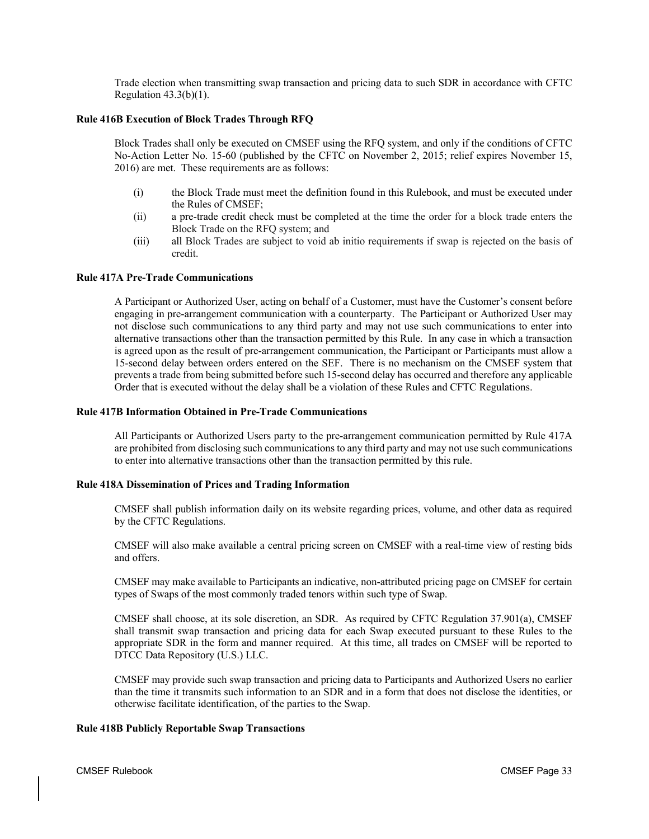Trade election when transmitting swap transaction and pricing data to such SDR in accordance with CFTC Regulation  $43.3(b)(1)$ .

# **Rule 416B Execution of Block Trades Through RFQ**

Block Trades shall only be executed on CMSEF using the RFQ system, and only if the conditions of CFTC No-Action Letter No. 15-60 (published by the CFTC on November 2, 2015; relief expires November 15, 2016) are met. These requirements are as follows:

- (i) the Block Trade must meet the definition found in this Rulebook, and must be executed under the Rules of CMSEF;
- (ii) a pre-trade credit check must be completed at the time the order for a block trade enters the Block Trade on the RFQ system; and
- (iii) all Block Trades are subject to void ab initio requirements if swap is rejected on the basis of credit.

# **Rule 417A Pre-Trade Communications**

A Participant or Authorized User, acting on behalf of a Customer, must have the Customer's consent before engaging in pre-arrangement communication with a counterparty. The Participant or Authorized User may not disclose such communications to any third party and may not use such communications to enter into alternative transactions other than the transaction permitted by this Rule. In any case in which a transaction is agreed upon as the result of pre-arrangement communication, the Participant or Participants must allow a 15-second delay between orders entered on the SEF. There is no mechanism on the CMSEF system that prevents a trade from being submitted before such 15-second delay has occurred and therefore any applicable Order that is executed without the delay shall be a violation of these Rules and CFTC Regulations.

## **Rule 417B Information Obtained in Pre-Trade Communications**

All Participants or Authorized Users party to the pre-arrangement communication permitted by Rule 417A are prohibited from disclosing such communications to any third party and may not use such communications to enter into alternative transactions other than the transaction permitted by this rule.

# **Rule 418A Dissemination of Prices and Trading Information**

CMSEF shall publish information daily on its website regarding prices, volume, and other data as required by the CFTC Regulations.

CMSEF will also make available a central pricing screen on CMSEF with a real-time view of resting bids and offers.

CMSEF may make available to Participants an indicative, non-attributed pricing page on CMSEF for certain types of Swaps of the most commonly traded tenors within such type of Swap.

CMSEF shall choose, at its sole discretion, an SDR. As required by CFTC Regulation 37.901(a), CMSEF shall transmit swap transaction and pricing data for each Swap executed pursuant to these Rules to the appropriate SDR in the form and manner required. At this time, all trades on CMSEF will be reported to DTCC Data Repository (U.S.) LLC.

CMSEF may provide such swap transaction and pricing data to Participants and Authorized Users no earlier than the time it transmits such information to an SDR and in a form that does not disclose the identities, or otherwise facilitate identification, of the parties to the Swap.

# **Rule 418B Publicly Reportable Swap Transactions**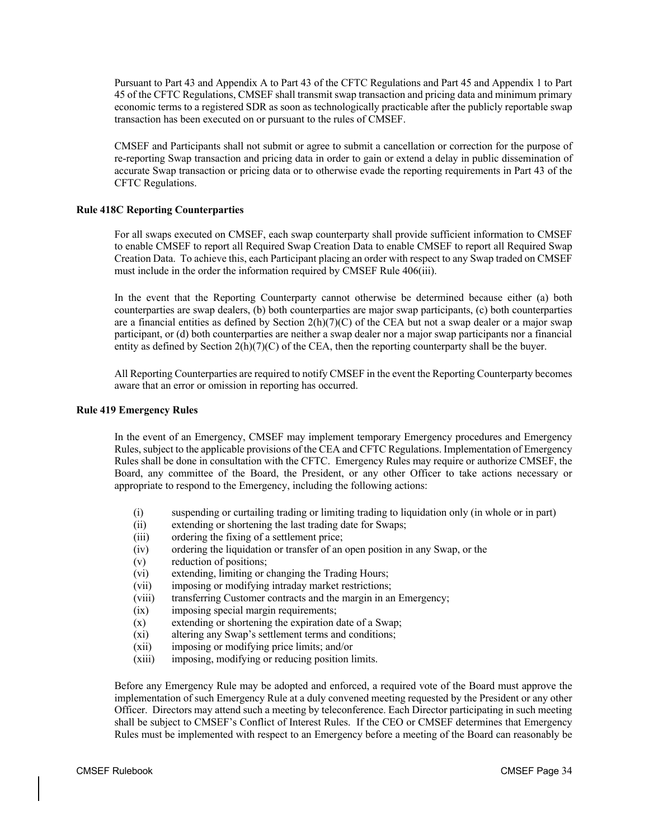Pursuant to Part 43 and Appendix A to Part 43 of the CFTC Regulations and Part 45 and Appendix 1 to Part 45 of the CFTC Regulations, CMSEF shall transmit swap transaction and pricing data and minimum primary economic terms to a registered SDR as soon as technologically practicable after the publicly reportable swap transaction has been executed on or pursuant to the rules of CMSEF.

CMSEF and Participants shall not submit or agree to submit a cancellation or correction for the purpose of re-reporting Swap transaction and pricing data in order to gain or extend a delay in public dissemination of accurate Swap transaction or pricing data or to otherwise evade the reporting requirements in Part 43 of the CFTC Regulations.

# **Rule 418C Reporting Counterparties**

For all swaps executed on CMSEF, each swap counterparty shall provide sufficient information to CMSEF to enable CMSEF to report all Required Swap Creation Data to enable CMSEF to report all Required Swap Creation Data. To achieve this, each Participant placing an order with respect to any Swap traded on CMSEF must include in the order the information required by CMSEF Rule 406(iii).

In the event that the Reporting Counterparty cannot otherwise be determined because either (a) both counterparties are swap dealers, (b) both counterparties are major swap participants, (c) both counterparties are a financial entities as defined by Section  $2(h)(7)(C)$  of the CEA but not a swap dealer or a major swap participant, or (d) both counterparties are neither a swap dealer nor a major swap participants nor a financial entity as defined by Section  $2(h)(7)(C)$  of the CEA, then the reporting counterparty shall be the buyer.

All Reporting Counterparties are required to notify CMSEF in the event the Reporting Counterparty becomes aware that an error or omission in reporting has occurred.

# **Rule 419 Emergency Rules**

In the event of an Emergency, CMSEF may implement temporary Emergency procedures and Emergency Rules, subject to the applicable provisions of the CEA and CFTC Regulations. Implementation of Emergency Rules shall be done in consultation with the CFTC. Emergency Rules may require or authorize CMSEF, the Board, any committee of the Board, the President, or any other Officer to take actions necessary or appropriate to respond to the Emergency, including the following actions:

- (i) suspending or curtailing trading or limiting trading to liquidation only (in whole or in part)
- (ii) extending or shortening the last trading date for Swaps;
- (iii) ordering the fixing of a settlement price;
- (iv) ordering the liquidation or transfer of an open position in any Swap, or the
- (v) reduction of positions;
- (vi) extending, limiting or changing the Trading Hours;
- (vii) imposing or modifying intraday market restrictions;
- (viii) transferring Customer contracts and the margin in an Emergency;
- (ix) imposing special margin requirements;
- (x) extending or shortening the expiration date of a Swap;
- (xi) altering any Swap's settlement terms and conditions;
- (xii) imposing or modifying price limits; and/or
- (xiii) imposing, modifying or reducing position limits.

Before any Emergency Rule may be adopted and enforced, a required vote of the Board must approve the implementation of such Emergency Rule at a duly convened meeting requested by the President or any other Officer. Directors may attend such a meeting by teleconference. Each Director participating in such meeting shall be subject to CMSEF's Conflict of Interest Rules. If the CEO or CMSEF determines that Emergency Rules must be implemented with respect to an Emergency before a meeting of the Board can reasonably be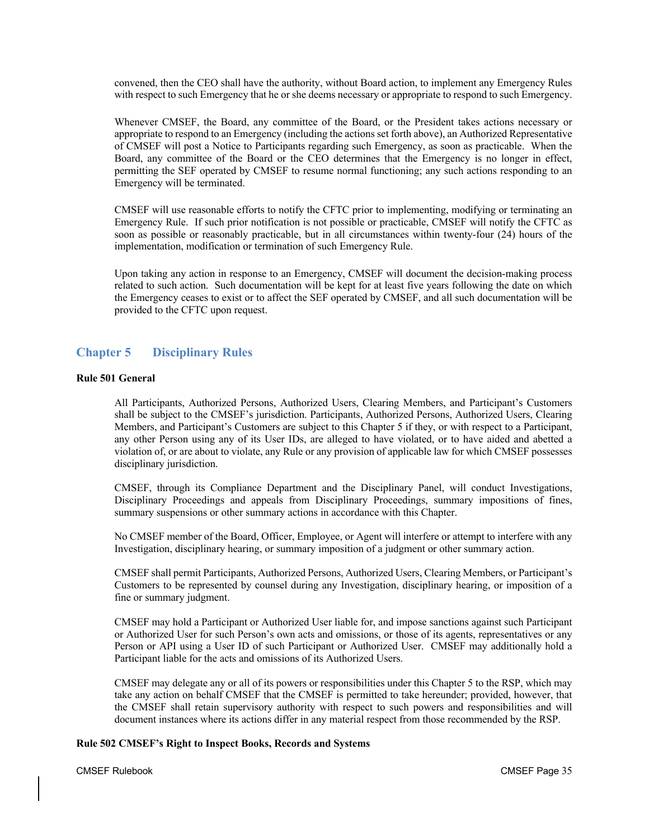convened, then the CEO shall have the authority, without Board action, to implement any Emergency Rules with respect to such Emergency that he or she deems necessary or appropriate to respond to such Emergency.

Whenever CMSEF, the Board, any committee of the Board, or the President takes actions necessary or appropriate to respond to an Emergency (including the actions set forth above), an Authorized Representative of CMSEF will post a Notice to Participants regarding such Emergency, as soon as practicable. When the Board, any committee of the Board or the CEO determines that the Emergency is no longer in effect, permitting the SEF operated by CMSEF to resume normal functioning; any such actions responding to an Emergency will be terminated.

CMSEF will use reasonable efforts to notify the CFTC prior to implementing, modifying or terminating an Emergency Rule. If such prior notification is not possible or practicable, CMSEF will notify the CFTC as soon as possible or reasonably practicable, but in all circumstances within twenty-four (24) hours of the implementation, modification or termination of such Emergency Rule.

Upon taking any action in response to an Emergency, CMSEF will document the decision-making process related to such action. Such documentation will be kept for at least five years following the date on which the Emergency ceases to exist or to affect the SEF operated by CMSEF, and all such documentation will be provided to the CFTC upon request.

# **Chapter 5 Disciplinary Rules**

# **Rule 501 General**

All Participants, Authorized Persons, Authorized Users, Clearing Members, and Participant's Customers shall be subject to the CMSEF's jurisdiction. Participants, Authorized Persons, Authorized Users, Clearing Members, and Participant's Customers are subject to this Chapter 5 if they, or with respect to a Participant, any other Person using any of its User IDs, are alleged to have violated, or to have aided and abetted a violation of, or are about to violate, any Rule or any provision of applicable law for which CMSEF possesses disciplinary jurisdiction.

CMSEF, through its Compliance Department and the Disciplinary Panel, will conduct Investigations, Disciplinary Proceedings and appeals from Disciplinary Proceedings, summary impositions of fines, summary suspensions or other summary actions in accordance with this Chapter.

No CMSEF member of the Board, Officer, Employee, or Agent will interfere or attempt to interfere with any Investigation, disciplinary hearing, or summary imposition of a judgment or other summary action.

CMSEF shall permit Participants, Authorized Persons, Authorized Users, Clearing Members, or Participant's Customers to be represented by counsel during any Investigation, disciplinary hearing, or imposition of a fine or summary judgment.

CMSEF may hold a Participant or Authorized User liable for, and impose sanctions against such Participant or Authorized User for such Person's own acts and omissions, or those of its agents, representatives or any Person or API using a User ID of such Participant or Authorized User. CMSEF may additionally hold a Participant liable for the acts and omissions of its Authorized Users.

CMSEF may delegate any or all of its powers or responsibilities under this Chapter 5 to the RSP, which may take any action on behalf CMSEF that the CMSEF is permitted to take hereunder; provided, however, that the CMSEF shall retain supervisory authority with respect to such powers and responsibilities and will document instances where its actions differ in any material respect from those recommended by the RSP.

# **Rule 502 CMSEF's Right to Inspect Books, Records and Systems**

CMSEF Rulebook CMSEF Page 35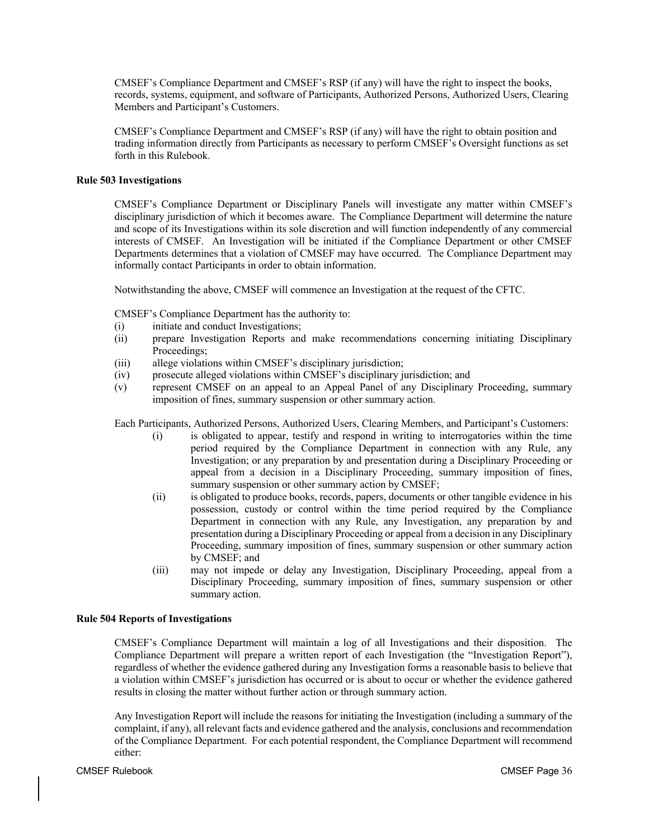CMSEF's Compliance Department and CMSEF's RSP (if any) will have the right to inspect the books, records, systems, equipment, and software of Participants, Authorized Persons, Authorized Users, Clearing Members and Participant's Customers.

CMSEF's Compliance Department and CMSEF's RSP (if any) will have the right to obtain position and trading information directly from Participants as necessary to perform CMSEF's Oversight functions as set forth in this Rulebook.

# **Rule 503 Investigations**

CMSEF's Compliance Department or Disciplinary Panels will investigate any matter within CMSEF's disciplinary jurisdiction of which it becomes aware. The Compliance Department will determine the nature and scope of its Investigations within its sole discretion and will function independently of any commercial interests of CMSEF. An Investigation will be initiated if the Compliance Department or other CMSEF Departments determines that a violation of CMSEF may have occurred. The Compliance Department may informally contact Participants in order to obtain information.

Notwithstanding the above, CMSEF will commence an Investigation at the request of the CFTC.

CMSEF's Compliance Department has the authority to:

- (i) initiate and conduct Investigations;
- (ii) prepare Investigation Reports and make recommendations concerning initiating Disciplinary Proceedings;
- (iii) allege violations within CMSEF's disciplinary jurisdiction;
- (iv) prosecute alleged violations within CMSEF's disciplinary jurisdiction; and
- (v) represent CMSEF on an appeal to an Appeal Panel of any Disciplinary Proceeding, summary imposition of fines, summary suspension or other summary action.

Each Participants, Authorized Persons, Authorized Users, Clearing Members, and Participant's Customers:

- (i) is obligated to appear, testify and respond in writing to interrogatories within the time period required by the Compliance Department in connection with any Rule, any Investigation; or any preparation by and presentation during a Disciplinary Proceeding or appeal from a decision in a Disciplinary Proceeding, summary imposition of fines, summary suspension or other summary action by CMSEF;
- (ii) is obligated to produce books, records, papers, documents or other tangible evidence in his possession, custody or control within the time period required by the Compliance Department in connection with any Rule, any Investigation, any preparation by and presentation during a Disciplinary Proceeding or appeal from a decision in any Disciplinary Proceeding, summary imposition of fines, summary suspension or other summary action by CMSEF; and
- (iii) may not impede or delay any Investigation, Disciplinary Proceeding, appeal from a Disciplinary Proceeding, summary imposition of fines, summary suspension or other summary action.

# **Rule 504 Reports of Investigations**

CMSEF's Compliance Department will maintain a log of all Investigations and their disposition. The Compliance Department will prepare a written report of each Investigation (the "Investigation Report"), regardless of whether the evidence gathered during any Investigation forms a reasonable basis to believe that a violation within CMSEF's jurisdiction has occurred or is about to occur or whether the evidence gathered results in closing the matter without further action or through summary action.

Any Investigation Report will include the reasons for initiating the Investigation (including a summary of the complaint, if any), all relevant facts and evidence gathered and the analysis, conclusions and recommendation of the Compliance Department. For each potential respondent, the Compliance Department will recommend either: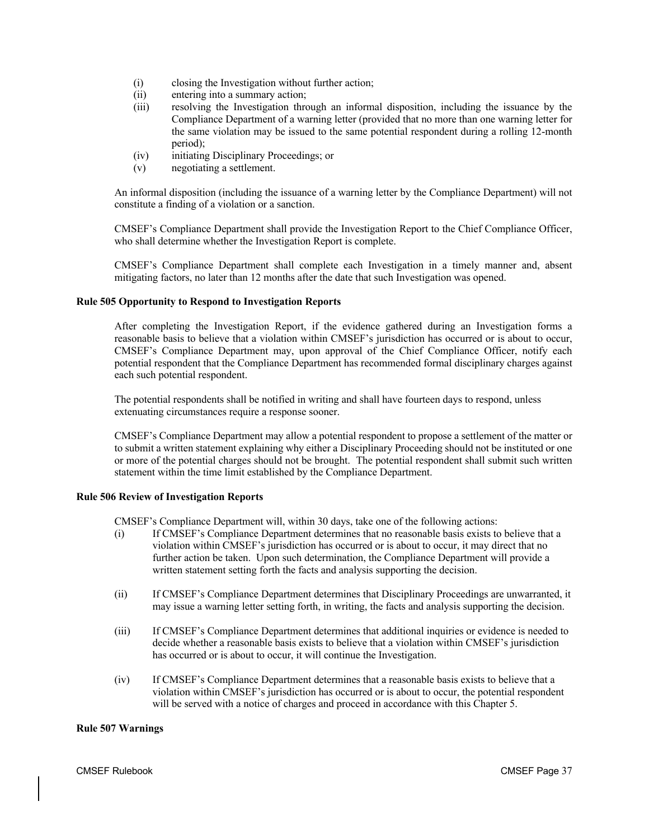- (i) closing the Investigation without further action;
- (ii) entering into a summary action;
- (iii) resolving the Investigation through an informal disposition, including the issuance by the Compliance Department of a warning letter (provided that no more than one warning letter for the same violation may be issued to the same potential respondent during a rolling 12-month period);
- (iv) initiating Disciplinary Proceedings; or
- (v) negotiating a settlement.

An informal disposition (including the issuance of a warning letter by the Compliance Department) will not constitute a finding of a violation or a sanction.

CMSEF's Compliance Department shall provide the Investigation Report to the Chief Compliance Officer, who shall determine whether the Investigation Report is complete.

CMSEF's Compliance Department shall complete each Investigation in a timely manner and, absent mitigating factors, no later than 12 months after the date that such Investigation was opened.

# **Rule 505 Opportunity to Respond to Investigation Reports**

After completing the Investigation Report, if the evidence gathered during an Investigation forms a reasonable basis to believe that a violation within CMSEF's jurisdiction has occurred or is about to occur, CMSEF's Compliance Department may, upon approval of the Chief Compliance Officer, notify each potential respondent that the Compliance Department has recommended formal disciplinary charges against each such potential respondent.

The potential respondents shall be notified in writing and shall have fourteen days to respond, unless extenuating circumstances require a response sooner.

CMSEF's Compliance Department may allow a potential respondent to propose a settlement of the matter or to submit a written statement explaining why either a Disciplinary Proceeding should not be instituted or one or more of the potential charges should not be brought. The potential respondent shall submit such written statement within the time limit established by the Compliance Department.

# **Rule 506 Review of Investigation Reports**

CMSEF's Compliance Department will, within 30 days, take one of the following actions:

- (i) If CMSEF's Compliance Department determines that no reasonable basis exists to believe that a violation within CMSEF's jurisdiction has occurred or is about to occur, it may direct that no further action be taken. Upon such determination, the Compliance Department will provide a written statement setting forth the facts and analysis supporting the decision.
- (ii) If CMSEF's Compliance Department determines that Disciplinary Proceedings are unwarranted, it may issue a warning letter setting forth, in writing, the facts and analysis supporting the decision.
- (iii) If CMSEF's Compliance Department determines that additional inquiries or evidence is needed to decide whether a reasonable basis exists to believe that a violation within CMSEF's jurisdiction has occurred or is about to occur, it will continue the Investigation.
- (iv) If CMSEF's Compliance Department determines that a reasonable basis exists to believe that a violation within CMSEF's jurisdiction has occurred or is about to occur, the potential respondent will be served with a notice of charges and proceed in accordance with this Chapter 5.

# **Rule 507 Warnings**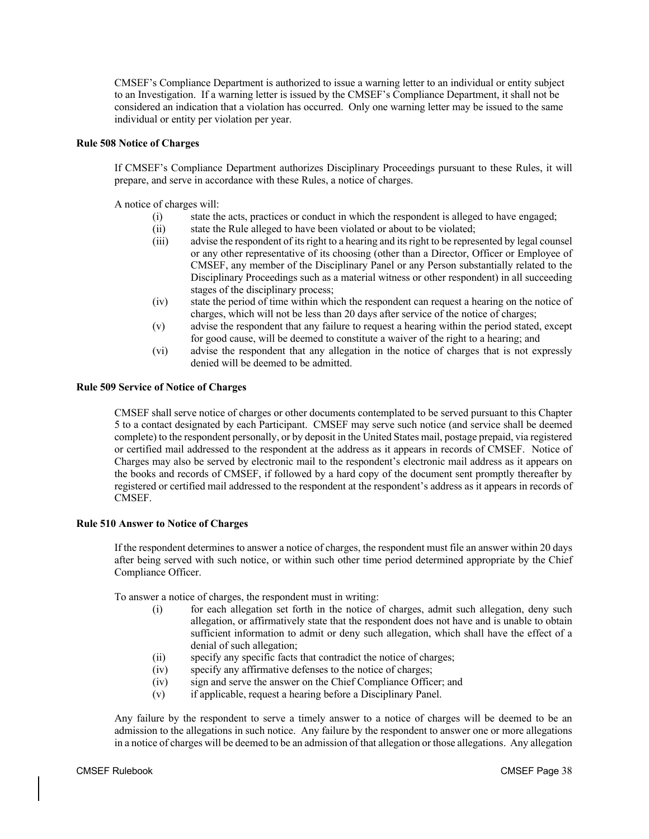CMSEF's Compliance Department is authorized to issue a warning letter to an individual or entity subject to an Investigation. If a warning letter is issued by the CMSEF's Compliance Department, it shall not be considered an indication that a violation has occurred. Only one warning letter may be issued to the same individual or entity per violation per year.

# **Rule 508 Notice of Charges**

If CMSEF's Compliance Department authorizes Disciplinary Proceedings pursuant to these Rules, it will prepare, and serve in accordance with these Rules, a notice of charges.

A notice of charges will:

- (i) state the acts, practices or conduct in which the respondent is alleged to have engaged;
- (ii) state the Rule alleged to have been violated or about to be violated;
- (iii) advise the respondent of its right to a hearing and its right to be represented by legal counsel or any other representative of its choosing (other than a Director, Officer or Employee of CMSEF, any member of the Disciplinary Panel or any Person substantially related to the Disciplinary Proceedings such as a material witness or other respondent) in all succeeding stages of the disciplinary process;
- (iv) state the period of time within which the respondent can request a hearing on the notice of charges, which will not be less than 20 days after service of the notice of charges;
- (v) advise the respondent that any failure to request a hearing within the period stated, except for good cause, will be deemed to constitute a waiver of the right to a hearing; and
- (vi) advise the respondent that any allegation in the notice of charges that is not expressly denied will be deemed to be admitted.

#### **Rule 509 Service of Notice of Charges**

CMSEF shall serve notice of charges or other documents contemplated to be served pursuant to this Chapter 5 to a contact designated by each Participant. CMSEF may serve such notice (and service shall be deemed complete) to the respondent personally, or by deposit in the United States mail, postage prepaid, via registered or certified mail addressed to the respondent at the address as it appears in records of CMSEF. Notice of Charges may also be served by electronic mail to the respondent's electronic mail address as it appears on the books and records of CMSEF, if followed by a hard copy of the document sent promptly thereafter by registered or certified mail addressed to the respondent at the respondent's address as it appears in records of CMSEF.

# **Rule 510 Answer to Notice of Charges**

If the respondent determines to answer a notice of charges, the respondent must file an answer within 20 days after being served with such notice, or within such other time period determined appropriate by the Chief Compliance Officer.

To answer a notice of charges, the respondent must in writing:

- for each allegation set forth in the notice of charges, admit such allegation, deny such allegation, or affirmatively state that the respondent does not have and is unable to obtain sufficient information to admit or deny such allegation, which shall have the effect of a denial of such allegation;
- (ii) specify any specific facts that contradict the notice of charges;
- (iv) specify any affirmative defenses to the notice of charges;
- (iv) sign and serve the answer on the Chief Compliance Officer; and
- (v) if applicable, request a hearing before a Disciplinary Panel.

Any failure by the respondent to serve a timely answer to a notice of charges will be deemed to be an admission to the allegations in such notice. Any failure by the respondent to answer one or more allegations in a notice of charges will be deemed to be an admission of that allegation or those allegations. Any allegation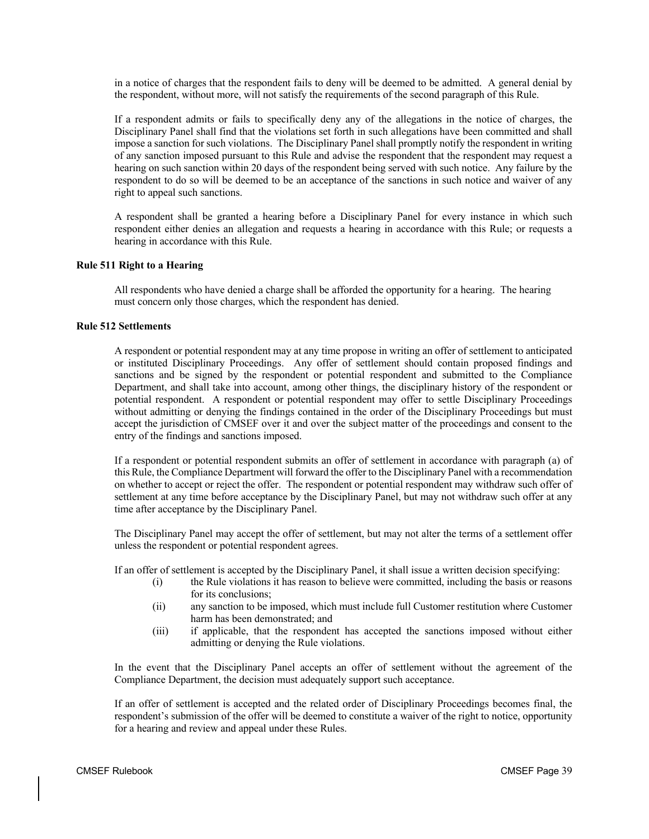in a notice of charges that the respondent fails to deny will be deemed to be admitted. A general denial by the respondent, without more, will not satisfy the requirements of the second paragraph of this Rule.

If a respondent admits or fails to specifically deny any of the allegations in the notice of charges, the Disciplinary Panel shall find that the violations set forth in such allegations have been committed and shall impose a sanction for such violations. The Disciplinary Panel shall promptly notify the respondent in writing of any sanction imposed pursuant to this Rule and advise the respondent that the respondent may request a hearing on such sanction within 20 days of the respondent being served with such notice. Any failure by the respondent to do so will be deemed to be an acceptance of the sanctions in such notice and waiver of any right to appeal such sanctions.

A respondent shall be granted a hearing before a Disciplinary Panel for every instance in which such respondent either denies an allegation and requests a hearing in accordance with this Rule; or requests a hearing in accordance with this Rule.

## **Rule 511 Right to a Hearing**

All respondents who have denied a charge shall be afforded the opportunity for a hearing. The hearing must concern only those charges, which the respondent has denied.

# **Rule 512 Settlements**

A respondent or potential respondent may at any time propose in writing an offer of settlement to anticipated or instituted Disciplinary Proceedings. Any offer of settlement should contain proposed findings and sanctions and be signed by the respondent or potential respondent and submitted to the Compliance Department, and shall take into account, among other things, the disciplinary history of the respondent or potential respondent. A respondent or potential respondent may offer to settle Disciplinary Proceedings without admitting or denying the findings contained in the order of the Disciplinary Proceedings but must accept the jurisdiction of CMSEF over it and over the subject matter of the proceedings and consent to the entry of the findings and sanctions imposed.

If a respondent or potential respondent submits an offer of settlement in accordance with paragraph (a) of this Rule, the Compliance Department will forward the offer to the Disciplinary Panel with a recommendation on whether to accept or reject the offer. The respondent or potential respondent may withdraw such offer of settlement at any time before acceptance by the Disciplinary Panel, but may not withdraw such offer at any time after acceptance by the Disciplinary Panel.

The Disciplinary Panel may accept the offer of settlement, but may not alter the terms of a settlement offer unless the respondent or potential respondent agrees.

If an offer of settlement is accepted by the Disciplinary Panel, it shall issue a written decision specifying:

- (i) the Rule violations it has reason to believe were committed, including the basis or reasons for its conclusions;
- (ii) any sanction to be imposed, which must include full Customer restitution where Customer harm has been demonstrated; and
- (iii) if applicable, that the respondent has accepted the sanctions imposed without either admitting or denying the Rule violations.

In the event that the Disciplinary Panel accepts an offer of settlement without the agreement of the Compliance Department, the decision must adequately support such acceptance.

If an offer of settlement is accepted and the related order of Disciplinary Proceedings becomes final, the respondent's submission of the offer will be deemed to constitute a waiver of the right to notice, opportunity for a hearing and review and appeal under these Rules.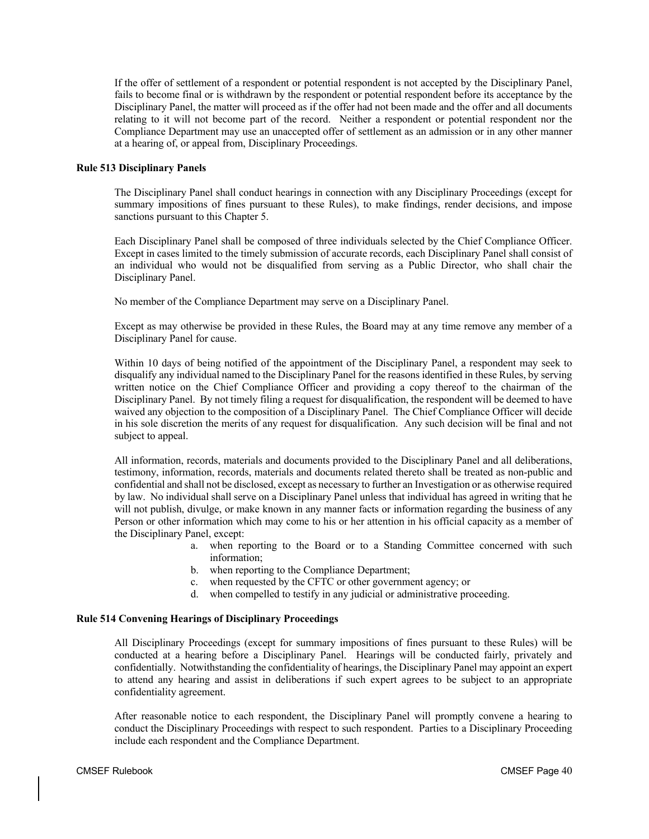If the offer of settlement of a respondent or potential respondent is not accepted by the Disciplinary Panel, fails to become final or is withdrawn by the respondent or potential respondent before its acceptance by the Disciplinary Panel, the matter will proceed as if the offer had not been made and the offer and all documents relating to it will not become part of the record. Neither a respondent or potential respondent nor the Compliance Department may use an unaccepted offer of settlement as an admission or in any other manner at a hearing of, or appeal from, Disciplinary Proceedings.

# **Rule 513 Disciplinary Panels**

The Disciplinary Panel shall conduct hearings in connection with any Disciplinary Proceedings (except for summary impositions of fines pursuant to these Rules), to make findings, render decisions, and impose sanctions pursuant to this Chapter 5.

Each Disciplinary Panel shall be composed of three individuals selected by the Chief Compliance Officer. Except in cases limited to the timely submission of accurate records, each Disciplinary Panel shall consist of an individual who would not be disqualified from serving as a Public Director, who shall chair the Disciplinary Panel.

No member of the Compliance Department may serve on a Disciplinary Panel.

Except as may otherwise be provided in these Rules, the Board may at any time remove any member of a Disciplinary Panel for cause.

Within 10 days of being notified of the appointment of the Disciplinary Panel, a respondent may seek to disqualify any individual named to the Disciplinary Panel for the reasons identified in these Rules, by serving written notice on the Chief Compliance Officer and providing a copy thereof to the chairman of the Disciplinary Panel. By not timely filing a request for disqualification, the respondent will be deemed to have waived any objection to the composition of a Disciplinary Panel. The Chief Compliance Officer will decide in his sole discretion the merits of any request for disqualification. Any such decision will be final and not subject to appeal.

All information, records, materials and documents provided to the Disciplinary Panel and all deliberations, testimony, information, records, materials and documents related thereto shall be treated as non-public and confidential and shall not be disclosed, except as necessary to further an Investigation or as otherwise required by law. No individual shall serve on a Disciplinary Panel unless that individual has agreed in writing that he will not publish, divulge, or make known in any manner facts or information regarding the business of any Person or other information which may come to his or her attention in his official capacity as a member of the Disciplinary Panel, except:

- a. when reporting to the Board or to a Standing Committee concerned with such information;
- b. when reporting to the Compliance Department;
- c. when requested by the CFTC or other government agency; or
- d. when compelled to testify in any judicial or administrative proceeding.

# **Rule 514 Convening Hearings of Disciplinary Proceedings**

All Disciplinary Proceedings (except for summary impositions of fines pursuant to these Rules) will be conducted at a hearing before a Disciplinary Panel. Hearings will be conducted fairly, privately and confidentially. Notwithstanding the confidentiality of hearings, the Disciplinary Panel may appoint an expert to attend any hearing and assist in deliberations if such expert agrees to be subject to an appropriate confidentiality agreement.

After reasonable notice to each respondent, the Disciplinary Panel will promptly convene a hearing to conduct the Disciplinary Proceedings with respect to such respondent. Parties to a Disciplinary Proceeding include each respondent and the Compliance Department.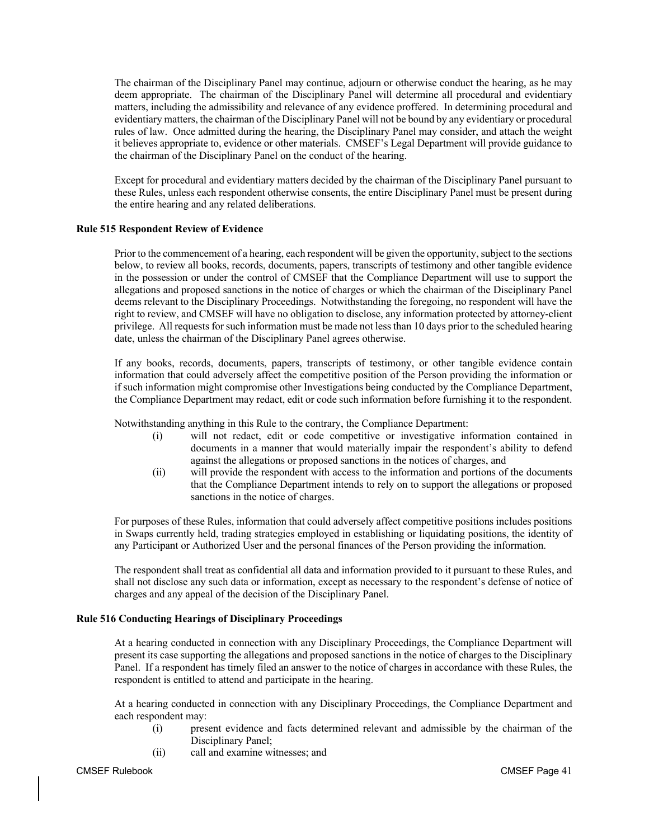The chairman of the Disciplinary Panel may continue, adjourn or otherwise conduct the hearing, as he may deem appropriate. The chairman of the Disciplinary Panel will determine all procedural and evidentiary matters, including the admissibility and relevance of any evidence proffered. In determining procedural and evidentiary matters, the chairman of the Disciplinary Panel will not be bound by any evidentiary or procedural rules of law. Once admitted during the hearing, the Disciplinary Panel may consider, and attach the weight it believes appropriate to, evidence or other materials. CMSEF's Legal Department will provide guidance to the chairman of the Disciplinary Panel on the conduct of the hearing.

Except for procedural and evidentiary matters decided by the chairman of the Disciplinary Panel pursuant to these Rules, unless each respondent otherwise consents, the entire Disciplinary Panel must be present during the entire hearing and any related deliberations.

# **Rule 515 Respondent Review of Evidence**

Prior to the commencement of a hearing, each respondent will be given the opportunity, subject to the sections below, to review all books, records, documents, papers, transcripts of testimony and other tangible evidence in the possession or under the control of CMSEF that the Compliance Department will use to support the allegations and proposed sanctions in the notice of charges or which the chairman of the Disciplinary Panel deems relevant to the Disciplinary Proceedings. Notwithstanding the foregoing, no respondent will have the right to review, and CMSEF will have no obligation to disclose, any information protected by attorney-client privilege. All requests for such information must be made not less than 10 days prior to the scheduled hearing date, unless the chairman of the Disciplinary Panel agrees otherwise.

If any books, records, documents, papers, transcripts of testimony, or other tangible evidence contain information that could adversely affect the competitive position of the Person providing the information or if such information might compromise other Investigations being conducted by the Compliance Department, the Compliance Department may redact, edit or code such information before furnishing it to the respondent.

Notwithstanding anything in this Rule to the contrary, the Compliance Department:

- (i) will not redact, edit or code competitive or investigative information contained in documents in a manner that would materially impair the respondent's ability to defend against the allegations or proposed sanctions in the notices of charges, and
- (ii) will provide the respondent with access to the information and portions of the documents that the Compliance Department intends to rely on to support the allegations or proposed sanctions in the notice of charges.

For purposes of these Rules, information that could adversely affect competitive positions includes positions in Swaps currently held, trading strategies employed in establishing or liquidating positions, the identity of any Participant or Authorized User and the personal finances of the Person providing the information.

The respondent shall treat as confidential all data and information provided to it pursuant to these Rules, and shall not disclose any such data or information, except as necessary to the respondent's defense of notice of charges and any appeal of the decision of the Disciplinary Panel.

# **Rule 516 Conducting Hearings of Disciplinary Proceedings**

At a hearing conducted in connection with any Disciplinary Proceedings, the Compliance Department will present its case supporting the allegations and proposed sanctions in the notice of charges to the Disciplinary Panel. If a respondent has timely filed an answer to the notice of charges in accordance with these Rules, the respondent is entitled to attend and participate in the hearing.

At a hearing conducted in connection with any Disciplinary Proceedings, the Compliance Department and each respondent may:

- (i) present evidence and facts determined relevant and admissible by the chairman of the Disciplinary Panel;
- (ii) call and examine witnesses; and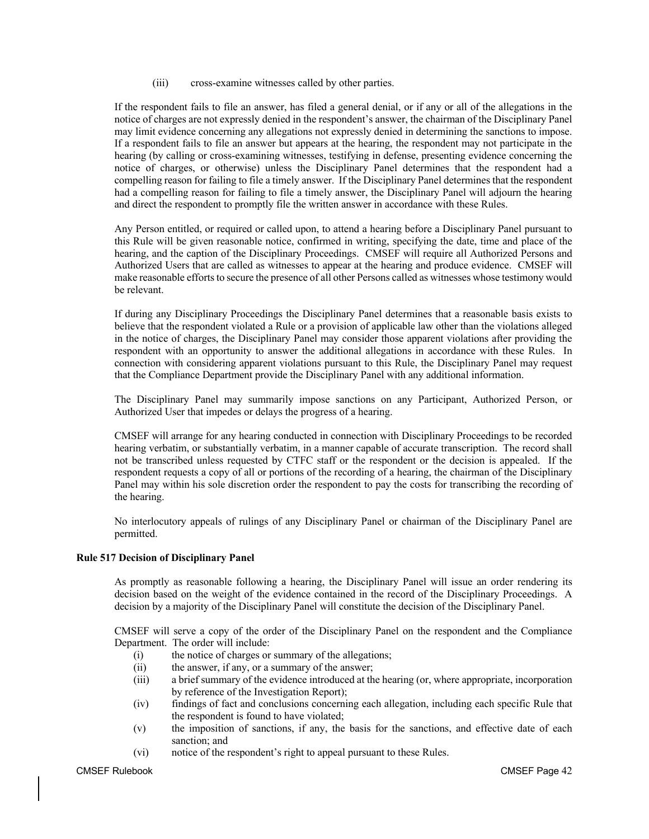(iii) cross-examine witnesses called by other parties.

If the respondent fails to file an answer, has filed a general denial, or if any or all of the allegations in the notice of charges are not expressly denied in the respondent's answer, the chairman of the Disciplinary Panel may limit evidence concerning any allegations not expressly denied in determining the sanctions to impose. If a respondent fails to file an answer but appears at the hearing, the respondent may not participate in the hearing (by calling or cross-examining witnesses, testifying in defense, presenting evidence concerning the notice of charges, or otherwise) unless the Disciplinary Panel determines that the respondent had a compelling reason for failing to file a timely answer. If the Disciplinary Panel determines that the respondent had a compelling reason for failing to file a timely answer, the Disciplinary Panel will adjourn the hearing and direct the respondent to promptly file the written answer in accordance with these Rules.

Any Person entitled, or required or called upon, to attend a hearing before a Disciplinary Panel pursuant to this Rule will be given reasonable notice, confirmed in writing, specifying the date, time and place of the hearing, and the caption of the Disciplinary Proceedings. CMSEF will require all Authorized Persons and Authorized Users that are called as witnesses to appear at the hearing and produce evidence. CMSEF will make reasonable efforts to secure the presence of all other Persons called as witnesses whose testimony would be relevant.

If during any Disciplinary Proceedings the Disciplinary Panel determines that a reasonable basis exists to believe that the respondent violated a Rule or a provision of applicable law other than the violations alleged in the notice of charges, the Disciplinary Panel may consider those apparent violations after providing the respondent with an opportunity to answer the additional allegations in accordance with these Rules. In connection with considering apparent violations pursuant to this Rule, the Disciplinary Panel may request that the Compliance Department provide the Disciplinary Panel with any additional information.

The Disciplinary Panel may summarily impose sanctions on any Participant, Authorized Person, or Authorized User that impedes or delays the progress of a hearing.

CMSEF will arrange for any hearing conducted in connection with Disciplinary Proceedings to be recorded hearing verbatim, or substantially verbatim, in a manner capable of accurate transcription. The record shall not be transcribed unless requested by CTFC staff or the respondent or the decision is appealed. If the respondent requests a copy of all or portions of the recording of a hearing, the chairman of the Disciplinary Panel may within his sole discretion order the respondent to pay the costs for transcribing the recording of the hearing.

No interlocutory appeals of rulings of any Disciplinary Panel or chairman of the Disciplinary Panel are permitted.

# **Rule 517 Decision of Disciplinary Panel**

As promptly as reasonable following a hearing, the Disciplinary Panel will issue an order rendering its decision based on the weight of the evidence contained in the record of the Disciplinary Proceedings. A decision by a majority of the Disciplinary Panel will constitute the decision of the Disciplinary Panel.

CMSEF will serve a copy of the order of the Disciplinary Panel on the respondent and the Compliance Department. The order will include:

- (i) the notice of charges or summary of the allegations;
- (ii) the answer, if any, or a summary of the answer;
- (iii) a brief summary of the evidence introduced at the hearing (or, where appropriate, incorporation by reference of the Investigation Report);
- (iv) findings of fact and conclusions concerning each allegation, including each specific Rule that the respondent is found to have violated;
- (v) the imposition of sanctions, if any, the basis for the sanctions, and effective date of each sanction; and
- (vi) notice of the respondent's right to appeal pursuant to these Rules.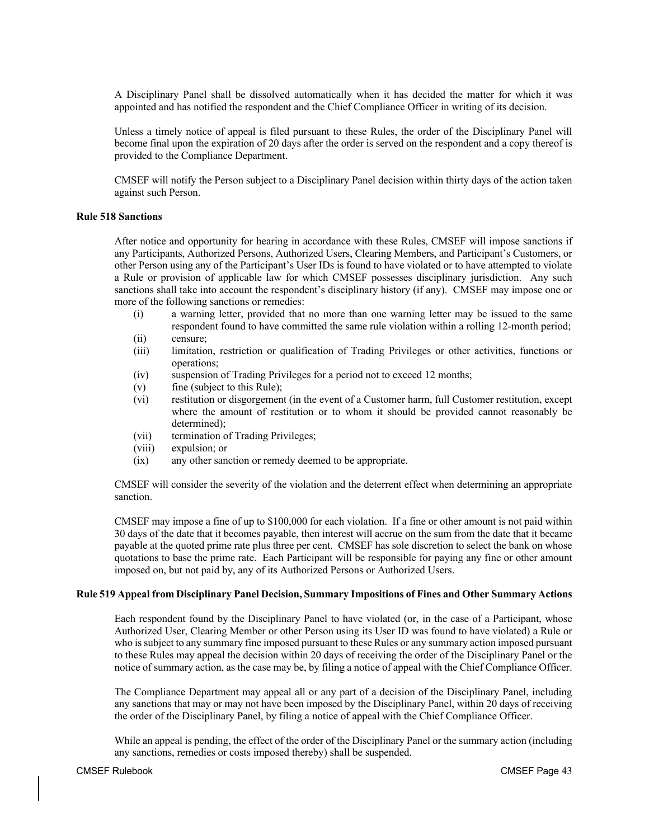A Disciplinary Panel shall be dissolved automatically when it has decided the matter for which it was appointed and has notified the respondent and the Chief Compliance Officer in writing of its decision.

Unless a timely notice of appeal is filed pursuant to these Rules, the order of the Disciplinary Panel will become final upon the expiration of 20 days after the order is served on the respondent and a copy thereof is provided to the Compliance Department.

CMSEF will notify the Person subject to a Disciplinary Panel decision within thirty days of the action taken against such Person.

# **Rule 518 Sanctions**

After notice and opportunity for hearing in accordance with these Rules, CMSEF will impose sanctions if any Participants, Authorized Persons, Authorized Users, Clearing Members, and Participant's Customers, or other Person using any of the Participant's User IDs is found to have violated or to have attempted to violate a Rule or provision of applicable law for which CMSEF possesses disciplinary jurisdiction. Any such sanctions shall take into account the respondent's disciplinary history (if any). CMSEF may impose one or more of the following sanctions or remedies:

- (i) a warning letter, provided that no more than one warning letter may be issued to the same respondent found to have committed the same rule violation within a rolling 12-month period;
- (ii) censure;
- (iii) limitation, restriction or qualification of Trading Privileges or other activities, functions or operations;
- (iv) suspension of Trading Privileges for a period not to exceed 12 months;
- (v) fine (subject to this Rule);
- (vi) restitution or disgorgement (in the event of a Customer harm, full Customer restitution, except where the amount of restitution or to whom it should be provided cannot reasonably be determined);
- (vii) termination of Trading Privileges;
- (viii) expulsion; or
- (ix) any other sanction or remedy deemed to be appropriate.

CMSEF will consider the severity of the violation and the deterrent effect when determining an appropriate sanction.

CMSEF may impose a fine of up to \$100,000 for each violation. If a fine or other amount is not paid within 30 days of the date that it becomes payable, then interest will accrue on the sum from the date that it became payable at the quoted prime rate plus three per cent. CMSEF has sole discretion to select the bank on whose quotations to base the prime rate. Each Participant will be responsible for paying any fine or other amount imposed on, but not paid by, any of its Authorized Persons or Authorized Users.

# **Rule 519 Appeal from Disciplinary Panel Decision, Summary Impositions of Fines and Other Summary Actions**

Each respondent found by the Disciplinary Panel to have violated (or, in the case of a Participant, whose Authorized User, Clearing Member or other Person using its User ID was found to have violated) a Rule or who is subject to any summary fine imposed pursuant to these Rules or any summary action imposed pursuant to these Rules may appeal the decision within 20 days of receiving the order of the Disciplinary Panel or the notice of summary action, as the case may be, by filing a notice of appeal with the Chief Compliance Officer.

The Compliance Department may appeal all or any part of a decision of the Disciplinary Panel, including any sanctions that may or may not have been imposed by the Disciplinary Panel, within 20 days of receiving the order of the Disciplinary Panel, by filing a notice of appeal with the Chief Compliance Officer.

While an appeal is pending, the effect of the order of the Disciplinary Panel or the summary action (including any sanctions, remedies or costs imposed thereby) shall be suspended.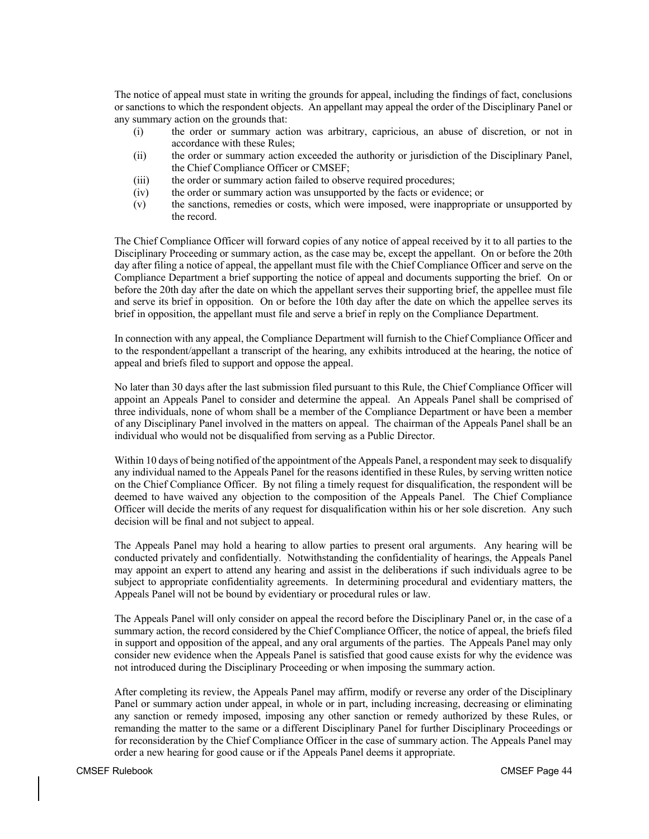The notice of appeal must state in writing the grounds for appeal, including the findings of fact, conclusions or sanctions to which the respondent objects. An appellant may appeal the order of the Disciplinary Panel or any summary action on the grounds that:

- (i) the order or summary action was arbitrary, capricious, an abuse of discretion, or not in accordance with these Rules;
- (ii) the order or summary action exceeded the authority or jurisdiction of the Disciplinary Panel, the Chief Compliance Officer or CMSEF;
- (iii) the order or summary action failed to observe required procedures;
- (iv) the order or summary action was unsupported by the facts or evidence; or
- (v) the sanctions, remedies or costs, which were imposed, were inappropriate or unsupported by the record.

The Chief Compliance Officer will forward copies of any notice of appeal received by it to all parties to the Disciplinary Proceeding or summary action, as the case may be, except the appellant. On or before the 20th day after filing a notice of appeal, the appellant must file with the Chief Compliance Officer and serve on the Compliance Department a brief supporting the notice of appeal and documents supporting the brief. On or before the 20th day after the date on which the appellant serves their supporting brief, the appellee must file and serve its brief in opposition. On or before the 10th day after the date on which the appellee serves its brief in opposition, the appellant must file and serve a brief in reply on the Compliance Department.

In connection with any appeal, the Compliance Department will furnish to the Chief Compliance Officer and to the respondent/appellant a transcript of the hearing, any exhibits introduced at the hearing, the notice of appeal and briefs filed to support and oppose the appeal.

No later than 30 days after the last submission filed pursuant to this Rule, the Chief Compliance Officer will appoint an Appeals Panel to consider and determine the appeal. An Appeals Panel shall be comprised of three individuals, none of whom shall be a member of the Compliance Department or have been a member of any Disciplinary Panel involved in the matters on appeal. The chairman of the Appeals Panel shall be an individual who would not be disqualified from serving as a Public Director.

Within 10 days of being notified of the appointment of the Appeals Panel, a respondent may seek to disqualify any individual named to the Appeals Panel for the reasons identified in these Rules, by serving written notice on the Chief Compliance Officer. By not filing a timely request for disqualification, the respondent will be deemed to have waived any objection to the composition of the Appeals Panel. The Chief Compliance Officer will decide the merits of any request for disqualification within his or her sole discretion. Any such decision will be final and not subject to appeal.

The Appeals Panel may hold a hearing to allow parties to present oral arguments. Any hearing will be conducted privately and confidentially. Notwithstanding the confidentiality of hearings, the Appeals Panel may appoint an expert to attend any hearing and assist in the deliberations if such individuals agree to be subject to appropriate confidentiality agreements. In determining procedural and evidentiary matters, the Appeals Panel will not be bound by evidentiary or procedural rules or law.

The Appeals Panel will only consider on appeal the record before the Disciplinary Panel or, in the case of a summary action, the record considered by the Chief Compliance Officer, the notice of appeal, the briefs filed in support and opposition of the appeal, and any oral arguments of the parties. The Appeals Panel may only consider new evidence when the Appeals Panel is satisfied that good cause exists for why the evidence was not introduced during the Disciplinary Proceeding or when imposing the summary action.

After completing its review, the Appeals Panel may affirm, modify or reverse any order of the Disciplinary Panel or summary action under appeal, in whole or in part, including increasing, decreasing or eliminating any sanction or remedy imposed, imposing any other sanction or remedy authorized by these Rules, or remanding the matter to the same or a different Disciplinary Panel for further Disciplinary Proceedings or for reconsideration by the Chief Compliance Officer in the case of summary action. The Appeals Panel may order a new hearing for good cause or if the Appeals Panel deems it appropriate.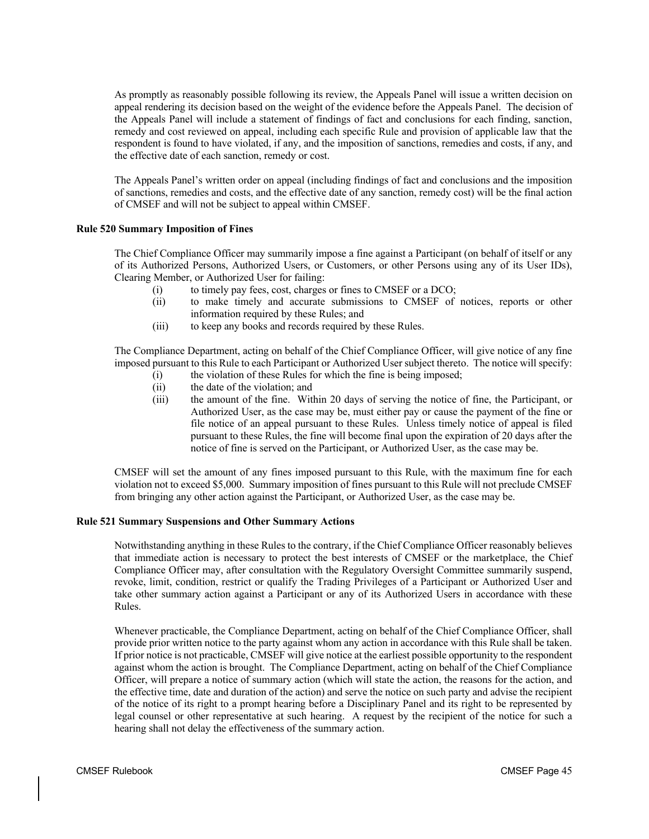As promptly as reasonably possible following its review, the Appeals Panel will issue a written decision on appeal rendering its decision based on the weight of the evidence before the Appeals Panel. The decision of the Appeals Panel will include a statement of findings of fact and conclusions for each finding, sanction, remedy and cost reviewed on appeal, including each specific Rule and provision of applicable law that the respondent is found to have violated, if any, and the imposition of sanctions, remedies and costs, if any, and the effective date of each sanction, remedy or cost.

The Appeals Panel's written order on appeal (including findings of fact and conclusions and the imposition of sanctions, remedies and costs, and the effective date of any sanction, remedy cost) will be the final action of CMSEF and will not be subject to appeal within CMSEF.

# **Rule 520 Summary Imposition of Fines**

The Chief Compliance Officer may summarily impose a fine against a Participant (on behalf of itself or any of its Authorized Persons, Authorized Users, or Customers, or other Persons using any of its User IDs), Clearing Member, or Authorized User for failing:

- (i) to timely pay fees, cost, charges or fines to CMSEF or a DCO;
- (ii) to make timely and accurate submissions to CMSEF of notices, reports or other information required by these Rules; and
- (iii) to keep any books and records required by these Rules.

The Compliance Department, acting on behalf of the Chief Compliance Officer, will give notice of any fine imposed pursuant to this Rule to each Participant or Authorized User subject thereto. The notice will specify:

- (i) the violation of these Rules for which the fine is being imposed;
- (ii) the date of the violation; and
- (iii) the amount of the fine. Within 20 days of serving the notice of fine, the Participant, or Authorized User, as the case may be, must either pay or cause the payment of the fine or file notice of an appeal pursuant to these Rules. Unless timely notice of appeal is filed pursuant to these Rules, the fine will become final upon the expiration of 20 days after the notice of fine is served on the Participant, or Authorized User, as the case may be.

CMSEF will set the amount of any fines imposed pursuant to this Rule, with the maximum fine for each violation not to exceed \$5,000. Summary imposition of fines pursuant to this Rule will not preclude CMSEF from bringing any other action against the Participant, or Authorized User, as the case may be.

#### **Rule 521 Summary Suspensions and Other Summary Actions**

Notwithstanding anything in these Rules to the contrary, if the Chief Compliance Officer reasonably believes that immediate action is necessary to protect the best interests of CMSEF or the marketplace, the Chief Compliance Officer may, after consultation with the Regulatory Oversight Committee summarily suspend, revoke, limit, condition, restrict or qualify the Trading Privileges of a Participant or Authorized User and take other summary action against a Participant or any of its Authorized Users in accordance with these Rules.

Whenever practicable, the Compliance Department, acting on behalf of the Chief Compliance Officer, shall provide prior written notice to the party against whom any action in accordance with this Rule shall be taken. If prior notice is not practicable, CMSEF will give notice at the earliest possible opportunity to the respondent against whom the action is brought. The Compliance Department, acting on behalf of the Chief Compliance Officer, will prepare a notice of summary action (which will state the action, the reasons for the action, and the effective time, date and duration of the action) and serve the notice on such party and advise the recipient of the notice of its right to a prompt hearing before a Disciplinary Panel and its right to be represented by legal counsel or other representative at such hearing. A request by the recipient of the notice for such a hearing shall not delay the effectiveness of the summary action.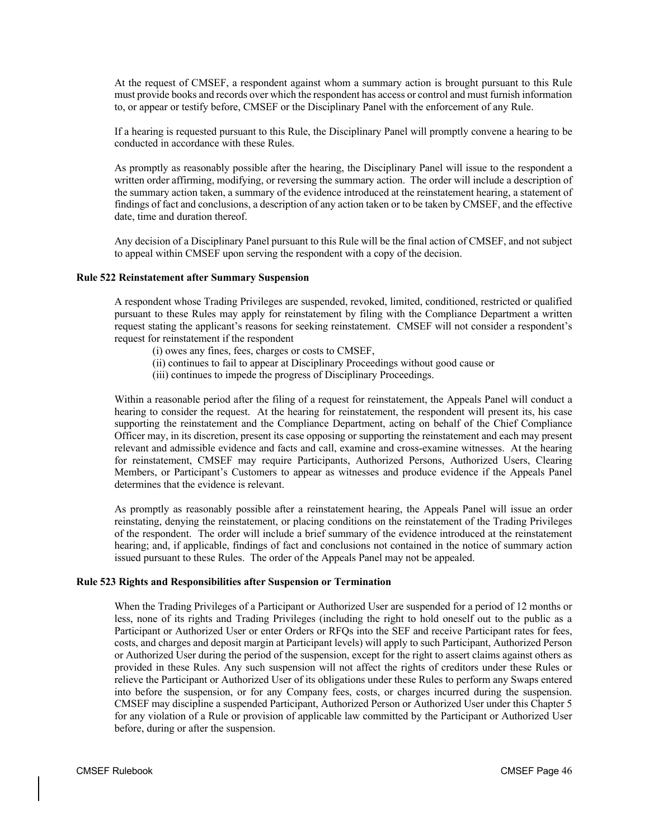At the request of CMSEF, a respondent against whom a summary action is brought pursuant to this Rule must provide books and records over which the respondent has access or control and must furnish information to, or appear or testify before, CMSEF or the Disciplinary Panel with the enforcement of any Rule.

If a hearing is requested pursuant to this Rule, the Disciplinary Panel will promptly convene a hearing to be conducted in accordance with these Rules.

As promptly as reasonably possible after the hearing, the Disciplinary Panel will issue to the respondent a written order affirming, modifying, or reversing the summary action. The order will include a description of the summary action taken, a summary of the evidence introduced at the reinstatement hearing, a statement of findings of fact and conclusions, a description of any action taken or to be taken by CMSEF, and the effective date, time and duration thereof.

Any decision of a Disciplinary Panel pursuant to this Rule will be the final action of CMSEF, and not subject to appeal within CMSEF upon serving the respondent with a copy of the decision.

#### **Rule 522 Reinstatement after Summary Suspension**

A respondent whose Trading Privileges are suspended, revoked, limited, conditioned, restricted or qualified pursuant to these Rules may apply for reinstatement by filing with the Compliance Department a written request stating the applicant's reasons for seeking reinstatement. CMSEF will not consider a respondent's request for reinstatement if the respondent

- (i) owes any fines, fees, charges or costs to CMSEF,
- (ii) continues to fail to appear at Disciplinary Proceedings without good cause or
- (iii) continues to impede the progress of Disciplinary Proceedings.

Within a reasonable period after the filing of a request for reinstatement, the Appeals Panel will conduct a hearing to consider the request. At the hearing for reinstatement, the respondent will present its, his case supporting the reinstatement and the Compliance Department, acting on behalf of the Chief Compliance Officer may, in its discretion, present its case opposing or supporting the reinstatement and each may present relevant and admissible evidence and facts and call, examine and cross-examine witnesses. At the hearing for reinstatement, CMSEF may require Participants, Authorized Persons, Authorized Users, Clearing Members, or Participant's Customers to appear as witnesses and produce evidence if the Appeals Panel determines that the evidence is relevant.

As promptly as reasonably possible after a reinstatement hearing, the Appeals Panel will issue an order reinstating, denying the reinstatement, or placing conditions on the reinstatement of the Trading Privileges of the respondent. The order will include a brief summary of the evidence introduced at the reinstatement hearing; and, if applicable, findings of fact and conclusions not contained in the notice of summary action issued pursuant to these Rules. The order of the Appeals Panel may not be appealed.

# **Rule 523 Rights and Responsibilities after Suspension or Termination**

When the Trading Privileges of a Participant or Authorized User are suspended for a period of 12 months or less, none of its rights and Trading Privileges (including the right to hold oneself out to the public as a Participant or Authorized User or enter Orders or RFQs into the SEF and receive Participant rates for fees, costs, and charges and deposit margin at Participant levels) will apply to such Participant, Authorized Person or Authorized User during the period of the suspension, except for the right to assert claims against others as provided in these Rules. Any such suspension will not affect the rights of creditors under these Rules or relieve the Participant or Authorized User of its obligations under these Rules to perform any Swaps entered into before the suspension, or for any Company fees, costs, or charges incurred during the suspension. CMSEF may discipline a suspended Participant, Authorized Person or Authorized User under this Chapter 5 for any violation of a Rule or provision of applicable law committed by the Participant or Authorized User before, during or after the suspension.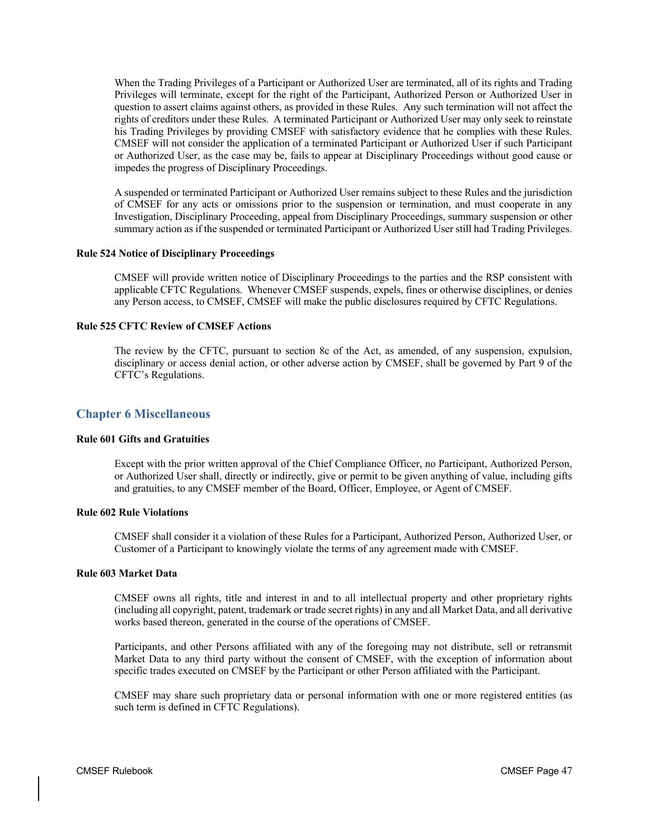When the Trading Privileges of a Participant or Authorized User are terminated, all of its rights and Trading Privileges will terminate, except for the right of the Participant, Authorized Person or Authorized User in question to assert claims against others, as provided in these Rules. Any such termination will not affect the rights of creditors under these Rules. A terminated Participant or Authorized User may only seek to reinstate his Trading Privileges by providing CMSEF with satisfactory evidence that he complies with these Rules. CMSEF will not consider the application of a terminated Participant or Authorized User if such Participant or Authorized User, as the case may be, fails to appear at Disciplinary Proceedings without good cause or impedes the progress of Disciplinary Proceedings.

A suspended or terminated Participant or Authorized User remains subject to these Rules and the jurisdiction of CMSEF for any acts or omissions prior to the suspension or termination, and must cooperate in any Investigation, Disciplinary Proceeding, appeal from Disciplinary Proceedings, summary suspension or other summary action as if the suspended or terminated Participant or Authorized User still had Trading Privileges.

#### **Rule 524 Notice of Disciplinary Proceedings**

CMSEF will provide written notice of Disciplinary Proceedings to the parties and the RSP consistent with applicable CFTC Regulations. Whenever CMSEF suspends, expels, fines or otherwise disciplines, or denies any Person access, to CMSEF, CMSEF will make the public disclosures required by CFTC Regulations.

# **Rule 525 CFTC Review of CMSEF Actions**

The review by the CFTC, pursuant to section 8c of the Act, as amended, of any suspension, expulsion, disciplinary or access denial action, or other adverse action by CMSEF, shall be governed by Part 9 of the CFTC's Regulations.

# **Chapter 6 Miscellaneous**

#### **Rule 601 Gifts and Gratuities**

Except with the prior written approval of the Chief Compliance Officer, no Participant, Authorized Person, or Authorized User shall, directly or indirectly, give or permit to be given anything of value, including gifts and gratuities, to any CMSEF member of the Board, Officer, Employee, or Agent of CMSEF.

# **Rule 602 Rule Violations**

CMSEF shall consider it a violation of these Rules for a Participant, Authorized Person, Authorized User, or Customer of a Participant to knowingly violate the terms of any agreement made with CMSEF.

#### **Rule 603 Market Data**

CMSEF owns all rights, title and interest in and to all intellectual property and other proprietary rights (including all copyright, patent, trademark or trade secret rights) in any and all Market Data, and all derivative works based thereon, generated in the course of the operations of CMSEF.

Participants, and other Persons affiliated with any of the foregoing may not distribute, sell or retransmit Market Data to any third party without the consent of CMSEF, with the exception of information about specific trades executed on CMSEF by the Participant or other Person affiliated with the Participant.

CMSEF may share such proprietary data or personal information with one or more registered entities (as such term is defined in CFTC Regulations).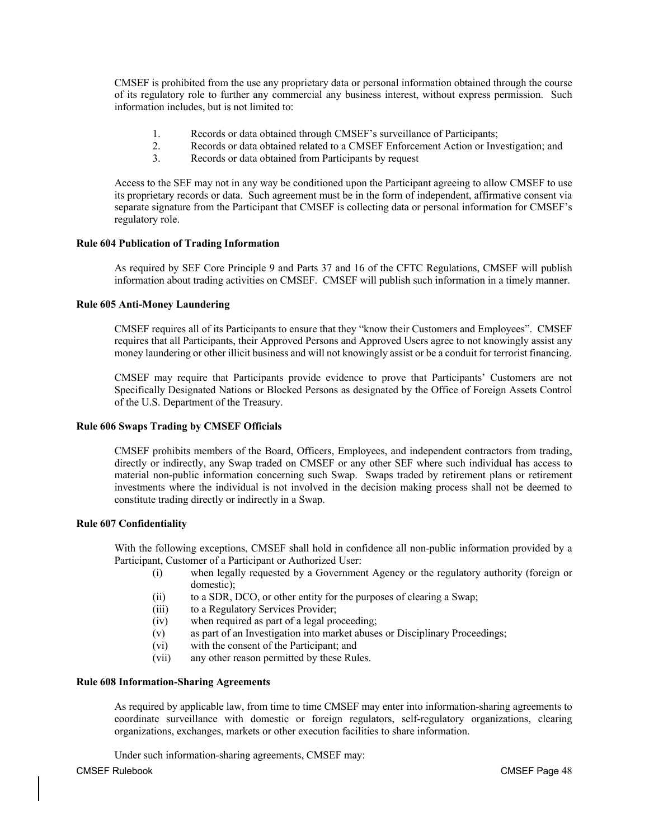CMSEF is prohibited from the use any proprietary data or personal information obtained through the course of its regulatory role to further any commercial any business interest, without express permission. Such information includes, but is not limited to:

- 1. Records or data obtained through CMSEF's surveillance of Participants;
- 2. Records or data obtained related to a CMSEF Enforcement Action or Investigation; and<br>3. Records or data obtained from Participants by request
- Records or data obtained from Participants by request

Access to the SEF may not in any way be conditioned upon the Participant agreeing to allow CMSEF to use its proprietary records or data. Such agreement must be in the form of independent, affirmative consent via separate signature from the Participant that CMSEF is collecting data or personal information for CMSEF's regulatory role.

# **Rule 604 Publication of Trading Information**

As required by SEF Core Principle 9 and Parts 37 and 16 of the CFTC Regulations, CMSEF will publish information about trading activities on CMSEF. CMSEF will publish such information in a timely manner.

# **Rule 605 Anti-Money Laundering**

CMSEF requires all of its Participants to ensure that they "know their Customers and Employees". CMSEF requires that all Participants, their Approved Persons and Approved Users agree to not knowingly assist any money laundering or other illicit business and will not knowingly assist or be a conduit for terrorist financing.

CMSEF may require that Participants provide evidence to prove that Participants' Customers are not Specifically Designated Nations or Blocked Persons as designated by the Office of Foreign Assets Control of the U.S. Department of the Treasury.

# **Rule 606 Swaps Trading by CMSEF Officials**

CMSEF prohibits members of the Board, Officers, Employees, and independent contractors from trading, directly or indirectly, any Swap traded on CMSEF or any other SEF where such individual has access to material non-public information concerning such Swap. Swaps traded by retirement plans or retirement investments where the individual is not involved in the decision making process shall not be deemed to constitute trading directly or indirectly in a Swap.

# **Rule 607 Confidentiality**

With the following exceptions, CMSEF shall hold in confidence all non-public information provided by a Participant, Customer of a Participant or Authorized User:

- (i) when legally requested by a Government Agency or the regulatory authority (foreign or domestic);
- (ii) to a SDR, DCO, or other entity for the purposes of clearing a Swap;
- (iii) to a Regulatory Services Provider;
- (iv) when required as part of a legal proceeding;
- (v) as part of an Investigation into market abuses or Disciplinary Proceedings;
- (vi) with the consent of the Participant; and
- (vii) any other reason permitted by these Rules.

# **Rule 608 Information-Sharing Agreements**

As required by applicable law, from time to time CMSEF may enter into information-sharing agreements to coordinate surveillance with domestic or foreign regulators, self-regulatory organizations, clearing organizations, exchanges, markets or other execution facilities to share information.

Under such information-sharing agreements, CMSEF may: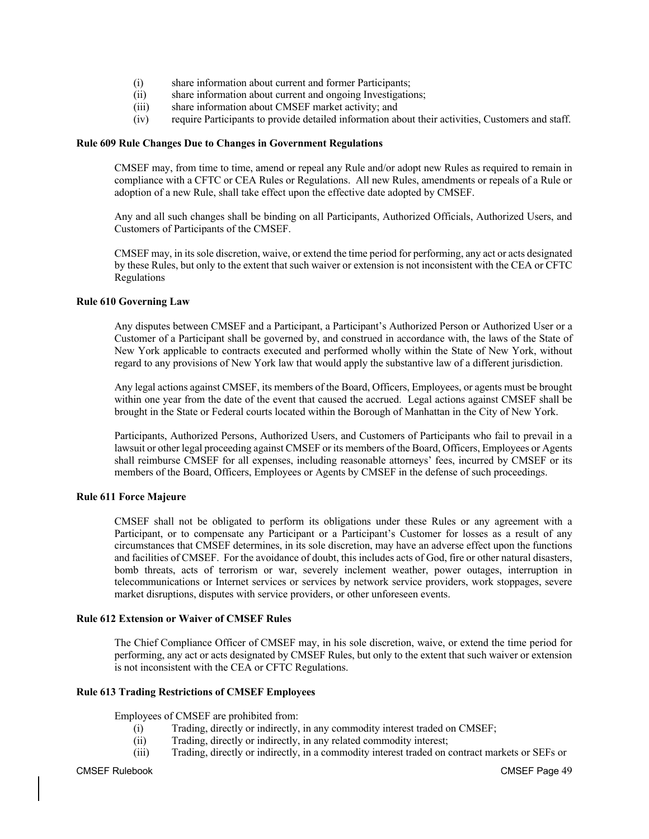- (i) share information about current and former Participants;
- (ii) share information about current and ongoing Investigations;
- (iii) share information about CMSEF market activity; and
- (iv) require Participants to provide detailed information about their activities, Customers and staff.

# **Rule 609 Rule Changes Due to Changes in Government Regulations**

CMSEF may, from time to time, amend or repeal any Rule and/or adopt new Rules as required to remain in compliance with a CFTC or CEA Rules or Regulations. All new Rules, amendments or repeals of a Rule or adoption of a new Rule, shall take effect upon the effective date adopted by CMSEF.

Any and all such changes shall be binding on all Participants, Authorized Officials, Authorized Users, and Customers of Participants of the CMSEF.

CMSEF may, in its sole discretion, waive, or extend the time period for performing, any act or acts designated by these Rules, but only to the extent that such waiver or extension is not inconsistent with the CEA or CFTC Regulations

# **Rule 610 Governing Law**

Any disputes between CMSEF and a Participant, a Participant's Authorized Person or Authorized User or a Customer of a Participant shall be governed by, and construed in accordance with, the laws of the State of New York applicable to contracts executed and performed wholly within the State of New York, without regard to any provisions of New York law that would apply the substantive law of a different jurisdiction.

Any legal actions against CMSEF, its members of the Board, Officers, Employees, or agents must be brought within one year from the date of the event that caused the accrued. Legal actions against CMSEF shall be brought in the State or Federal courts located within the Borough of Manhattan in the City of New York.

Participants, Authorized Persons, Authorized Users, and Customers of Participants who fail to prevail in a lawsuit or other legal proceeding against CMSEF or its members of the Board, Officers, Employees or Agents shall reimburse CMSEF for all expenses, including reasonable attorneys' fees, incurred by CMSEF or its members of the Board, Officers, Employees or Agents by CMSEF in the defense of such proceedings.

# **Rule 611 Force Majeure**

CMSEF shall not be obligated to perform its obligations under these Rules or any agreement with a Participant, or to compensate any Participant or a Participant's Customer for losses as a result of any circumstances that CMSEF determines, in its sole discretion, may have an adverse effect upon the functions and facilities of CMSEF. For the avoidance of doubt, this includes acts of God, fire or other natural disasters, bomb threats, acts of terrorism or war, severely inclement weather, power outages, interruption in telecommunications or Internet services or services by network service providers, work stoppages, severe market disruptions, disputes with service providers, or other unforeseen events.

# **Rule 612 Extension or Waiver of CMSEF Rules**

The Chief Compliance Officer of CMSEF may, in his sole discretion, waive, or extend the time period for performing, any act or acts designated by CMSEF Rules, but only to the extent that such waiver or extension is not inconsistent with the CEA or CFTC Regulations.

# **Rule 613 Trading Restrictions of CMSEF Employees**

Employees of CMSEF are prohibited from:

- (i) Trading, directly or indirectly, in any commodity interest traded on CMSEF;
- (ii) Trading, directly or indirectly, in any related commodity interest;
- (iii) Trading, directly or indirectly, in a commodity interest traded on contract markets or SEFs or

CMSEF Rulebook CMSEF Page 49